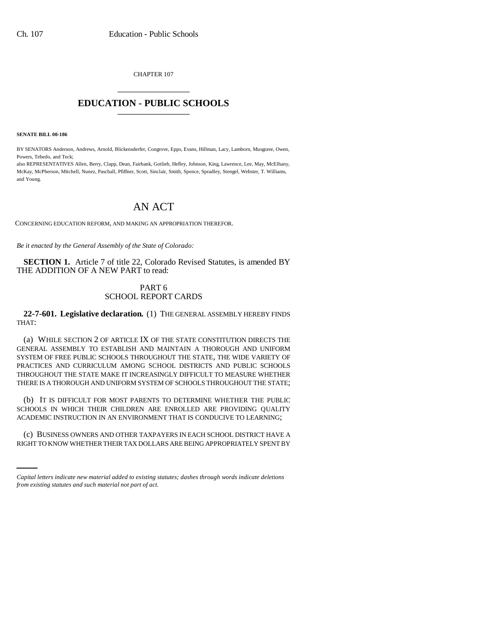CHAPTER 107 \_\_\_\_\_\_\_\_\_\_\_\_\_\_\_

## **EDUCATION - PUBLIC SCHOOLS** \_\_\_\_\_\_\_\_\_\_\_\_\_\_\_

**SENATE BILL 00-186** 

BY SENATORS Anderson, Andrews, Arnold, Blickensderfer, Congrove, Epps, Evans, Hillman, Lacy, Lamborn, Musgrave, Owen, Powers, Tebedo, and Teck;

also REPRESENTATIVES Allen, Berry, Clapp, Dean, Fairbank, Gotlieb, Hefley, Johnson, King, Lawrence, Lee, May, McElhany, McKay, McPherson, Mitchell, Nunez, Paschall, Pfiffner, Scott, Sinclair, Smith, Spence, Spradley, Stengel, Webster, T. Williams, and Young.

# AN ACT

CONCERNING EDUCATION REFORM, AND MAKING AN APPROPRIATION THEREFOR.

*Be it enacted by the General Assembly of the State of Colorado:*

**SECTION 1.** Article 7 of title 22, Colorado Revised Statutes, is amended BY THE ADDITION OF A NEW PART to read:

## PART 6 SCHOOL REPORT CARDS

**22-7-601. Legislative declaration.** (1) THE GENERAL ASSEMBLY HEREBY FINDS THAT:

(a) WHILE SECTION 2 OF ARTICLE IX OF THE STATE CONSTITUTION DIRECTS THE GENERAL ASSEMBLY TO ESTABLISH AND MAINTAIN A THOROUGH AND UNIFORM SYSTEM OF FREE PUBLIC SCHOOLS THROUGHOUT THE STATE, THE WIDE VARIETY OF PRACTICES AND CURRICULUM AMONG SCHOOL DISTRICTS AND PUBLIC SCHOOLS THROUGHOUT THE STATE MAKE IT INCREASINGLY DIFFICULT TO MEASURE WHETHER THERE IS A THOROUGH AND UNIFORM SYSTEM OF SCHOOLS THROUGHOUT THE STATE;

(b) IT IS DIFFICULT FOR MOST PARENTS TO DETERMINE WHETHER THE PUBLIC SCHOOLS IN WHICH THEIR CHILDREN ARE ENROLLED ARE PROVIDING QUALITY ACADEMIC INSTRUCTION IN AN ENVIRONMENT THAT IS CONDUCIVE TO LEARNING;

i<br>Salah s (c) BUSINESS OWNERS AND OTHER TAXPAYERS IN EACH SCHOOL DISTRICT HAVE A RIGHT TO KNOW WHETHER THEIR TAX DOLLARS ARE BEING APPROPRIATELY SPENT BY

*Capital letters indicate new material added to existing statutes; dashes through words indicate deletions from existing statutes and such material not part of act.*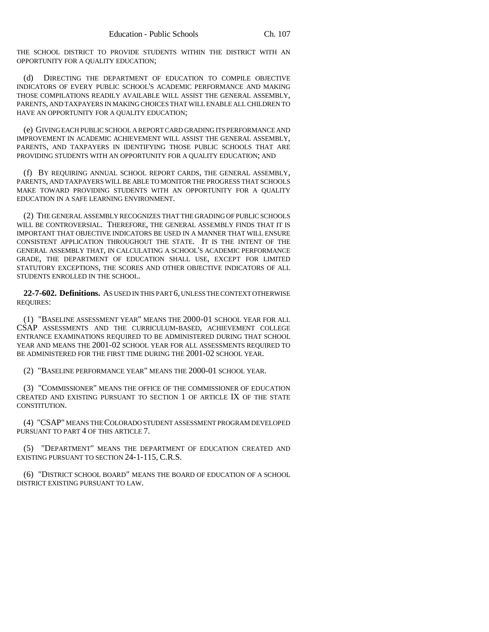THE SCHOOL DISTRICT TO PROVIDE STUDENTS WITHIN THE DISTRICT WITH AN OPPORTUNITY FOR A QUALITY EDUCATION;

(d) DIRECTING THE DEPARTMENT OF EDUCATION TO COMPILE OBJECTIVE INDICATORS OF EVERY PUBLIC SCHOOL'S ACADEMIC PERFORMANCE AND MAKING THOSE COMPILATIONS READILY AVAILABLE WILL ASSIST THE GENERAL ASSEMBLY, PARENTS, AND TAXPAYERS IN MAKING CHOICES THAT WILL ENABLE ALL CHILDREN TO HAVE AN OPPORTUNITY FOR A QUALITY EDUCATION;

(e) GIVING EACH PUBLIC SCHOOL A REPORT CARD GRADING ITS PERFORMANCE AND IMPROVEMENT IN ACADEMIC ACHIEVEMENT WILL ASSIST THE GENERAL ASSEMBLY, PARENTS, AND TAXPAYERS IN IDENTIFYING THOSE PUBLIC SCHOOLS THAT ARE PROVIDING STUDENTS WITH AN OPPORTUNITY FOR A QUALITY EDUCATION; AND

(f) BY REQUIRING ANNUAL SCHOOL REPORT CARDS, THE GENERAL ASSEMBLY, PARENTS, AND TAXPAYERS WILL BE ABLE TO MONITOR THE PROGRESS THAT SCHOOLS MAKE TOWARD PROVIDING STUDENTS WITH AN OPPORTUNITY FOR A QUALITY EDUCATION IN A SAFE LEARNING ENVIRONMENT.

(2) THE GENERAL ASSEMBLY RECOGNIZES THAT THE GRADING OF PUBLIC SCHOOLS WILL BE CONTROVERSIAL. THEREFORE, THE GENERAL ASSEMBLY FINDS THAT IT IS IMPORTANT THAT OBJECTIVE INDICATORS BE USED IN A MANNER THAT WILL ENSURE CONSISTENT APPLICATION THROUGHOUT THE STATE. IT IS THE INTENT OF THE GENERAL ASSEMBLY THAT, IN CALCULATING A SCHOOL'S ACADEMIC PERFORMANCE GRADE, THE DEPARTMENT OF EDUCATION SHALL USE, EXCEPT FOR LIMITED STATUTORY EXCEPTIONS, THE SCORES AND OTHER OBJECTIVE INDICATORS OF ALL STUDENTS ENROLLED IN THE SCHOOL.

**22-7-602. Definitions.** AS USED IN THIS PART 6, UNLESS THE CONTEXT OTHERWISE REQUIRES:

(1) "BASELINE ASSESSMENT YEAR" MEANS THE 2000-01 SCHOOL YEAR FOR ALL CSAP ASSESSMENTS AND THE CURRICULUM-BASED, ACHIEVEMENT COLLEGE ENTRANCE EXAMINATIONS REQUIRED TO BE ADMINISTERED DURING THAT SCHOOL YEAR AND MEANS THE 2001-02 SCHOOL YEAR FOR ALL ASSESSMENTS REQUIRED TO BE ADMINISTERED FOR THE FIRST TIME DURING THE 2001-02 SCHOOL YEAR.

(2) "BASELINE PERFORMANCE YEAR" MEANS THE 2000-01 SCHOOL YEAR.

(3) "COMMISSIONER" MEANS THE OFFICE OF THE COMMISSIONER OF EDUCATION CREATED AND EXISTING PURSUANT TO SECTION 1 OF ARTICLE IX OF THE STATE CONSTITUTION.

(4) "CSAP" MEANS THE COLORADO STUDENT ASSESSMENT PROGRAM DEVELOPED PURSUANT TO PART 4 OF THIS ARTICLE 7.

(5) "DEPARTMENT" MEANS THE DEPARTMENT OF EDUCATION CREATED AND EXISTING PURSUANT TO SECTION 24-1-115, C.R.S.

(6) "DISTRICT SCHOOL BOARD" MEANS THE BOARD OF EDUCATION OF A SCHOOL DISTRICT EXISTING PURSUANT TO LAW.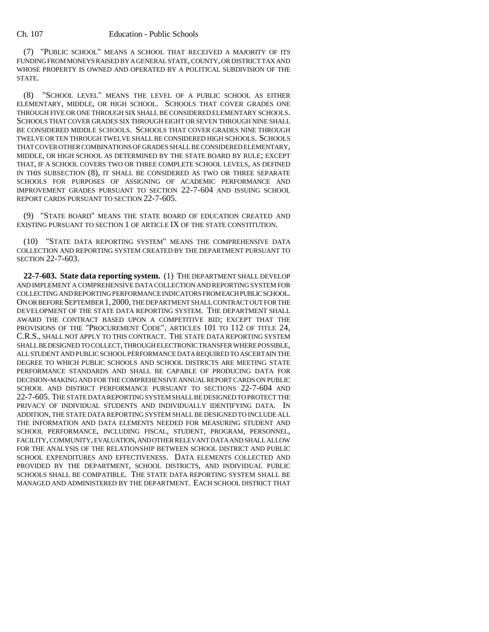#### Ch. 107 Education - Public Schools

(7) "PUBLIC SCHOOL" MEANS A SCHOOL THAT RECEIVED A MAJORITY OF ITS FUNDING FROM MONEYS RAISED BY A GENERAL STATE, COUNTY, OR DISTRICT TAX AND WHOSE PROPERTY IS OWNED AND OPERATED BY A POLITICAL SUBDIVISION OF THE STATE.

(8) "SCHOOL LEVEL" MEANS THE LEVEL OF A PUBLIC SCHOOL AS EITHER ELEMENTARY, MIDDLE, OR HIGH SCHOOL. SCHOOLS THAT COVER GRADES ONE THROUGH FIVE OR ONE THROUGH SIX SHALL BE CONSIDERED ELEMENTARY SCHOOLS. SCHOOLS THAT COVER GRADES SIX THROUGH EIGHT OR SEVEN THROUGH NINE SHALL BE CONSIDERED MIDDLE SCHOOLS. SCHOOLS THAT COVER GRADES NINE THROUGH TWELVE OR TEN THROUGH TWELVE SHALL BE CONSIDERED HIGH SCHOOLS. SCHOOLS THAT COVER OTHER COMBINATIONS OF GRADES SHALL BE CONSIDERED ELEMENTARY, MIDDLE, OR HIGH SCHOOL AS DETERMINED BY THE STATE BOARD BY RULE; EXCEPT THAT, IF A SCHOOL COVERS TWO OR THREE COMPLETE SCHOOL LEVELS, AS DEFINED IN THIS SUBSECTION (8), IT SHALL BE CONSIDERED AS TWO OR THREE SEPARATE SCHOOLS FOR PURPOSES OF ASSIGNING OF ACADEMIC PERFORMANCE AND IMPROVEMENT GRADES PURSUANT TO SECTION 22-7-604 AND ISSUING SCHOOL REPORT CARDS PURSUANT TO SECTION 22-7-605.

(9) "STATE BOARD" MEANS THE STATE BOARD OF EDUCATION CREATED AND EXISTING PURSUANT TO SECTION 1 OF ARTICLE IX OF THE STATE CONSTITUTION.

(10) "STATE DATA REPORTING SYSTEM" MEANS THE COMPREHENSIVE DATA COLLECTION AND REPORTING SYSTEM CREATED BY THE DEPARTMENT PURSUANT TO SECTION 22-7-603.

**22-7-603. State data reporting system.** (1) THE DEPARTMENT SHALL DEVELOP AND IMPLEMENT A COMPREHENSIVE DATA COLLECTION AND REPORTING SYSTEM FOR COLLECTING AND REPORTING PERFORMANCE INDICATORS FROM EACH PUBLIC SCHOOL. ON OR BEFORE SEPTEMBER 1,2000, THE DEPARTMENT SHALL CONTRACT OUT FOR THE DEVELOPMENT OF THE STATE DATA REPORTING SYSTEM. THE DEPARTMENT SHALL AWARD THE CONTRACT BASED UPON A COMPETITIVE BID; EXCEPT THAT THE PROVISIONS OF THE "PROCUREMENT CODE", ARTICLES 101 TO 112 OF TITLE 24, C.R.S., SHALL NOT APPLY TO THIS CONTRACT. THE STATE DATA REPORTING SYSTEM SHALL BE DESIGNED TO COLLECT, THROUGH ELECTRONIC TRANSFER WHERE POSSIBLE, ALL STUDENT AND PUBLIC SCHOOL PERFORMANCE DATA REQUIRED TO ASCERTAIN THE DEGREE TO WHICH PUBLIC SCHOOLS AND SCHOOL DISTRICTS ARE MEETING STATE PERFORMANCE STANDARDS AND SHALL BE CAPABLE OF PRODUCING DATA FOR DECISION-MAKING AND FOR THE COMPREHENSIVE ANNUAL REPORT CARDS ON PUBLIC SCHOOL AND DISTRICT PERFORMANCE PURSUANT TO SECTIONS 22-7-604 AND 22-7-605. THE STATE DATA REPORTING SYSTEM SHALL BE DESIGNED TO PROTECT THE PRIVACY OF INDIVIDUAL STUDENTS AND INDIVIDUALLY IDENTIFYING DATA. IN ADDITION, THE STATE DATA REPORTING SYSTEM SHALL BE DESIGNED TO INCLUDE ALL THE INFORMATION AND DATA ELEMENTS NEEDED FOR MEASURING STUDENT AND SCHOOL PERFORMANCE, INCLUDING FISCAL, STUDENT, PROGRAM, PERSONNEL, FACILITY, COMMUNITY, EVALUATION, AND OTHER RELEVANT DATA AND SHALL ALLOW FOR THE ANALYSIS OF THE RELATIONSHIP BETWEEN SCHOOL DISTRICT AND PUBLIC SCHOOL EXPENDITURES AND EFFECTIVENESS. DATA ELEMENTS COLLECTED AND PROVIDED BY THE DEPARTMENT, SCHOOL DISTRICTS, AND INDIVIDUAL PUBLIC SCHOOLS SHALL BE COMPATIBLE. THE STATE DATA REPORTING SYSTEM SHALL BE MANAGED AND ADMINISTERED BY THE DEPARTMENT. EACH SCHOOL DISTRICT THAT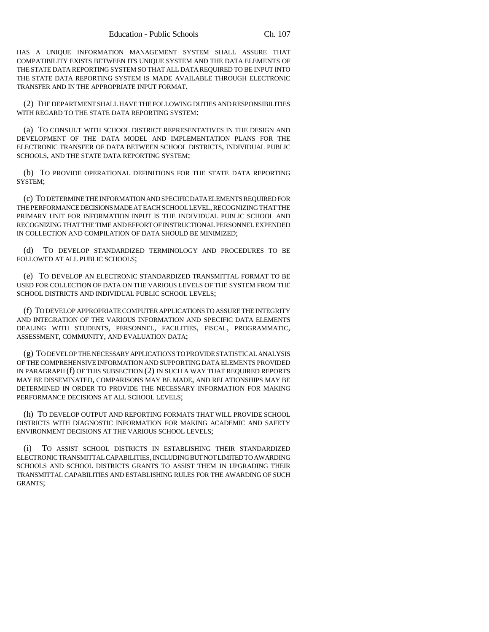HAS A UNIQUE INFORMATION MANAGEMENT SYSTEM SHALL ASSURE THAT COMPATIBILITY EXISTS BETWEEN ITS UNIQUE SYSTEM AND THE DATA ELEMENTS OF THE STATE DATA REPORTING SYSTEM SO THAT ALL DATA REQUIRED TO BE INPUT INTO THE STATE DATA REPORTING SYSTEM IS MADE AVAILABLE THROUGH ELECTRONIC TRANSFER AND IN THE APPROPRIATE INPUT FORMAT.

(2) THE DEPARTMENT SHALL HAVE THE FOLLOWING DUTIES AND RESPONSIBILITIES WITH REGARD TO THE STATE DATA REPORTING SYSTEM:

(a) TO CONSULT WITH SCHOOL DISTRICT REPRESENTATIVES IN THE DESIGN AND DEVELOPMENT OF THE DATA MODEL AND IMPLEMENTATION PLANS FOR THE ELECTRONIC TRANSFER OF DATA BETWEEN SCHOOL DISTRICTS, INDIVIDUAL PUBLIC SCHOOLS, AND THE STATE DATA REPORTING SYSTEM;

(b) TO PROVIDE OPERATIONAL DEFINITIONS FOR THE STATE DATA REPORTING SYSTEM;

(c) TO DETERMINE THE INFORMATION AND SPECIFIC DATA ELEMENTS REQUIRED FOR THE PERFORMANCE DECISIONS MADE AT EACH SCHOOL LEVEL, RECOGNIZING THAT THE PRIMARY UNIT FOR INFORMATION INPUT IS THE INDIVIDUAL PUBLIC SCHOOL AND RECOGNIZING THAT THE TIME AND EFFORT OF INSTRUCTIONAL PERSONNEL EXPENDED IN COLLECTION AND COMPILATION OF DATA SHOULD BE MINIMIZED;

TO DEVELOP STANDARDIZED TERMINOLOGY AND PROCEDURES TO BE FOLLOWED AT ALL PUBLIC SCHOOLS;

(e) TO DEVELOP AN ELECTRONIC STANDARDIZED TRANSMITTAL FORMAT TO BE USED FOR COLLECTION OF DATA ON THE VARIOUS LEVELS OF THE SYSTEM FROM THE SCHOOL DISTRICTS AND INDIVIDUAL PUBLIC SCHOOL LEVELS;

(f) TO DEVELOP APPROPRIATE COMPUTER APPLICATIONS TO ASSURE THE INTEGRITY AND INTEGRATION OF THE VARIOUS INFORMATION AND SPECIFIC DATA ELEMENTS DEALING WITH STUDENTS, PERSONNEL, FACILITIES, FISCAL, PROGRAMMATIC, ASSESSMENT, COMMUNITY, AND EVALUATION DATA;

(g) TO DEVELOP THE NECESSARY APPLICATIONS TO PROVIDE STATISTICAL ANALYSIS OF THE COMPREHENSIVE INFORMATION AND SUPPORTING DATA ELEMENTS PROVIDED IN PARAGRAPH (f) OF THIS SUBSECTION (2) IN SUCH A WAY THAT REQUIRED REPORTS MAY BE DISSEMINATED, COMPARISONS MAY BE MADE, AND RELATIONSHIPS MAY BE DETERMINED IN ORDER TO PROVIDE THE NECESSARY INFORMATION FOR MAKING PERFORMANCE DECISIONS AT ALL SCHOOL LEVELS;

(h) TO DEVELOP OUTPUT AND REPORTING FORMATS THAT WILL PROVIDE SCHOOL DISTRICTS WITH DIAGNOSTIC INFORMATION FOR MAKING ACADEMIC AND SAFETY ENVIRONMENT DECISIONS AT THE VARIOUS SCHOOL LEVELS;

TO ASSIST SCHOOL DISTRICTS IN ESTABLISHING THEIR STANDARDIZED ELECTRONIC TRANSMITTAL CAPABILITIES, INCLUDING BUT NOT LIMITED TO AWARDING SCHOOLS AND SCHOOL DISTRICTS GRANTS TO ASSIST THEM IN UPGRADING THEIR TRANSMITTAL CAPABILITIES AND ESTABLISHING RULES FOR THE AWARDING OF SUCH GRANTS;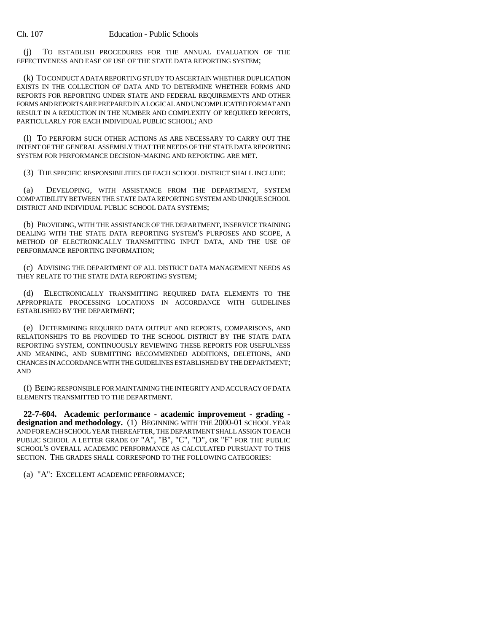#### Ch. 107 Education - Public Schools

(j) TO ESTABLISH PROCEDURES FOR THE ANNUAL EVALUATION OF THE EFFECTIVENESS AND EASE OF USE OF THE STATE DATA REPORTING SYSTEM;

(k) TO CONDUCT A DATA REPORTING STUDY TO ASCERTAIN WHETHER DUPLICATION EXISTS IN THE COLLECTION OF DATA AND TO DETERMINE WHETHER FORMS AND REPORTS FOR REPORTING UNDER STATE AND FEDERAL REQUIREMENTS AND OTHER FORMS AND REPORTS ARE PREPARED IN A LOGICAL AND UNCOMPLICATED FORMAT AND RESULT IN A REDUCTION IN THE NUMBER AND COMPLEXITY OF REQUIRED REPORTS, PARTICULARLY FOR EACH INDIVIDUAL PUBLIC SCHOOL; AND

(l) TO PERFORM SUCH OTHER ACTIONS AS ARE NECESSARY TO CARRY OUT THE INTENT OF THE GENERAL ASSEMBLY THAT THE NEEDS OF THE STATE DATA REPORTING SYSTEM FOR PERFORMANCE DECISION-MAKING AND REPORTING ARE MET.

(3) THE SPECIFIC RESPONSIBILITIES OF EACH SCHOOL DISTRICT SHALL INCLUDE:

(a) DEVELOPING, WITH ASSISTANCE FROM THE DEPARTMENT, SYSTEM COMPATIBILITY BETWEEN THE STATE DATA REPORTING SYSTEM AND UNIQUE SCHOOL DISTRICT AND INDIVIDUAL PUBLIC SCHOOL DATA SYSTEMS;

(b) PROVIDING, WITH THE ASSISTANCE OF THE DEPARTMENT, INSERVICE TRAINING DEALING WITH THE STATE DATA REPORTING SYSTEM'S PURPOSES AND SCOPE, A METHOD OF ELECTRONICALLY TRANSMITTING INPUT DATA, AND THE USE OF PERFORMANCE REPORTING INFORMATION;

(c) ADVISING THE DEPARTMENT OF ALL DISTRICT DATA MANAGEMENT NEEDS AS THEY RELATE TO THE STATE DATA REPORTING SYSTEM;

(d) ELECTRONICALLY TRANSMITTING REQUIRED DATA ELEMENTS TO THE APPROPRIATE PROCESSING LOCATIONS IN ACCORDANCE WITH GUIDELINES ESTABLISHED BY THE DEPARTMENT;

(e) DETERMINING REQUIRED DATA OUTPUT AND REPORTS, COMPARISONS, AND RELATIONSHIPS TO BE PROVIDED TO THE SCHOOL DISTRICT BY THE STATE DATA REPORTING SYSTEM, CONTINUOUSLY REVIEWING THESE REPORTS FOR USEFULNESS AND MEANING, AND SUBMITTING RECOMMENDED ADDITIONS, DELETIONS, AND CHANGES IN ACCORDANCE WITH THE GUIDELINES ESTABLISHED BY THE DEPARTMENT; AND

(f) BEING RESPONSIBLE FOR MAINTAINING THE INTEGRITY AND ACCURACY OF DATA ELEMENTS TRANSMITTED TO THE DEPARTMENT.

**22-7-604. Academic performance - academic improvement - grading designation and methodology.** (1) BEGINNING WITH THE 2000-01 SCHOOL YEAR AND FOR EACH SCHOOL YEAR THEREAFTER, THE DEPARTMENT SHALL ASSIGN TO EACH PUBLIC SCHOOL A LETTER GRADE OF "A", "B", "C", "D", OR "F" FOR THE PUBLIC SCHOOL'S OVERALL ACADEMIC PERFORMANCE AS CALCULATED PURSUANT TO THIS SECTION. THE GRADES SHALL CORRESPOND TO THE FOLLOWING CATEGORIES:

(a) "A": EXCELLENT ACADEMIC PERFORMANCE;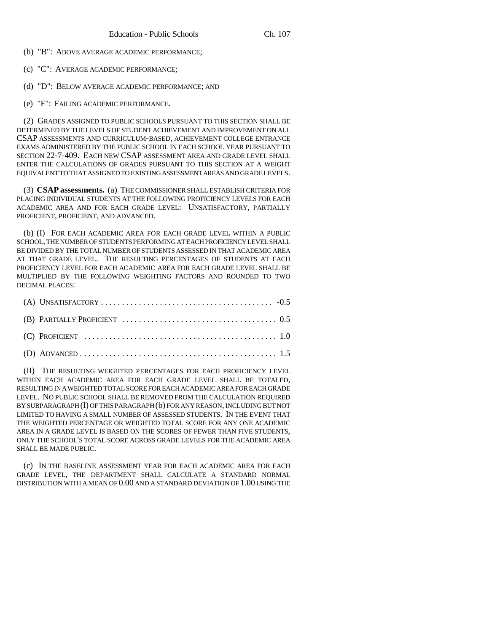(b) "B": ABOVE AVERAGE ACADEMIC PERFORMANCE;

(c) "C": AVERAGE ACADEMIC PERFORMANCE;

(d) "D": BELOW AVERAGE ACADEMIC PERFORMANCE; AND

(e) "F": FAILING ACADEMIC PERFORMANCE.

(2) GRADES ASSIGNED TO PUBLIC SCHOOLS PURSUANT TO THIS SECTION SHALL BE DETERMINED BY THE LEVELS OF STUDENT ACHIEVEMENT AND IMPROVEMENT ON ALL CSAP ASSESSMENTS AND CURRICULUM-BASED, ACHIEVEMENT COLLEGE ENTRANCE EXAMS ADMINISTERED BY THE PUBLIC SCHOOL IN EACH SCHOOL YEAR PURSUANT TO SECTION 22-7-409. EACH NEW CSAP ASSESSMENT AREA AND GRADE LEVEL SHALL ENTER THE CALCULATIONS OF GRADES PURSUANT TO THIS SECTION AT A WEIGHT EQUIVALENT TO THAT ASSIGNED TO EXISTING ASSESSMENT AREAS AND GRADE LEVELS.

(3) **CSAP assessments.** (a) THE COMMISSIONER SHALL ESTABLISH CRITERIA FOR PLACING INDIVIDUAL STUDENTS AT THE FOLLOWING PROFICIENCY LEVELS FOR EACH ACADEMIC AREA AND FOR EACH GRADE LEVEL: UNSATISFACTORY, PARTIALLY PROFICIENT, PROFICIENT, AND ADVANCED.

(b) (I) FOR EACH ACADEMIC AREA FOR EACH GRADE LEVEL WITHIN A PUBLIC SCHOOL, THE NUMBER OF STUDENTS PERFORMING AT EACH PROFICIENCY LEVEL SHALL BE DIVIDED BY THE TOTAL NUMBER OF STUDENTS ASSESSED IN THAT ACADEMIC AREA AT THAT GRADE LEVEL. THE RESULTING PERCENTAGES OF STUDENTS AT EACH PROFICIENCY LEVEL FOR EACH ACADEMIC AREA FOR EACH GRADE LEVEL SHALL BE MULTIPLIED BY THE FOLLOWING WEIGHTING FACTORS AND ROUNDED TO TWO DECIMAL PLACES:

(II) THE RESULTING WEIGHTED PERCENTAGES FOR EACH PROFICIENCY LEVEL WITHIN EACH ACADEMIC AREA FOR EACH GRADE LEVEL SHALL BE TOTALED, RESULTING IN A WEIGHTED TOTAL SCORE FOR EACH ACADEMIC AREA FOR EACH GRADE LEVEL. NO PUBLIC SCHOOL SHALL BE REMOVED FROM THE CALCULATION REQUIRED BY SUBPARAGRAPH (I) OF THIS PARAGRAPH (b) FOR ANY REASON, INCLUDING BUT NOT LIMITED TO HAVING A SMALL NUMBER OF ASSESSED STUDENTS. IN THE EVENT THAT THE WEIGHTED PERCENTAGE OR WEIGHTED TOTAL SCORE FOR ANY ONE ACADEMIC AREA IN A GRADE LEVEL IS BASED ON THE SCORES OF FEWER THAN FIVE STUDENTS, ONLY THE SCHOOL'S TOTAL SCORE ACROSS GRADE LEVELS FOR THE ACADEMIC AREA SHALL BE MADE PUBLIC.

(c) IN THE BASELINE ASSESSMENT YEAR FOR EACH ACADEMIC AREA FOR EACH GRADE LEVEL, THE DEPARTMENT SHALL CALCULATE A STANDARD NORMAL DISTRIBUTION WITH A MEAN OF 0.00 AND A STANDARD DEVIATION OF 1.00 USING THE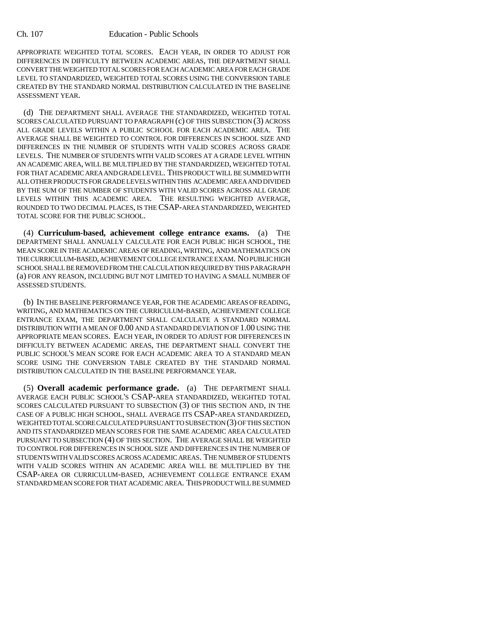APPROPRIATE WEIGHTED TOTAL SCORES. EACH YEAR, IN ORDER TO ADJUST FOR DIFFERENCES IN DIFFICULTY BETWEEN ACADEMIC AREAS, THE DEPARTMENT SHALL CONVERT THE WEIGHTED TOTAL SCORES FOR EACH ACADEMIC AREA FOR EACH GRADE LEVEL TO STANDARDIZED, WEIGHTED TOTAL SCORES USING THE CONVERSION TABLE CREATED BY THE STANDARD NORMAL DISTRIBUTION CALCULATED IN THE BASELINE ASSESSMENT YEAR.

(d) THE DEPARTMENT SHALL AVERAGE THE STANDARDIZED, WEIGHTED TOTAL SCORES CALCULATED PURSUANT TO PARAGRAPH (c) OF THIS SUBSECTION (3) ACROSS ALL GRADE LEVELS WITHIN A PUBLIC SCHOOL FOR EACH ACADEMIC AREA. THE AVERAGE SHALL BE WEIGHTED TO CONTROL FOR DIFFERENCES IN SCHOOL SIZE AND DIFFERENCES IN THE NUMBER OF STUDENTS WITH VALID SCORES ACROSS GRADE LEVELS. THE NUMBER OF STUDENTS WITH VALID SCORES AT A GRADE LEVEL WITHIN AN ACADEMIC AREA, WILL BE MULTIPLIED BY THE STANDARDIZED, WEIGHTED TOTAL FOR THAT ACADEMIC AREA AND GRADE LEVEL. THIS PRODUCT WILL BE SUMMED WITH ALL OTHER PRODUCTS FOR GRADE LEVELS WITHIN THIS ACADEMIC AREA AND DIVIDED BY THE SUM OF THE NUMBER OF STUDENTS WITH VALID SCORES ACROSS ALL GRADE LEVELS WITHIN THIS ACADEMIC AREA. THE RESULTING WEIGHTED AVERAGE, ROUNDED TO TWO DECIMAL PLACES, IS THE CSAP-AREA STANDARDIZED, WEIGHTED TOTAL SCORE FOR THE PUBLIC SCHOOL.

(4) **Curriculum-based, achievement college entrance exams.** (a) THE DEPARTMENT SHALL ANNUALLY CALCULATE FOR EACH PUBLIC HIGH SCHOOL, THE MEAN SCORE IN THE ACADEMIC AREAS OF READING, WRITING, AND MATHEMATICS ON THE CURRICULUM-BASED, ACHIEVEMENT COLLEGE ENTRANCE EXAM. NO PUBLIC HIGH SCHOOL SHALL BE REMOVED FROM THE CALCULATION REQUIRED BY THIS PARAGRAPH (a) FOR ANY REASON, INCLUDING BUT NOT LIMITED TO HAVING A SMALL NUMBER OF ASSESSED STUDENTS.

(b) IN THE BASELINE PERFORMANCE YEAR, FOR THE ACADEMIC AREAS OF READING, WRITING, AND MATHEMATICS ON THE CURRICULUM-BASED, ACHIEVEMENT COLLEGE ENTRANCE EXAM, THE DEPARTMENT SHALL CALCULATE A STANDARD NORMAL DISTRIBUTION WITH A MEAN OF 0.00 AND A STANDARD DEVIATION OF 1.00 USING THE APPROPRIATE MEAN SCORES. EACH YEAR, IN ORDER TO ADJUST FOR DIFFERENCES IN DIFFICULTY BETWEEN ACADEMIC AREAS, THE DEPARTMENT SHALL CONVERT THE PUBLIC SCHOOL'S MEAN SCORE FOR EACH ACADEMIC AREA TO A STANDARD MEAN SCORE USING THE CONVERSION TABLE CREATED BY THE STANDARD NORMAL DISTRIBUTION CALCULATED IN THE BASELINE PERFORMANCE YEAR.

(5) **Overall academic performance grade.** (a) THE DEPARTMENT SHALL AVERAGE EACH PUBLIC SCHOOL'S CSAP-AREA STANDARDIZED, WEIGHTED TOTAL SCORES CALCULATED PURSUANT TO SUBSECTION (3) OF THIS SECTION AND, IN THE CASE OF A PUBLIC HIGH SCHOOL, SHALL AVERAGE ITS CSAP-AREA STANDARDIZED, WEIGHTED TOTAL SCORE CALCULATED PURSUANT TO SUBSECTION (3) OF THIS SECTION AND ITS STANDARDIZED MEAN SCORES FOR THE SAME ACADEMIC AREA CALCULATED PURSUANT TO SUBSECTION (4) OF THIS SECTION. THE AVERAGE SHALL BE WEIGHTED TO CONTROL FOR DIFFERENCES IN SCHOOL SIZE AND DIFFERENCES IN THE NUMBER OF STUDENTS WITH VALID SCORES ACROSS ACADEMIC AREAS. THE NUMBER OF STUDENTS WITH VALID SCORES WITHIN AN ACADEMIC AREA WILL BE MULTIPLIED BY THE CSAP-AREA OR CURRICULUM-BASED, ACHIEVEMENT COLLEGE ENTRANCE EXAM STANDARD MEAN SCORE FOR THAT ACADEMIC AREA. THIS PRODUCT WILL BE SUMMED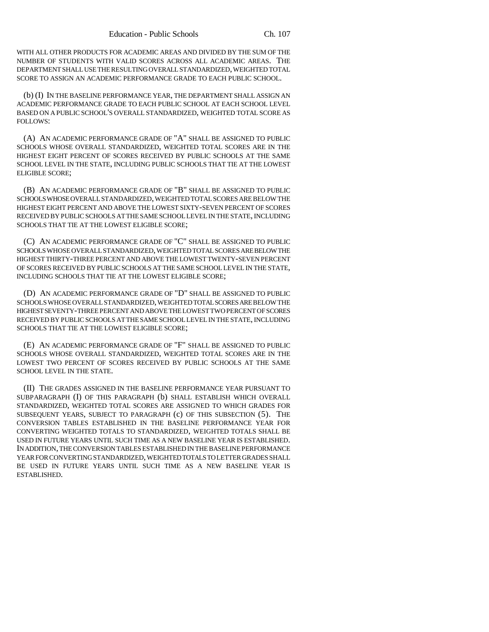WITH ALL OTHER PRODUCTS FOR ACADEMIC AREAS AND DIVIDED BY THE SUM OF THE NUMBER OF STUDENTS WITH VALID SCORES ACROSS ALL ACADEMIC AREAS. THE DEPARTMENT SHALL USE THE RESULTING OVERALL STANDARDIZED, WEIGHTED TOTAL SCORE TO ASSIGN AN ACADEMIC PERFORMANCE GRADE TO EACH PUBLIC SCHOOL.

(b) (I) IN THE BASELINE PERFORMANCE YEAR, THE DEPARTMENT SHALL ASSIGN AN ACADEMIC PERFORMANCE GRADE TO EACH PUBLIC SCHOOL AT EACH SCHOOL LEVEL BASED ON A PUBLIC SCHOOL'S OVERALL STANDARDIZED, WEIGHTED TOTAL SCORE AS FOLLOWS:

(A) AN ACADEMIC PERFORMANCE GRADE OF "A" SHALL BE ASSIGNED TO PUBLIC SCHOOLS WHOSE OVERALL STANDARDIZED, WEIGHTED TOTAL SCORES ARE IN THE HIGHEST EIGHT PERCENT OF SCORES RECEIVED BY PUBLIC SCHOOLS AT THE SAME SCHOOL LEVEL IN THE STATE, INCLUDING PUBLIC SCHOOLS THAT TIE AT THE LOWEST ELIGIBLE SCORE;

(B) AN ACADEMIC PERFORMANCE GRADE OF "B" SHALL BE ASSIGNED TO PUBLIC SCHOOLS WHOSE OVERALL STANDARDIZED, WEIGHTED TOTAL SCORES ARE BELOW THE HIGHEST EIGHT PERCENT AND ABOVE THE LOWEST SIXTY-SEVEN PERCENT OF SCORES RECEIVED BY PUBLIC SCHOOLS AT THE SAME SCHOOL LEVEL IN THE STATE, INCLUDING SCHOOLS THAT TIE AT THE LOWEST ELIGIBLE SCORE;

(C) AN ACADEMIC PERFORMANCE GRADE OF "C" SHALL BE ASSIGNED TO PUBLIC SCHOOLS WHOSE OVERALL STANDARDIZED, WEIGHTED TOTAL SCORES ARE BELOW THE HIGHEST THIRTY-THREE PERCENT AND ABOVE THE LOWEST TWENTY-SEVEN PERCENT OF SCORES RECEIVED BY PUBLIC SCHOOLS AT THE SAME SCHOOL LEVEL IN THE STATE, INCLUDING SCHOOLS THAT TIE AT THE LOWEST ELIGIBLE SCORE;

(D) AN ACADEMIC PERFORMANCE GRADE OF "D" SHALL BE ASSIGNED TO PUBLIC SCHOOLS WHOSE OVERALL STANDARDIZED, WEIGHTED TOTAL SCORES ARE BELOW THE HIGHEST SEVENTY-THREE PERCENT AND ABOVE THE LOWEST TWO PERCENT OF SCORES RECEIVED BY PUBLIC SCHOOLS AT THE SAME SCHOOL LEVEL IN THE STATE, INCLUDING SCHOOLS THAT TIE AT THE LOWEST ELIGIBLE SCORE;

(E) AN ACADEMIC PERFORMANCE GRADE OF "F" SHALL BE ASSIGNED TO PUBLIC SCHOOLS WHOSE OVERALL STANDARDIZED, WEIGHTED TOTAL SCORES ARE IN THE LOWEST TWO PERCENT OF SCORES RECEIVED BY PUBLIC SCHOOLS AT THE SAME SCHOOL LEVEL IN THE STATE.

(II) THE GRADES ASSIGNED IN THE BASELINE PERFORMANCE YEAR PURSUANT TO SUBPARAGRAPH (I) OF THIS PARAGRAPH (b) SHALL ESTABLISH WHICH OVERALL STANDARDIZED, WEIGHTED TOTAL SCORES ARE ASSIGNED TO WHICH GRADES FOR SUBSEQUENT YEARS, SUBJECT TO PARAGRAPH (c) OF THIS SUBSECTION (5). THE CONVERSION TABLES ESTABLISHED IN THE BASELINE PERFORMANCE YEAR FOR CONVERTING WEIGHTED TOTALS TO STANDARDIZED, WEIGHTED TOTALS SHALL BE USED IN FUTURE YEARS UNTIL SUCH TIME AS A NEW BASELINE YEAR IS ESTABLISHED. IN ADDITION, THE CONVERSION TABLES ESTABLISHED IN THE BASELINE PERFORMANCE YEAR FOR CONVERTING STANDARDIZED, WEIGHTED TOTALS TO LETTER GRADES SHALL BE USED IN FUTURE YEARS UNTIL SUCH TIME AS A NEW BASELINE YEAR IS ESTABLISHED.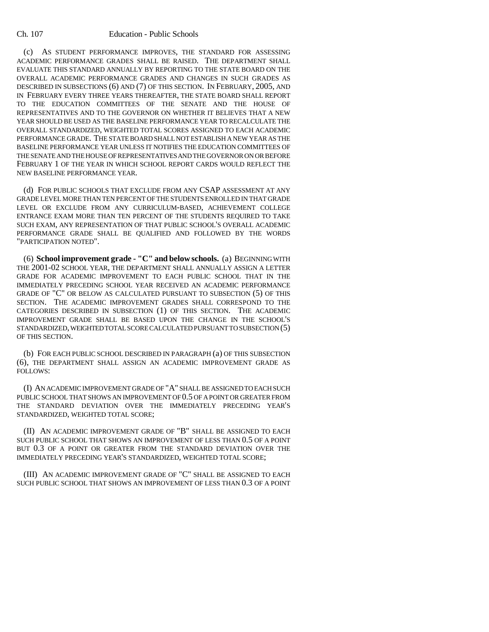#### Ch. 107 Education - Public Schools

(c) AS STUDENT PERFORMANCE IMPROVES, THE STANDARD FOR ASSESSING ACADEMIC PERFORMANCE GRADES SHALL BE RAISED. THE DEPARTMENT SHALL EVALUATE THIS STANDARD ANNUALLY BY REPORTING TO THE STATE BOARD ON THE OVERALL ACADEMIC PERFORMANCE GRADES AND CHANGES IN SUCH GRADES AS DESCRIBED IN SUBSECTIONS (6) AND (7) OF THIS SECTION. IN FEBRUARY, 2005, AND IN FEBRUARY EVERY THREE YEARS THEREAFTER, THE STATE BOARD SHALL REPORT TO THE EDUCATION COMMITTEES OF THE SENATE AND THE HOUSE OF REPRESENTATIVES AND TO THE GOVERNOR ON WHETHER IT BELIEVES THAT A NEW YEAR SHOULD BE USED AS THE BASELINE PERFORMANCE YEAR TO RECALCULATE THE OVERALL STANDARDIZED, WEIGHTED TOTAL SCORES ASSIGNED TO EACH ACADEMIC PERFORMANCE GRADE. THE STATE BOARD SHALL NOT ESTABLISH A NEW YEAR AS THE BASELINE PERFORMANCE YEAR UNLESS IT NOTIFIES THE EDUCATION COMMITTEES OF THE SENATE AND THE HOUSE OF REPRESENTATIVES AND THE GOVERNOR ON OR BEFORE FEBRUARY 1 OF THE YEAR IN WHICH SCHOOL REPORT CARDS WOULD REFLECT THE NEW BASELINE PERFORMANCE YEAR.

(d) FOR PUBLIC SCHOOLS THAT EXCLUDE FROM ANY CSAP ASSESSMENT AT ANY GRADE LEVEL MORE THAN TEN PERCENT OF THE STUDENTS ENROLLED IN THAT GRADE LEVEL OR EXCLUDE FROM ANY CURRICULUM-BASED, ACHIEVEMENT COLLEGE ENTRANCE EXAM MORE THAN TEN PERCENT OF THE STUDENTS REQUIRED TO TAKE SUCH EXAM, ANY REPRESENTATION OF THAT PUBLIC SCHOOL'S OVERALL ACADEMIC PERFORMANCE GRADE SHALL BE QUALIFIED AND FOLLOWED BY THE WORDS "PARTICIPATION NOTED".

(6) **School improvement grade - "C" and below schools.** (a) BEGINNING WITH THE 2001-02 SCHOOL YEAR, THE DEPARTMENT SHALL ANNUALLY ASSIGN A LETTER GRADE FOR ACADEMIC IMPROVEMENT TO EACH PUBLIC SCHOOL THAT IN THE IMMEDIATELY PRECEDING SCHOOL YEAR RECEIVED AN ACADEMIC PERFORMANCE GRADE OF "C" OR BELOW AS CALCULATED PURSUANT TO SUBSECTION (5) OF THIS SECTION. THE ACADEMIC IMPROVEMENT GRADES SHALL CORRESPOND TO THE CATEGORIES DESCRIBED IN SUBSECTION (1) OF THIS SECTION. THE ACADEMIC IMPROVEMENT GRADE SHALL BE BASED UPON THE CHANGE IN THE SCHOOL'S STANDARDIZED, WEIGHTED TOTAL SCORE CALCULATED PURSUANT TO SUBSECTION (5) OF THIS SECTION.

(b) FOR EACH PUBLIC SCHOOL DESCRIBED IN PARAGRAPH (a) OF THIS SUBSECTION (6), THE DEPARTMENT SHALL ASSIGN AN ACADEMIC IMPROVEMENT GRADE AS FOLLOWS:

(I) AN ACADEMIC IMPROVEMENT GRADE OF "A" SHALL BE ASSIGNED TO EACH SUCH PUBLIC SCHOOL THAT SHOWS AN IMPROVEMENT OF 0.5 OF A POINT OR GREATER FROM THE STANDARD DEVIATION OVER THE IMMEDIATELY PRECEDING YEAR'S STANDARDIZED, WEIGHTED TOTAL SCORE;

(II) AN ACADEMIC IMPROVEMENT GRADE OF "B" SHALL BE ASSIGNED TO EACH SUCH PUBLIC SCHOOL THAT SHOWS AN IMPROVEMENT OF LESS THAN 0.5 OF A POINT BUT 0.3 OF A POINT OR GREATER FROM THE STANDARD DEVIATION OVER THE IMMEDIATELY PRECEDING YEAR'S STANDARDIZED, WEIGHTED TOTAL SCORE;

(III) AN ACADEMIC IMPROVEMENT GRADE OF "C" SHALL BE ASSIGNED TO EACH SUCH PUBLIC SCHOOL THAT SHOWS AN IMPROVEMENT OF LESS THAN 0.3 OF A POINT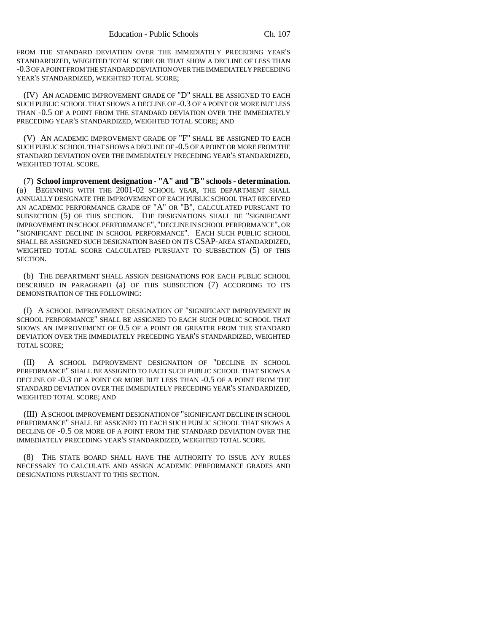FROM THE STANDARD DEVIATION OVER THE IMMEDIATELY PRECEDING YEAR'S STANDARDIZED, WEIGHTED TOTAL SCORE OR THAT SHOW A DECLINE OF LESS THAN -0.3 OF A POINT FROM THE STANDARD DEVIATION OVER THE IMMEDIATELY PRECEDING YEAR'S STANDARDIZED, WEIGHTED TOTAL SCORE;

(IV) AN ACADEMIC IMPROVEMENT GRADE OF "D" SHALL BE ASSIGNED TO EACH SUCH PUBLIC SCHOOL THAT SHOWS A DECLINE OF -0.3 OF A POINT OR MORE BUT LESS THAN -0.5 OF A POINT FROM THE STANDARD DEVIATION OVER THE IMMEDIATELY PRECEDING YEAR'S STANDARDIZED, WEIGHTED TOTAL SCORE; AND

(V) AN ACADEMIC IMPROVEMENT GRADE OF "F" SHALL BE ASSIGNED TO EACH SUCH PUBLIC SCHOOL THAT SHOWS A DECLINE OF -0.5 OF A POINT OR MORE FROM THE STANDARD DEVIATION OVER THE IMMEDIATELY PRECEDING YEAR'S STANDARDIZED, WEIGHTED TOTAL SCORE.

(7) **School improvement designation - "A" and "B" schools - determination.** BEGINNING WITH THE 2001-02 SCHOOL YEAR, THE DEPARTMENT SHALL ANNUALLY DESIGNATE THE IMPROVEMENT OF EACH PUBLIC SCHOOL THAT RECEIVED AN ACADEMIC PERFORMANCE GRADE OF "A" OR "B", CALCULATED PURSUANT TO SUBSECTION (5) OF THIS SECTION. THE DESIGNATIONS SHALL BE "SIGNIFICANT IMPROVEMENT IN SCHOOL PERFORMANCE", "DECLINE IN SCHOOL PERFORMANCE", OR "SIGNIFICANT DECLINE IN SCHOOL PERFORMANCE". EACH SUCH PUBLIC SCHOOL SHALL BE ASSIGNED SUCH DESIGNATION BASED ON ITS CSAP-AREA STANDARDIZED, WEIGHTED TOTAL SCORE CALCULATED PURSUANT TO SUBSECTION (5) OF THIS SECTION.

(b) THE DEPARTMENT SHALL ASSIGN DESIGNATIONS FOR EACH PUBLIC SCHOOL DESCRIBED IN PARAGRAPH (a) OF THIS SUBSECTION (7) ACCORDING TO ITS DEMONSTRATION OF THE FOLLOWING:

(I) A SCHOOL IMPROVEMENT DESIGNATION OF "SIGNIFICANT IMPROVEMENT IN SCHOOL PERFORMANCE" SHALL BE ASSIGNED TO EACH SUCH PUBLIC SCHOOL THAT SHOWS AN IMPROVEMENT OF 0.5 OF A POINT OR GREATER FROM THE STANDARD DEVIATION OVER THE IMMEDIATELY PRECEDING YEAR'S STANDARDIZED, WEIGHTED TOTAL SCORE;

(II) A SCHOOL IMPROVEMENT DESIGNATION OF "DECLINE IN SCHOOL PERFORMANCE" SHALL BE ASSIGNED TO EACH SUCH PUBLIC SCHOOL THAT SHOWS A DECLINE OF -0.3 OF A POINT OR MORE BUT LESS THAN -0.5 OF A POINT FROM THE STANDARD DEVIATION OVER THE IMMEDIATELY PRECEDING YEAR'S STANDARDIZED, WEIGHTED TOTAL SCORE; AND

(III) A SCHOOL IMPROVEMENT DESIGNATION OF "SIGNIFICANT DECLINE IN SCHOOL PERFORMANCE" SHALL BE ASSIGNED TO EACH SUCH PUBLIC SCHOOL THAT SHOWS A DECLINE OF -0.5 OR MORE OF A POINT FROM THE STANDARD DEVIATION OVER THE IMMEDIATELY PRECEDING YEAR'S STANDARDIZED, WEIGHTED TOTAL SCORE.

(8) THE STATE BOARD SHALL HAVE THE AUTHORITY TO ISSUE ANY RULES NECESSARY TO CALCULATE AND ASSIGN ACADEMIC PERFORMANCE GRADES AND DESIGNATIONS PURSUANT TO THIS SECTION.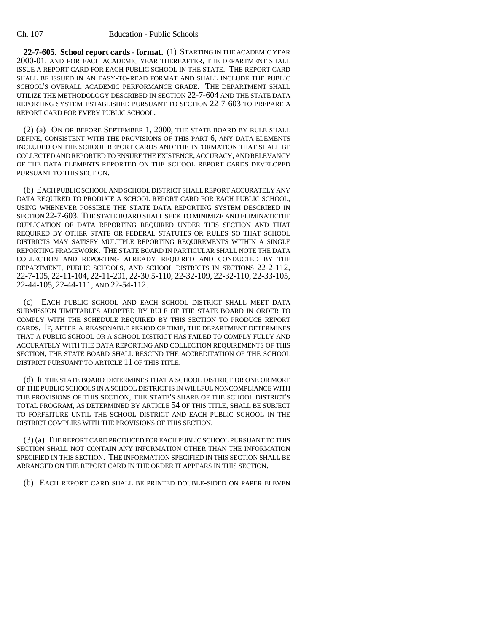**22-7-605. School report cards - format.** (1) STARTING IN THE ACADEMIC YEAR 2000-01, AND FOR EACH ACADEMIC YEAR THEREAFTER, THE DEPARTMENT SHALL ISSUE A REPORT CARD FOR EACH PUBLIC SCHOOL IN THE STATE. THE REPORT CARD SHALL BE ISSUED IN AN EASY-TO-READ FORMAT AND SHALL INCLUDE THE PUBLIC SCHOOL'S OVERALL ACADEMIC PERFORMANCE GRADE. THE DEPARTMENT SHALL UTILIZE THE METHODOLOGY DESCRIBED IN SECTION 22-7-604 AND THE STATE DATA REPORTING SYSTEM ESTABLISHED PURSUANT TO SECTION 22-7-603 TO PREPARE A REPORT CARD FOR EVERY PUBLIC SCHOOL.

(2) (a) ON OR BEFORE SEPTEMBER 1, 2000, THE STATE BOARD BY RULE SHALL DEFINE, CONSISTENT WITH THE PROVISIONS OF THIS PART 6, ANY DATA ELEMENTS INCLUDED ON THE SCHOOL REPORT CARDS AND THE INFORMATION THAT SHALL BE COLLECTED AND REPORTED TO ENSURE THE EXISTENCE, ACCURACY, AND RELEVANCY OF THE DATA ELEMENTS REPORTED ON THE SCHOOL REPORT CARDS DEVELOPED PURSUANT TO THIS SECTION.

(b) EACH PUBLIC SCHOOL AND SCHOOL DISTRICT SHALL REPORT ACCURATELY ANY DATA REQUIRED TO PRODUCE A SCHOOL REPORT CARD FOR EACH PUBLIC SCHOOL, USING WHENEVER POSSIBLE THE STATE DATA REPORTING SYSTEM DESCRIBED IN SECTION 22-7-603. THE STATE BOARD SHALL SEEK TO MINIMIZE AND ELIMINATE THE DUPLICATION OF DATA REPORTING REQUIRED UNDER THIS SECTION AND THAT REQUIRED BY OTHER STATE OR FEDERAL STATUTES OR RULES SO THAT SCHOOL DISTRICTS MAY SATISFY MULTIPLE REPORTING REQUIREMENTS WITHIN A SINGLE REPORTING FRAMEWORK. THE STATE BOARD IN PARTICULAR SHALL NOTE THE DATA COLLECTION AND REPORTING ALREADY REQUIRED AND CONDUCTED BY THE DEPARTMENT, PUBLIC SCHOOLS, AND SCHOOL DISTRICTS IN SECTIONS 22-2-112, 22-7-105, 22-11-104, 22-11-201, 22-30.5-110, 22-32-109, 22-32-110, 22-33-105, 22-44-105, 22-44-111, AND 22-54-112.

(c) EACH PUBLIC SCHOOL AND EACH SCHOOL DISTRICT SHALL MEET DATA SUBMISSION TIMETABLES ADOPTED BY RULE OF THE STATE BOARD IN ORDER TO COMPLY WITH THE SCHEDULE REQUIRED BY THIS SECTION TO PRODUCE REPORT CARDS. IF, AFTER A REASONABLE PERIOD OF TIME, THE DEPARTMENT DETERMINES THAT A PUBLIC SCHOOL OR A SCHOOL DISTRICT HAS FAILED TO COMPLY FULLY AND ACCURATELY WITH THE DATA REPORTING AND COLLECTION REQUIREMENTS OF THIS SECTION, THE STATE BOARD SHALL RESCIND THE ACCREDITATION OF THE SCHOOL DISTRICT PURSUANT TO ARTICLE 11 OF THIS TITLE.

(d) IF THE STATE BOARD DETERMINES THAT A SCHOOL DISTRICT OR ONE OR MORE OF THE PUBLIC SCHOOLS IN A SCHOOL DISTRICT IS IN WILLFUL NONCOMPLIANCE WITH THE PROVISIONS OF THIS SECTION, THE STATE'S SHARE OF THE SCHOOL DISTRICT'S TOTAL PROGRAM, AS DETERMINED BY ARTICLE 54 OF THIS TITLE, SHALL BE SUBJECT TO FORFEITURE UNTIL THE SCHOOL DISTRICT AND EACH PUBLIC SCHOOL IN THE DISTRICT COMPLIES WITH THE PROVISIONS OF THIS SECTION.

(3) (a) THE REPORT CARD PRODUCED FOR EACH PUBLIC SCHOOL PURSUANT TO THIS SECTION SHALL NOT CONTAIN ANY INFORMATION OTHER THAN THE INFORMATION SPECIFIED IN THIS SECTION. THE INFORMATION SPECIFIED IN THIS SECTION SHALL BE ARRANGED ON THE REPORT CARD IN THE ORDER IT APPEARS IN THIS SECTION.

(b) EACH REPORT CARD SHALL BE PRINTED DOUBLE-SIDED ON PAPER ELEVEN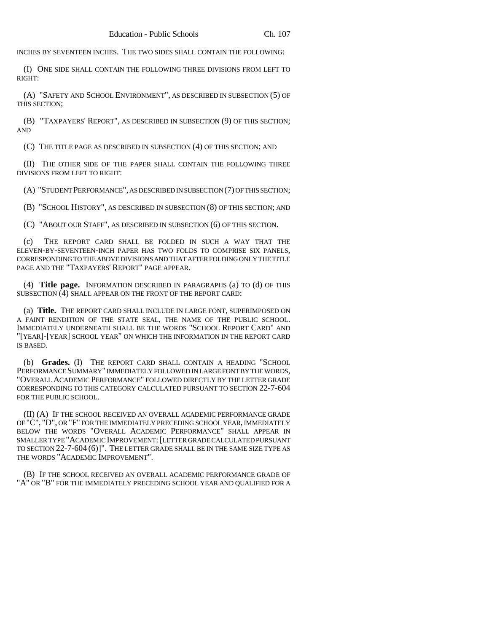INCHES BY SEVENTEEN INCHES. THE TWO SIDES SHALL CONTAIN THE FOLLOWING:

(I) ONE SIDE SHALL CONTAIN THE FOLLOWING THREE DIVISIONS FROM LEFT TO RIGHT:

(A) "SAFETY AND SCHOOL ENVIRONMENT", AS DESCRIBED IN SUBSECTION (5) OF THIS SECTION;

(B) "TAXPAYERS' REPORT", AS DESCRIBED IN SUBSECTION (9) OF THIS SECTION; AND

(C) THE TITLE PAGE AS DESCRIBED IN SUBSECTION (4) OF THIS SECTION; AND

(II) THE OTHER SIDE OF THE PAPER SHALL CONTAIN THE FOLLOWING THREE DIVISIONS FROM LEFT TO RIGHT:

(A) "STUDENT PERFORMANCE", AS DESCRIBED IN SUBSECTION (7) OF THIS SECTION;

(B) "SCHOOL HISTORY", AS DESCRIBED IN SUBSECTION (8) OF THIS SECTION; AND

(C) "ABOUT OUR STAFF", AS DESCRIBED IN SUBSECTION (6) OF THIS SECTION.

(c) THE REPORT CARD SHALL BE FOLDED IN SUCH A WAY THAT THE ELEVEN-BY-SEVENTEEN-INCH PAPER HAS TWO FOLDS TO COMPRISE SIX PANELS, CORRESPONDING TO THE ABOVE DIVISIONS AND THAT AFTER FOLDING ONLY THE TITLE PAGE AND THE "TAXPAYERS' REPORT" PAGE APPEAR.

(4) **Title page.** INFORMATION DESCRIBED IN PARAGRAPHS (a) TO (d) OF THIS SUBSECTION (4) SHALL APPEAR ON THE FRONT OF THE REPORT CARD:

(a) **Title.** THE REPORT CARD SHALL INCLUDE IN LARGE FONT, SUPERIMPOSED ON A FAINT RENDITION OF THE STATE SEAL, THE NAME OF THE PUBLIC SCHOOL. IMMEDIATELY UNDERNEATH SHALL BE THE WORDS "SCHOOL REPORT CARD" AND "[YEAR]-[YEAR] SCHOOL YEAR" ON WHICH THE INFORMATION IN THE REPORT CARD IS BASED.

(b) **Grades.** (I) THE REPORT CARD SHALL CONTAIN A HEADING "SCHOOL PERFORMANCE SUMMARY" IMMEDIATELY FOLLOWED IN LARGE FONT BY THE WORDS, "OVERALL ACADEMIC PERFORMANCE" FOLLOWED DIRECTLY BY THE LETTER GRADE CORRESPONDING TO THIS CATEGORY CALCULATED PURSUANT TO SECTION 22-7-604 FOR THE PUBLIC SCHOOL.

(II) (A) IF THE SCHOOL RECEIVED AN OVERALL ACADEMIC PERFORMANCE GRADE OF "C", "D", OR "F" FOR THE IMMEDIATELY PRECEDING SCHOOL YEAR, IMMEDIATELY BELOW THE WORDS "OVERALL ACADEMIC PERFORMANCE" SHALL APPEAR IN SMALLER TYPE "ACADEMIC IMPROVEMENT:[LETTER GRADE CALCULATED PURSUANT TO SECTION 22-7-604 (6)]". THE LETTER GRADE SHALL BE IN THE SAME SIZE TYPE AS THE WORDS "ACADEMIC IMPROVEMENT".

(B) IF THE SCHOOL RECEIVED AN OVERALL ACADEMIC PERFORMANCE GRADE OF "A" OR "B" FOR THE IMMEDIATELY PRECEDING SCHOOL YEAR AND QUALIFIED FOR A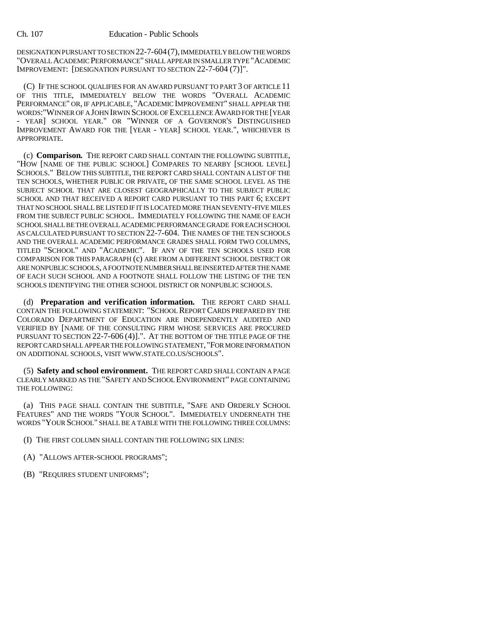DESIGNATION PURSUANT TO SECTION 22-7-604(7), IMMEDIATELY BELOW THE WORDS "OVERALL ACADEMIC PERFORMANCE" SHALL APPEAR IN SMALLER TYPE "ACADEMIC IMPROVEMENT: [DESIGNATION PURSUANT TO SECTION 22-7-604 (7)]".

(C) IF THE SCHOOL QUALIFIES FOR AN AWARD PURSUANT TO PART 3 OF ARTICLE 11 OF THIS TITLE, IMMEDIATELY BELOW THE WORDS "OVERALL ACADEMIC PERFORMANCE" OR, IF APPLICABLE, "ACADEMIC IMPROVEMENT" SHALL APPEAR THE WORDS:"WINNER OF A JOHN IRWIN SCHOOL OF EXCELLENCE AWARD FOR THE [YEAR - YEAR] SCHOOL YEAR." OR "WINNER OF A GOVERNOR'S DISTINGUISHED IMPROVEMENT AWARD FOR THE [YEAR - YEAR] SCHOOL YEAR.", WHICHEVER IS APPROPRIATE.

(c) **Comparison.** THE REPORT CARD SHALL CONTAIN THE FOLLOWING SUBTITLE, "HOW [NAME OF THE PUBLIC SCHOOL] COMPARES TO NEARBY [SCHOOL LEVEL] SCHOOLS." BELOW THIS SUBTITLE, THE REPORT CARD SHALL CONTAIN A LIST OF THE TEN SCHOOLS, WHETHER PUBLIC OR PRIVATE, OF THE SAME SCHOOL LEVEL AS THE SUBJECT SCHOOL THAT ARE CLOSEST GEOGRAPHICALLY TO THE SUBJECT PUBLIC SCHOOL AND THAT RECEIVED A REPORT CARD PURSUANT TO THIS PART 6; EXCEPT THAT NO SCHOOL SHALL BE LISTED IF IT IS LOCATED MORE THAN SEVENTY-FIVE MILES FROM THE SUBJECT PUBLIC SCHOOL. IMMEDIATELY FOLLOWING THE NAME OF EACH SCHOOL SHALL BE THE OVERALL ACADEMIC PERFORMANCE GRADE FOR EACH SCHOOL AS CALCULATED PURSUANT TO SECTION 22-7-604. THE NAMES OF THE TEN SCHOOLS AND THE OVERALL ACADEMIC PERFORMANCE GRADES SHALL FORM TWO COLUMNS, TITLED "SCHOOL" AND "ACADEMIC". IF ANY OF THE TEN SCHOOLS USED FOR COMPARISON FOR THIS PARAGRAPH (c) ARE FROM A DIFFERENT SCHOOL DISTRICT OR ARE NONPUBLIC SCHOOLS, A FOOTNOTE NUMBER SHALL BE INSERTED AFTER THE NAME OF EACH SUCH SCHOOL AND A FOOTNOTE SHALL FOLLOW THE LISTING OF THE TEN SCHOOLS IDENTIFYING THE OTHER SCHOOL DISTRICT OR NONPUBLIC SCHOOLS.

(d) **Preparation and verification information.** THE REPORT CARD SHALL CONTAIN THE FOLLOWING STATEMENT: "SCHOOL REPORT CARDS PREPARED BY THE COLORADO DEPARTMENT OF EDUCATION ARE INDEPENDENTLY AUDITED AND VERIFIED BY [NAME OF THE CONSULTING FIRM WHOSE SERVICES ARE PROCURED PURSUANT TO SECTION 22-7-606 (4)].". AT THE BOTTOM OF THE TITLE PAGE OF THE REPORT CARD SHALL APPEAR THE FOLLOWING STATEMENT, "FOR MORE INFORMATION ON ADDITIONAL SCHOOLS, VISIT WWW.STATE.CO.US/SCHOOLS".

(5) **Safety and school environment.** THE REPORT CARD SHALL CONTAIN A PAGE CLEARLY MARKED AS THE "SAFETY AND SCHOOL ENVIRONMENT" PAGE CONTAINING THE FOLLOWING:

(a) THIS PAGE SHALL CONTAIN THE SUBTITLE, "SAFE AND ORDERLY SCHOOL FEATURES" AND THE WORDS "YOUR SCHOOL". IMMEDIATELY UNDERNEATH THE WORDS "YOUR SCHOOL" SHALL BE A TABLE WITH THE FOLLOWING THREE COLUMNS:

- (I) THE FIRST COLUMN SHALL CONTAIN THE FOLLOWING SIX LINES:
- (A) "ALLOWS AFTER-SCHOOL PROGRAMS";
- (B) "REQUIRES STUDENT UNIFORMS";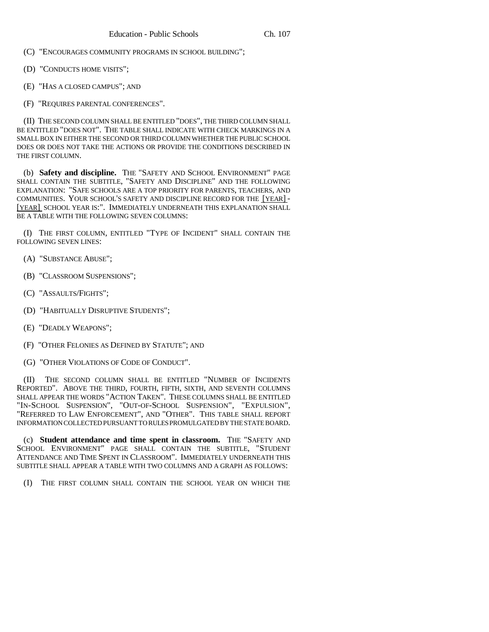(C) "ENCOURAGES COMMUNITY PROGRAMS IN SCHOOL BUILDING";

(D) "CONDUCTS HOME VISITS";

(E) "HAS A CLOSED CAMPUS"; AND

(F) "REQUIRES PARENTAL CONFERENCES".

(II) THE SECOND COLUMN SHALL BE ENTITLED "DOES", THE THIRD COLUMN SHALL BE ENTITLED "DOES NOT". THE TABLE SHALL INDICATE WITH CHECK MARKINGS IN A SMALL BOX IN EITHER THE SECOND OR THIRD COLUMN WHETHER THE PUBLIC SCHOOL DOES OR DOES NOT TAKE THE ACTIONS OR PROVIDE THE CONDITIONS DESCRIBED IN THE FIRST COLUMN.

(b) **Safety and discipline.** THE "SAFETY AND SCHOOL ENVIRONMENT" PAGE SHALL CONTAIN THE SUBTITLE, "SAFETY AND DISCIPLINE" AND THE FOLLOWING EXPLANATION: "SAFE SCHOOLS ARE A TOP PRIORITY FOR PARENTS, TEACHERS, AND COMMUNITIES. YOUR SCHOOL'S SAFETY AND DISCIPLINE RECORD FOR THE [YEAR] - [YEAR] SCHOOL YEAR IS:". IMMEDIATELY UNDERNEATH THIS EXPLANATION SHALL BE A TABLE WITH THE FOLLOWING SEVEN COLUMNS:

(I) THE FIRST COLUMN, ENTITLED "TYPE OF INCIDENT" SHALL CONTAIN THE FOLLOWING SEVEN LINES:

(A) "SUBSTANCE ABUSE";

(B) "CLASSROOM SUSPENSIONS";

(C) "ASSAULTS/FIGHTS";

(D) "HABITUALLY DISRUPTIVE STUDENTS";

(E) "DEADLY WEAPONS";

(F) "OTHER FELONIES AS DEFINED BY STATUTE"; AND

(G) "OTHER VIOLATIONS OF CODE OF CONDUCT".

(II) THE SECOND COLUMN SHALL BE ENTITLED "NUMBER OF INCIDENTS REPORTED". ABOVE THE THIRD, FOURTH, FIFTH, SIXTH, AND SEVENTH COLUMNS SHALL APPEAR THE WORDS "ACTION TAKEN". THESE COLUMNS SHALL BE ENTITLED "IN-SCHOOL SUSPENSION", "OUT-OF-SCHOOL SUSPENSION", "EXPULSION", "REFERRED TO LAW ENFORCEMENT", AND "OTHER". THIS TABLE SHALL REPORT INFORMATION COLLECTED PURSUANT TO RULES PROMULGATED BY THE STATE BOARD.

(c) **Student attendance and time spent in classroom.** THE "SAFETY AND SCHOOL ENVIRONMENT" PAGE SHALL CONTAIN THE SUBTITLE, "STUDENT ATTENDANCE AND TIME SPENT IN CLASSROOM". IMMEDIATELY UNDERNEATH THIS SUBTITLE SHALL APPEAR A TABLE WITH TWO COLUMNS AND A GRAPH AS FOLLOWS:

(I) THE FIRST COLUMN SHALL CONTAIN THE SCHOOL YEAR ON WHICH THE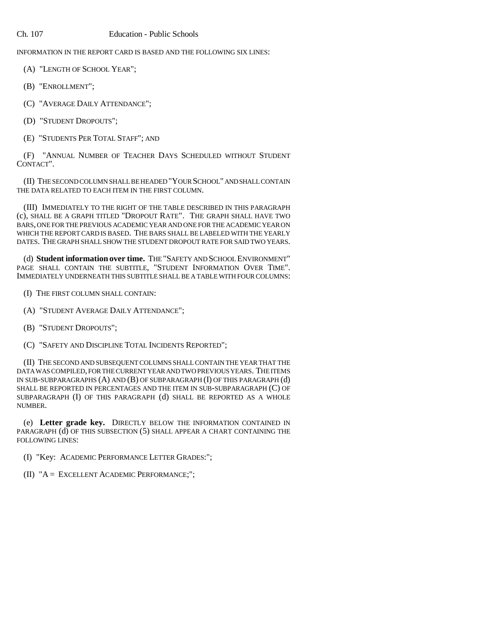## Ch. 107 Education - Public Schools

INFORMATION IN THE REPORT CARD IS BASED AND THE FOLLOWING SIX LINES:

(A) "LENGTH OF SCHOOL YEAR";

(B) "ENROLLMENT";

(C) "AVERAGE DAILY ATTENDANCE";

(D) "STUDENT DROPOUTS";

(E) "STUDENTS PER TOTAL STAFF"; AND

(F) "ANNUAL NUMBER OF TEACHER DAYS SCHEDULED WITHOUT STUDENT CONTACT".

(II) THE SECOND COLUMN SHALL BE HEADED "YOUR SCHOOL" AND SHALL CONTAIN THE DATA RELATED TO EACH ITEM IN THE FIRST COLUMN.

(III) IMMEDIATELY TO THE RIGHT OF THE TABLE DESCRIBED IN THIS PARAGRAPH (c), SHALL BE A GRAPH TITLED "DROPOUT RATE". THE GRAPH SHALL HAVE TWO BARS, ONE FOR THE PREVIOUS ACADEMIC YEAR AND ONE FOR THE ACADEMIC YEAR ON WHICH THE REPORT CARD IS BASED. THE BARS SHALL BE LABELED WITH THE YEARLY DATES. THE GRAPH SHALL SHOW THE STUDENT DROPOUT RATE FOR SAID TWO YEARS.

(d) **Student information over time.** THE "SAFETY AND SCHOOL ENVIRONMENT" PAGE SHALL CONTAIN THE SUBTITLE, "STUDENT INFORMATION OVER TIME". IMMEDIATELY UNDERNEATH THIS SUBTITLE SHALL BE A TABLE WITH FOUR COLUMNS:

(I) THE FIRST COLUMN SHALL CONTAIN:

(A) "STUDENT AVERAGE DAILY ATTENDANCE";

(B) "STUDENT DROPOUTS";

(C) "SAFETY AND DISCIPLINE TOTAL INCIDENTS REPORTED";

(II) THE SECOND AND SUBSEQUENT COLUMNS SHALL CONTAIN THE YEAR THAT THE DATA WAS COMPILED, FOR THE CURRENT YEAR AND TWO PREVIOUS YEARS. THE ITEMS IN SUB-SUBPARAGRAPHS (A) AND (B) OF SUBPARAGRAPH (I) OF THIS PARAGRAPH (d) SHALL BE REPORTED IN PERCENTAGES AND THE ITEM IN SUB-SUBPARAGRAPH (C) OF SUBPARAGRAPH (I) OF THIS PARAGRAPH (d) SHALL BE REPORTED AS A WHOLE NUMBER.

(e) **Letter grade key.** DIRECTLY BELOW THE INFORMATION CONTAINED IN PARAGRAPH (d) OF THIS SUBSECTION (5) SHALL APPEAR A CHART CONTAINING THE FOLLOWING LINES:

(I) "Key: ACADEMIC PERFORMANCE LETTER GRADES:";

(II) "A = EXCELLENT ACADEMIC PERFORMANCE;";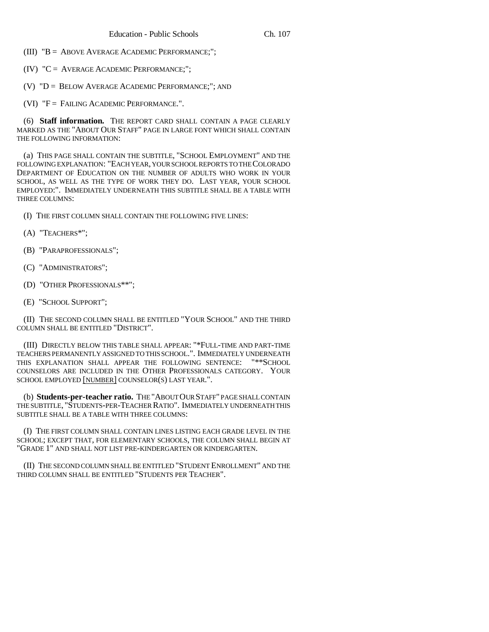- (III) "B = ABOVE AVERAGE ACADEMIC PERFORMANCE;";
- (IV) "C = AVERAGE ACADEMIC PERFORMANCE;";
- (V) "D = BELOW AVERAGE ACADEMIC PERFORMANCE;"; AND
- (VI)  $"F =$  FAILING ACADEMIC PERFORMANCE.".

(6) **Staff information.** THE REPORT CARD SHALL CONTAIN A PAGE CLEARLY MARKED AS THE "ABOUT OUR STAFF" PAGE IN LARGE FONT WHICH SHALL CONTAIN THE FOLLOWING INFORMATION:

(a) THIS PAGE SHALL CONTAIN THE SUBTITLE, "SCHOOL EMPLOYMENT" AND THE FOLLOWING EXPLANATION: "EACH YEAR, YOUR SCHOOL REPORTS TO THE COLORADO DEPARTMENT OF EDUCATION ON THE NUMBER OF ADULTS WHO WORK IN YOUR SCHOOL, AS WELL AS THE TYPE OF WORK THEY DO. LAST YEAR, YOUR SCHOOL EMPLOYED:". IMMEDIATELY UNDERNEATH THIS SUBTITLE SHALL BE A TABLE WITH THREE COLUMNS:

- (I) THE FIRST COLUMN SHALL CONTAIN THE FOLLOWING FIVE LINES:
- (A) "TEACHERS\*";
- (B) "PARAPROFESSIONALS";
- (C) "ADMINISTRATORS";
- (D) "OTHER PROFESSIONALS\*\*";
- (E) "SCHOOL SUPPORT";

(II) THE SECOND COLUMN SHALL BE ENTITLED "YOUR SCHOOL" AND THE THIRD COLUMN SHALL BE ENTITLED "DISTRICT".

(III) DIRECTLY BELOW THIS TABLE SHALL APPEAR: "\*FULL-TIME AND PART-TIME TEACHERS PERMANENTLY ASSIGNED TO THIS SCHOOL.". IMMEDIATELY UNDERNEATH THIS EXPLANATION SHALL APPEAR THE FOLLOWING SENTENCE: "\*\*SCHOOL COUNSELORS ARE INCLUDED IN THE OTHER PROFESSIONALS CATEGORY. YOUR SCHOOL EMPLOYED [NUMBER] COUNSELOR(S) LAST YEAR.".

(b) **Students-per-teacher ratio.** THE "ABOUT OUR STAFF" PAGE SHALL CONTAIN THE SUBTITLE, "STUDENTS-PER-TEACHER RATIO". IMMEDIATELY UNDERNEATH THIS SUBTITLE SHALL BE A TABLE WITH THREE COLUMNS:

(I) THE FIRST COLUMN SHALL CONTAIN LINES LISTING EACH GRADE LEVEL IN THE SCHOOL; EXCEPT THAT, FOR ELEMENTARY SCHOOLS, THE COLUMN SHALL BEGIN AT "GRADE 1" AND SHALL NOT LIST PRE-KINDERGARTEN OR KINDERGARTEN.

(II) THE SECOND COLUMN SHALL BE ENTITLED "STUDENT ENROLLMENT" AND THE THIRD COLUMN SHALL BE ENTITLED "STUDENTS PER TEACHER".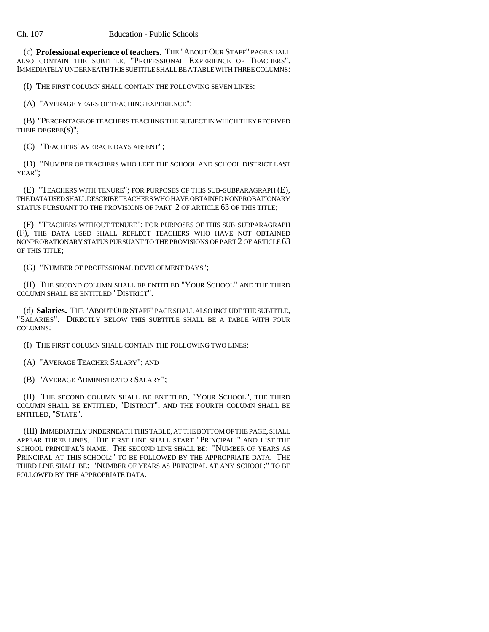(c) **Professional experience of teachers.** THE "ABOUT OUR STAFF" PAGE SHALL ALSO CONTAIN THE SUBTITLE, "PROFESSIONAL EXPERIENCE OF TEACHERS". IMMEDIATELY UNDERNEATH THIS SUBTITLE SHALL BE A TABLE WITH THREE COLUMNS:

(I) THE FIRST COLUMN SHALL CONTAIN THE FOLLOWING SEVEN LINES:

(A) "AVERAGE YEARS OF TEACHING EXPERIENCE";

(B) "PERCENTAGE OF TEACHERS TEACHING THE SUBJECT IN WHICH THEY RECEIVED THEIR DEGREE(S)";

(C) "TEACHERS' AVERAGE DAYS ABSENT";

(D) "NUMBER OF TEACHERS WHO LEFT THE SCHOOL AND SCHOOL DISTRICT LAST YEAR";

(E) "TEACHERS WITH TENURE"; FOR PURPOSES OF THIS SUB-SUBPARAGRAPH (E), THE DATA USED SHALL DESCRIBE TEACHERS WHO HAVE OBTAINED NONPROBATIONARY STATUS PURSUANT TO THE PROVISIONS OF PART 2 OF ARTICLE 63 OF THIS TITLE;

(F) "TEACHERS WITHOUT TENURE"; FOR PURPOSES OF THIS SUB-SUBPARAGRAPH (F), THE DATA USED SHALL REFLECT TEACHERS WHO HAVE NOT OBTAINED NONPROBATIONARY STATUS PURSUANT TO THE PROVISIONS OF PART 2 OF ARTICLE 63 OF THIS TITLE;

(G) "NUMBER OF PROFESSIONAL DEVELOPMENT DAYS";

(II) THE SECOND COLUMN SHALL BE ENTITLED "YOUR SCHOOL" AND THE THIRD COLUMN SHALL BE ENTITLED "DISTRICT".

(d) **Salaries.** THE "ABOUT OUR STAFF" PAGE SHALL ALSO INCLUDE THE SUBTITLE, "SALARIES". DIRECTLY BELOW THIS SUBTITLE SHALL BE A TABLE WITH FOUR COLUMNS:

(I) THE FIRST COLUMN SHALL CONTAIN THE FOLLOWING TWO LINES:

(A) "AVERAGE TEACHER SALARY"; AND

(B) "AVERAGE ADMINISTRATOR SALARY";

(II) THE SECOND COLUMN SHALL BE ENTITLED, "YOUR SCHOOL", THE THIRD COLUMN SHALL BE ENTITLED, "DISTRICT", AND THE FOURTH COLUMN SHALL BE ENTITLED, "STATE".

(III) IMMEDIATELY UNDERNEATH THIS TABLE, AT THE BOTTOM OF THE PAGE, SHALL APPEAR THREE LINES. THE FIRST LINE SHALL START "PRINCIPAL:" AND LIST THE SCHOOL PRINCIPAL'S NAME. THE SECOND LINE SHALL BE: "NUMBER OF YEARS AS PRINCIPAL AT THIS SCHOOL:" TO BE FOLLOWED BY THE APPROPRIATE DATA. THE THIRD LINE SHALL BE: "NUMBER OF YEARS AS PRINCIPAL AT ANY SCHOOL:" TO BE FOLLOWED BY THE APPROPRIATE DATA.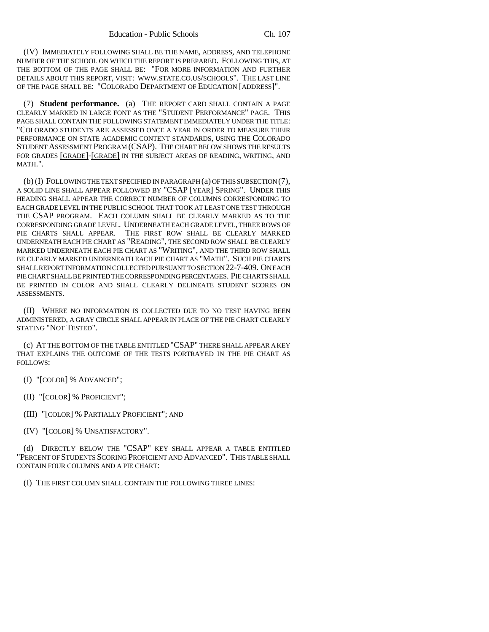(IV) IMMEDIATELY FOLLOWING SHALL BE THE NAME, ADDRESS, AND TELEPHONE NUMBER OF THE SCHOOL ON WHICH THE REPORT IS PREPARED. FOLLOWING THIS, AT THE BOTTOM OF THE PAGE SHALL BE: "FOR MORE INFORMATION AND FURTHER DETAILS ABOUT THIS REPORT, VISIT: WWW.STATE.CO.US/SCHOOLS". THE LAST LINE OF THE PAGE SHALL BE: "COLORADO DEPARTMENT OF EDUCATION [ADDRESS]".

(7) **Student performance.** (a) THE REPORT CARD SHALL CONTAIN A PAGE CLEARLY MARKED IN LARGE FONT AS THE "STUDENT PERFORMANCE" PAGE. THIS PAGE SHALL CONTAIN THE FOLLOWING STATEMENT IMMEDIATELY UNDER THE TITLE: "COLORADO STUDENTS ARE ASSESSED ONCE A YEAR IN ORDER TO MEASURE THEIR PERFORMANCE ON STATE ACADEMIC CONTENT STANDARDS, USING THE COLORADO STUDENT ASSESSMENT PROGRAM (CSAP). THE CHART BELOW SHOWS THE RESULTS FOR GRADES [GRADE]-[GRADE] IN THE SUBJECT AREAS OF READING, WRITING, AND MATH.".

(b) (I) FOLLOWING THE TEXT SPECIFIED IN PARAGRAPH (a) OF THIS SUBSECTION (7), A SOLID LINE SHALL APPEAR FOLLOWED BY "CSAP [YEAR] SPRING". UNDER THIS HEADING SHALL APPEAR THE CORRECT NUMBER OF COLUMNS CORRESPONDING TO EACH GRADE LEVEL IN THE PUBLIC SCHOOL THAT TOOK AT LEAST ONE TEST THROUGH THE CSAP PROGRAM. EACH COLUMN SHALL BE CLEARLY MARKED AS TO THE CORRESPONDING GRADE LEVEL. UNDERNEATH EACH GRADE LEVEL, THREE ROWS OF PIE CHARTS SHALL APPEAR. THE FIRST ROW SHALL BE CLEARLY MARKED UNDERNEATH EACH PIE CHART AS "READING", THE SECOND ROW SHALL BE CLEARLY MARKED UNDERNEATH EACH PIE CHART AS "WRITING", AND THE THIRD ROW SHALL BE CLEARLY MARKED UNDERNEATH EACH PIE CHART AS "MATH". SUCH PIE CHARTS SHALL REPORT INFORMATION COLLECTED PURSUANT TO SECTION 22-7-409. ON EACH PIE CHART SHALL BE PRINTED THE CORRESPONDING PERCENTAGES. PIE CHARTS SHALL BE PRINTED IN COLOR AND SHALL CLEARLY DELINEATE STUDENT SCORES ON ASSESSMENTS.

(II) WHERE NO INFORMATION IS COLLECTED DUE TO NO TEST HAVING BEEN ADMINISTERED, A GRAY CIRCLE SHALL APPEAR IN PLACE OF THE PIE CHART CLEARLY STATING "NOT TESTED".

(c) AT THE BOTTOM OF THE TABLE ENTITLED "CSAP" THERE SHALL APPEAR A KEY THAT EXPLAINS THE OUTCOME OF THE TESTS PORTRAYED IN THE PIE CHART AS FOLLOWS:

- (I) "[COLOR] % ADVANCED";
- (II) "[COLOR] % PROFICIENT";
- (III) "[COLOR] % PARTIALLY PROFICIENT"; AND
- (IV) "[COLOR] % UNSATISFACTORY".

(d) DIRECTLY BELOW THE "CSAP" KEY SHALL APPEAR A TABLE ENTITLED "PERCENT OF STUDENTS SCORING PROFICIENT AND ADVANCED". THIS TABLE SHALL CONTAIN FOUR COLUMNS AND A PIE CHART:

(I) THE FIRST COLUMN SHALL CONTAIN THE FOLLOWING THREE LINES: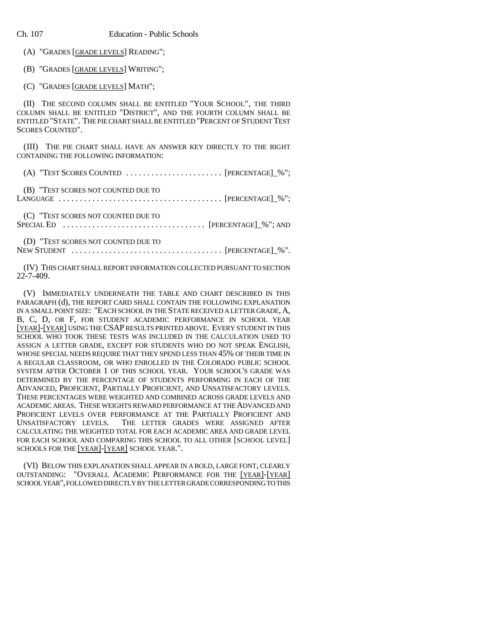(A) "GRADES [GRADE LEVELS] READING";

(B) "GRADES [GRADE LEVELS] WRITING";

(C) "GRADES [GRADE LEVELS] MATH";

(II) THE SECOND COLUMN SHALL BE ENTITLED "YOUR SCHOOL", THE THIRD COLUMN SHALL BE ENTITLED "DISTRICT", AND THE FOURTH COLUMN SHALL BE ENTITLED "STATE". THE PIE CHART SHALL BE ENTITLED "PERCENT OF STUDENT TEST SCORES COUNTED".

(III) THE PIE CHART SHALL HAVE AN ANSWER KEY DIRECTLY TO THE RIGHT CONTAINING THE FOLLOWING INFORMATION:

(A) "TEST SCORES COUNTED ....................... [PERCENTAGE]\_%";

(B) "TEST SCORES NOT COUNTED DUE TO

LANGUAGE ....................................... [PERCENTAGE]\_%";

(C) "TEST SCORES NOT COUNTED DUE TO

SPECIAL ED .................................. [PERCENTAGE]\_%"; AND

(D) "TEST SCORES NOT COUNTED DUE TO

NEW STUDENT  $\ldots \ldots \ldots \ldots \ldots \ldots \ldots \ldots \ldots \ldots$  [PERCENTAGE]\_%".

(IV) THIS CHART SHALL REPORT INFORMATION COLLECTED PURSUANT TO SECTION 22-7-409.

(V) IMMEDIATELY UNDERNEATH THE TABLE AND CHART DESCRIBED IN THIS PARAGRAPH (d), THE REPORT CARD SHALL CONTAIN THE FOLLOWING EXPLANATION IN A SMALL POINT SIZE: "EACH SCHOOL IN THE STATE RECEIVED A LETTER GRADE, A, B, C, D, OR F, FOR STUDENT ACADEMIC PERFORMANCE IN SCHOOL YEAR [YEAR]-[YEAR] USING THE CSAP RESULTS PRINTED ABOVE. EVERY STUDENT IN THIS SCHOOL WHO TOOK THESE TESTS WAS INCLUDED IN THE CALCULATION USED TO ASSIGN A LETTER GRADE, EXCEPT FOR STUDENTS WHO DO NOT SPEAK ENGLISH, WHOSE SPECIAL NEEDS REQUIRE THAT THEY SPEND LESS THAN 45% OF THEIR TIME IN A REGULAR CLASSROOM, OR WHO ENROLLED IN THE COLORADO PUBLIC SCHOOL SYSTEM AFTER OCTOBER 1 OF THIS SCHOOL YEAR. YOUR SCHOOL'S GRADE WAS DETERMINED BY THE PERCENTAGE OF STUDENTS PERFORMING IN EACH OF THE ADVANCED, PROFICIENT, PARTIALLY PROFICIENT, AND UNSATISFACTORY LEVELS. THESE PERCENTAGES WERE WEIGHTED AND COMBINED ACROSS GRADE LEVELS AND ACADEMIC AREAS. THESE WEIGHTS REWARD PERFORMANCE AT THE ADVANCED AND PROFICIENT LEVELS OVER PERFORMANCE AT THE PARTIALLY PROFICIENT AND UNSATISFACTORY LEVELS. THE LETTER GRADES WERE ASSIGNED AFTER CALCULATING THE WEIGHTED TOTAL FOR EACH ACADEMIC AREA AND GRADE LEVEL FOR EACH SCHOOL AND COMPARING THIS SCHOOL TO ALL OTHER [SCHOOL LEVEL] SCHOOLS FOR THE [YEAR]-[YEAR] SCHOOL YEAR.".

(VI) BELOW THIS EXPLANATION SHALL APPEAR IN A BOLD, LARGE FONT, CLEARLY OUTSTANDING: "OVERALL ACADEMIC PERFORMANCE FOR THE [YEAR]-[YEAR] SCHOOL YEAR", FOLLOWED DIRECTLY BY THE LETTER GRADE CORRESPONDING TO THIS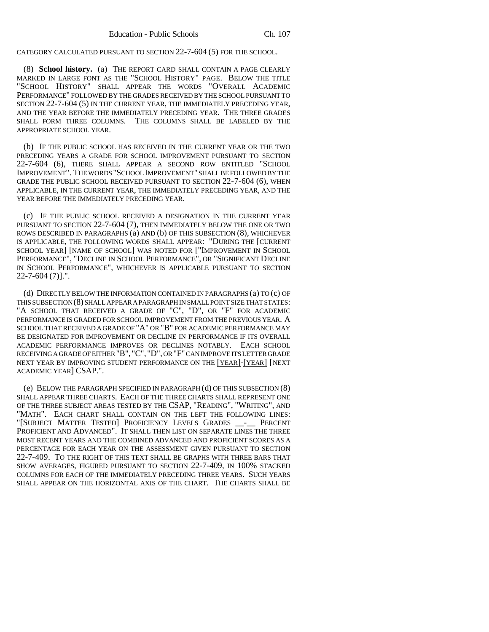CATEGORY CALCULATED PURSUANT TO SECTION 22-7-604 (5) FOR THE SCHOOL.

(8) **School history.** (a) THE REPORT CARD SHALL CONTAIN A PAGE CLEARLY MARKED IN LARGE FONT AS THE "SCHOOL HISTORY" PAGE. BELOW THE TITLE "SCHOOL HISTORY" SHALL APPEAR THE WORDS "OVERALL ACADEMIC PERFORMANCE" FOLLOWED BY THE GRADES RECEIVED BY THE SCHOOL PURSUANT TO SECTION 22-7-604 (5) IN THE CURRENT YEAR, THE IMMEDIATELY PRECEDING YEAR, AND THE YEAR BEFORE THE IMMEDIATELY PRECEDING YEAR. THE THREE GRADES SHALL FORM THREE COLUMNS. THE COLUMNS SHALL BE LABELED BY THE APPROPRIATE SCHOOL YEAR.

(b) IF THE PUBLIC SCHOOL HAS RECEIVED IN THE CURRENT YEAR OR THE TWO PRECEDING YEARS A GRADE FOR SCHOOL IMPROVEMENT PURSUANT TO SECTION 22-7-604 (6), THERE SHALL APPEAR A SECOND ROW ENTITLED "SCHOOL IMPROVEMENT". THE WORDS "SCHOOL IMPROVEMENT" SHALL BE FOLLOWED BY THE GRADE THE PUBLIC SCHOOL RECEIVED PURSUANT TO SECTION 22-7-604 (6), WHEN APPLICABLE, IN THE CURRENT YEAR, THE IMMEDIATELY PRECEDING YEAR, AND THE YEAR BEFORE THE IMMEDIATELY PRECEDING YEAR.

(c) IF THE PUBLIC SCHOOL RECEIVED A DESIGNATION IN THE CURRENT YEAR PURSUANT TO SECTION 22-7-604 (7), THEN IMMEDIATELY BELOW THE ONE OR TWO ROWS DESCRIBED IN PARAGRAPHS (a) AND (b) OF THIS SUBSECTION (8), WHICHEVER IS APPLICABLE, THE FOLLOWING WORDS SHALL APPEAR: "DURING THE [CURRENT SCHOOL YEAR] [NAME OF SCHOOL] WAS NOTED FOR ["IMPROVEMENT IN SCHOOL PERFORMANCE", "DECLINE IN SCHOOL PERFORMANCE", OR "SIGNIFICANT DECLINE IN SCHOOL PERFORMANCE", WHICHEVER IS APPLICABLE PURSUANT TO SECTION 22-7-604 (7)].".

(d) DIRECTLY BELOW THE INFORMATION CONTAINED IN PARAGRAPHS (a) TO (c) OF THIS SUBSECTION (8) SHALL APPEAR A PARAGRAPH IN SMALL POINT SIZE THAT STATES: "A SCHOOL THAT RECEIVED A GRADE OF "C", "D", OR "F" FOR ACADEMIC PERFORMANCE IS GRADED FOR SCHOOL IMPROVEMENT FROM THE PREVIOUS YEAR. A SCHOOL THAT RECEIVED A GRADE OF "A" OR "B" FOR ACADEMIC PERFORMANCE MAY BE DESIGNATED FOR IMPROVEMENT OR DECLINE IN PERFORMANCE IF ITS OVERALL ACADEMIC PERFORMANCE IMPROVES OR DECLINES NOTABLY. EACH SCHOOL RECEIVING A GRADE OF EITHER "B", "C", "D", OR "F" CAN IMPROVE ITS LETTER GRADE NEXT YEAR BY IMPROVING STUDENT PERFORMANCE ON THE [YEAR]-[YEAR] [NEXT ACADEMIC YEAR] CSAP.".

(e) BELOW THE PARAGRAPH SPECIFIED IN PARAGRAPH (d) OF THIS SUBSECTION (8) SHALL APPEAR THREE CHARTS. EACH OF THE THREE CHARTS SHALL REPRESENT ONE OF THE THREE SUBJECT AREAS TESTED BY THE CSAP, "READING", "WRITING", AND "MATH". EACH CHART SHALL CONTAIN ON THE LEFT THE FOLLOWING LINES: "[SUBJECT MATTER TESTED] PROFICIENCY LEVELS GRADES \_\_-\_\_ PERCENT PROFICIENT AND ADVANCED". IT SHALL THEN LIST ON SEPARATE LINES THE THREE MOST RECENT YEARS AND THE COMBINED ADVANCED AND PROFICIENT SCORES AS A PERCENTAGE FOR EACH YEAR ON THE ASSESSMENT GIVEN PURSUANT TO SECTION 22-7-409. TO THE RIGHT OF THIS TEXT SHALL BE GRAPHS WITH THREE BARS THAT SHOW AVERAGES, FIGURED PURSUANT TO SECTION 22-7-409, IN 100% STACKED COLUMNS FOR EACH OF THE IMMEDIATELY PRECEDING THREE YEARS. SUCH YEARS SHALL APPEAR ON THE HORIZONTAL AXIS OF THE CHART. THE CHARTS SHALL BE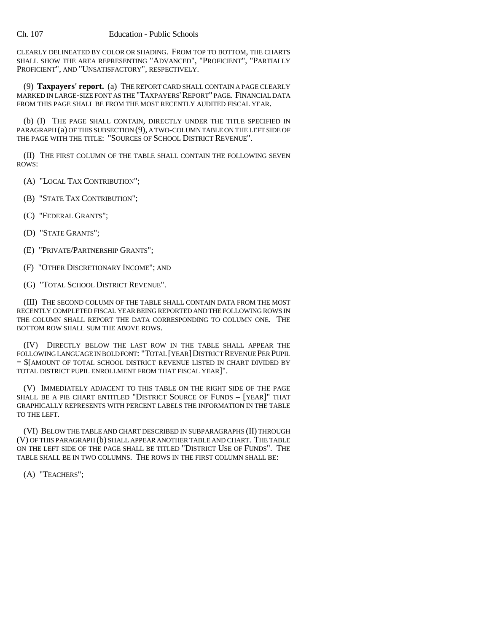CLEARLY DELINEATED BY COLOR OR SHADING. FROM TOP TO BOTTOM, THE CHARTS SHALL SHOW THE AREA REPRESENTING "ADVANCED", "PROFICIENT", "PARTIALLY PROFICIENT", AND "UNSATISFACTORY", RESPECTIVELY.

(9) **Taxpayers' report.** (a) THE REPORT CARD SHALL CONTAIN A PAGE CLEARLY MARKED IN LARGE-SIZE FONT AS THE "TAXPAYERS'REPORT" PAGE. FINANCIAL DATA FROM THIS PAGE SHALL BE FROM THE MOST RECENTLY AUDITED FISCAL YEAR.

(b) (I) THE PAGE SHALL CONTAIN, DIRECTLY UNDER THE TITLE SPECIFIED IN PARAGRAPH (a) OF THIS SUBSECTION (9), A TWO-COLUMN TABLE ON THE LEFT SIDE OF THE PAGE WITH THE TITLE: "SOURCES OF SCHOOL DISTRICT REVENUE".

(II) THE FIRST COLUMN OF THE TABLE SHALL CONTAIN THE FOLLOWING SEVEN ROWS:

(A) "LOCAL TAX CONTRIBUTION";

- (B) "STATE TAX CONTRIBUTION";
- (C) "FEDERAL GRANTS";
- (D) "STATE GRANTS";
- (E) "PRIVATE/PARTNERSHIP GRANTS";
- (F) "OTHER DISCRETIONARY INCOME"; AND
- (G) "TOTAL SCHOOL DISTRICT REVENUE".

(III) THE SECOND COLUMN OF THE TABLE SHALL CONTAIN DATA FROM THE MOST RECENTLY COMPLETED FISCAL YEAR BEING REPORTED AND THE FOLLOWING ROWS IN THE COLUMN SHALL REPORT THE DATA CORRESPONDING TO COLUMN ONE. THE BOTTOM ROW SHALL SUM THE ABOVE ROWS.

(IV) DIRECTLY BELOW THE LAST ROW IN THE TABLE SHALL APPEAR THE FOLLOWING LANGUAGE IN BOLD FONT: "TOTAL [YEAR]DISTRICT REVENUE PER PUPIL = \$[AMOUNT OF TOTAL SCHOOL DISTRICT REVENUE LISTED IN CHART DIVIDED BY TOTAL DISTRICT PUPIL ENROLLMENT FROM THAT FISCAL YEAR]".

(V) IMMEDIATELY ADJACENT TO THIS TABLE ON THE RIGHT SIDE OF THE PAGE SHALL BE A PIE CHART ENTITLED "DISTRICT SOURCE OF FUNDS – [YEAR]" THAT GRAPHICALLY REPRESENTS WITH PERCENT LABELS THE INFORMATION IN THE TABLE TO THE LEFT.

(VI) BELOW THE TABLE AND CHART DESCRIBED IN SUBPARAGRAPHS (II) THROUGH (V) OF THIS PARAGRAPH (b) SHALL APPEAR ANOTHER TABLE AND CHART. THE TABLE ON THE LEFT SIDE OF THE PAGE SHALL BE TITLED "DISTRICT USE OF FUNDS". THE TABLE SHALL BE IN TWO COLUMNS. THE ROWS IN THE FIRST COLUMN SHALL BE:

(A) "TEACHERS";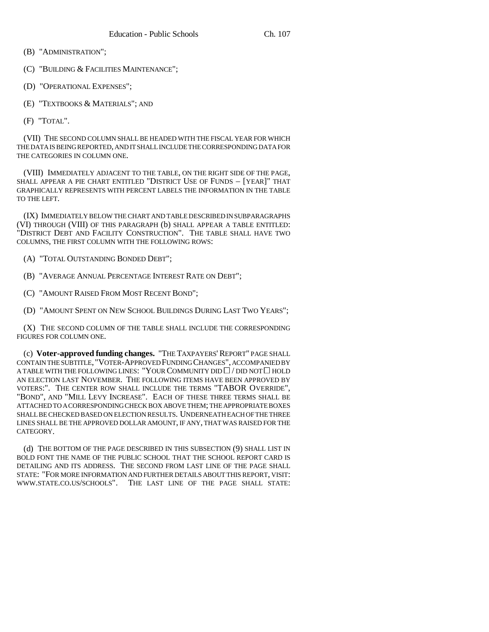- (B) "ADMINISTRATION";
- (C) "BUILDING & FACILITIES MAINTENANCE";
- (D) "OPERATIONAL EXPENSES";
- (E) "TEXTBOOKS & MATERIALS"; AND
- (F) "TOTAL".

(VII) THE SECOND COLUMN SHALL BE HEADED WITH THE FISCAL YEAR FOR WHICH THE DATA IS BEING REPORTED, AND IT SHALL INCLUDE THE CORRESPONDING DATA FOR THE CATEGORIES IN COLUMN ONE.

(VIII) IMMEDIATELY ADJACENT TO THE TABLE, ON THE RIGHT SIDE OF THE PAGE, SHALL APPEAR A PIE CHART ENTITLED "DISTRICT USE OF FUNDS – [YEAR]" THAT GRAPHICALLY REPRESENTS WITH PERCENT LABELS THE INFORMATION IN THE TABLE TO THE LEFT.

(IX) IMMEDIATELY BELOW THE CHART AND TABLE DESCRIBED IN SUBPARAGRAPHS (VI) THROUGH (VIII) OF THIS PARAGRAPH (b) SHALL APPEAR A TABLE ENTITLED: "DISTRICT DEBT AND FACILITY CONSTRUCTION". THE TABLE SHALL HAVE TWO COLUMNS, THE FIRST COLUMN WITH THE FOLLOWING ROWS:

- (A) "TOTAL OUTSTANDING BONDED DEBT";
- (B) "AVERAGE ANNUAL PERCENTAGE INTEREST RATE ON DEBT";
- (C) "AMOUNT RAISED FROM MOST RECENT BOND";
- (D) "AMOUNT SPENT ON NEW SCHOOL BUILDINGS DURING LAST TWO YEARS";

(X) THE SECOND COLUMN OF THE TABLE SHALL INCLUDE THE CORRESPONDING FIGURES FOR COLUMN ONE.

(c) **Voter-approved funding changes.** "THE TAXPAYERS'REPORT" PAGE SHALL CONTAIN THE SUBTITLE, "VOTER-APPROVED FUNDING CHANGES", ACCOMPANIED BY A TABLE WITH THE FOLLOWING LINES: "YOUR COMMUNITY DID  $\Box$  / DID NOT  $\Box$  HOLD AN ELECTION LAST NOVEMBER. THE FOLLOWING ITEMS HAVE BEEN APPROVED BY VOTERS:". THE CENTER ROW SHALL INCLUDE THE TERMS "TABOR OVERRIDE", "BOND", AND "MILL LEVY INCREASE". EACH OF THESE THREE TERMS SHALL BE ATTACHED TO A CORRESPONDING CHECK BOX ABOVE THEM; THE APPROPRIATE BOXES SHALL BE CHECKED BASED ON ELECTION RESULTS. UNDERNEATH EACH OF THE THREE LINES SHALL BE THE APPROVED DOLLAR AMOUNT, IF ANY, THAT WAS RAISED FOR THE CATEGORY.

(d) THE BOTTOM OF THE PAGE DESCRIBED IN THIS SUBSECTION (9) SHALL LIST IN BOLD FONT THE NAME OF THE PUBLIC SCHOOL THAT THE SCHOOL REPORT CARD IS DETAILING AND ITS ADDRESS. THE SECOND FROM LAST LINE OF THE PAGE SHALL STATE: "FOR MORE INFORMATION AND FURTHER DETAILS ABOUT THIS REPORT, VISIT: WWW.STATE.CO.US/SCHOOLS". THE LAST LINE OF THE PAGE SHALL STATE: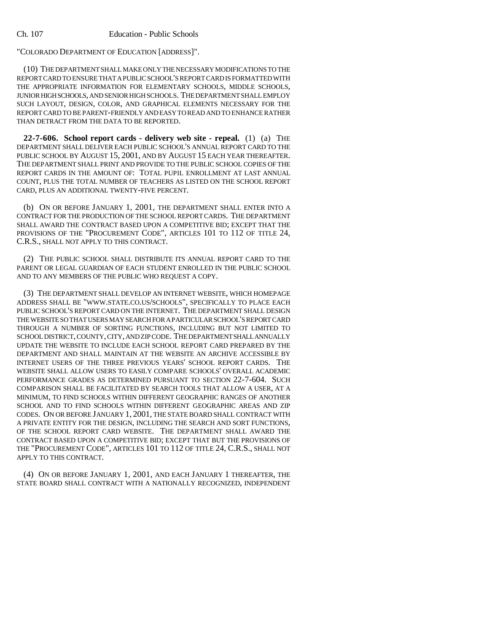"COLORADO DEPARTMENT OF EDUCATION [ADDRESS]".

(10) THE DEPARTMENT SHALL MAKE ONLY THE NECESSARY MODIFICATIONS TO THE REPORT CARD TO ENSURE THAT A PUBLIC SCHOOL'S REPORT CARD IS FORMATTED WITH THE APPROPRIATE INFORMATION FOR ELEMENTARY SCHOOLS, MIDDLE SCHOOLS, JUNIOR HIGH SCHOOLS, AND SENIOR HIGH SCHOOLS. THE DEPARTMENT SHALL EMPLOY SUCH LAYOUT, DESIGN, COLOR, AND GRAPHICAL ELEMENTS NECESSARY FOR THE REPORT CARD TO BE PARENT-FRIENDLY AND EASY TO READ AND TO ENHANCE RATHER THAN DETRACT FROM THE DATA TO BE REPORTED.

**22-7-606. School report cards - delivery web site - repeal.** (1) (a) THE DEPARTMENT SHALL DELIVER EACH PUBLIC SCHOOL'S ANNUAL REPORT CARD TO THE PUBLIC SCHOOL BY AUGUST 15, 2001, AND BY AUGUST 15 EACH YEAR THEREAFTER. THE DEPARTMENT SHALL PRINT AND PROVIDE TO THE PUBLIC SCHOOL COPIES OF THE REPORT CARDS IN THE AMOUNT OF: TOTAL PUPIL ENROLLMENT AT LAST ANNUAL COUNT, PLUS THE TOTAL NUMBER OF TEACHERS AS LISTED ON THE SCHOOL REPORT CARD, PLUS AN ADDITIONAL TWENTY-FIVE PERCENT.

(b) ON OR BEFORE JANUARY 1, 2001, THE DEPARTMENT SHALL ENTER INTO A CONTRACT FOR THE PRODUCTION OF THE SCHOOL REPORT CARDS. THE DEPARTMENT SHALL AWARD THE CONTRACT BASED UPON A COMPETITIVE BID; EXCEPT THAT THE PROVISIONS OF THE "PROCUREMENT CODE", ARTICLES 101 TO 112 OF TITLE 24, C.R.S., SHALL NOT APPLY TO THIS CONTRACT.

(2) THE PUBLIC SCHOOL SHALL DISTRIBUTE ITS ANNUAL REPORT CARD TO THE PARENT OR LEGAL GUARDIAN OF EACH STUDENT ENROLLED IN THE PUBLIC SCHOOL AND TO ANY MEMBERS OF THE PUBLIC WHO REQUEST A COPY.

(3) THE DEPARTMENT SHALL DEVELOP AN INTERNET WEBSITE, WHICH HOMEPAGE ADDRESS SHALL BE "WWW.STATE.CO.US/SCHOOLS", SPECIFICALLY TO PLACE EACH PUBLIC SCHOOL'S REPORT CARD ON THE INTERNET. THE DEPARTMENT SHALL DESIGN THE WEBSITE SO THAT USERS MAY SEARCH FOR A PARTICULAR SCHOOL'S REPORT CARD THROUGH A NUMBER OF SORTING FUNCTIONS, INCLUDING BUT NOT LIMITED TO SCHOOL DISTRICT, COUNTY, CITY, AND ZIP CODE. THE DEPARTMENT SHALL ANNUALLY UPDATE THE WEBSITE TO INCLUDE EACH SCHOOL REPORT CARD PREPARED BY THE DEPARTMENT AND SHALL MAINTAIN AT THE WEBSITE AN ARCHIVE ACCESSIBLE BY INTERNET USERS OF THE THREE PREVIOUS YEARS' SCHOOL REPORT CARDS. THE WEBSITE SHALL ALLOW USERS TO EASILY COMPARE SCHOOLS' OVERALL ACADEMIC PERFORMANCE GRADES AS DETERMINED PURSUANT TO SECTION 22-7-604. SUCH COMPARISON SHALL BE FACILITATED BY SEARCH TOOLS THAT ALLOW A USER, AT A MINIMUM, TO FIND SCHOOLS WITHIN DIFFERENT GEOGRAPHIC RANGES OF ANOTHER SCHOOL AND TO FIND SCHOOLS WITHIN DIFFERENT GEOGRAPHIC AREAS AND ZIP CODES. ON OR BEFORE JANUARY 1, 2001, THE STATE BOARD SHALL CONTRACT WITH A PRIVATE ENTITY FOR THE DESIGN, INCLUDING THE SEARCH AND SORT FUNCTIONS, OF THE SCHOOL REPORT CARD WEBSITE. THE DEPARTMENT SHALL AWARD THE CONTRACT BASED UPON A COMPETITIVE BID; EXCEPT THAT BUT THE PROVISIONS OF THE "PROCUREMENT CODE", ARTICLES 101 TO 112 OF TITLE 24, C.R.S., SHALL NOT APPLY TO THIS CONTRACT.

(4) ON OR BEFORE JANUARY 1, 2001, AND EACH JANUARY 1 THEREAFTER, THE STATE BOARD SHALL CONTRACT WITH A NATIONALLY RECOGNIZED, INDEPENDENT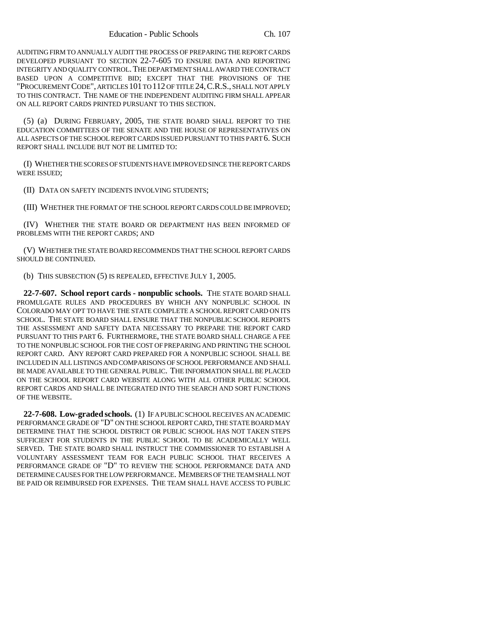AUDITING FIRM TO ANNUALLY AUDIT THE PROCESS OF PREPARING THE REPORT CARDS DEVELOPED PURSUANT TO SECTION 22-7-605 TO ENSURE DATA AND REPORTING INTEGRITY AND QUALITY CONTROL.THE DEPARTMENT SHALL AWARD THE CONTRACT BASED UPON A COMPETITIVE BID; EXCEPT THAT THE PROVISIONS OF THE "PROCUREMENT CODE", ARTICLES 101 TO 112 OF TITLE 24,C.R.S., SHALL NOT APPLY TO THIS CONTRACT. THE NAME OF THE INDEPENDENT AUDITING FIRM SHALL APPEAR ON ALL REPORT CARDS PRINTED PURSUANT TO THIS SECTION.

(5) (a) DURING FEBRUARY, 2005, THE STATE BOARD SHALL REPORT TO THE EDUCATION COMMITTEES OF THE SENATE AND THE HOUSE OF REPRESENTATIVES ON ALL ASPECTS OF THE SCHOOL REPORT CARDS ISSUED PURSUANT TO THIS PART 6. SUCH REPORT SHALL INCLUDE BUT NOT BE LIMITED TO:

(I) WHETHER THE SCORES OF STUDENTS HAVE IMPROVED SINCE THE REPORT CARDS WERE ISSUED;

(II) DATA ON SAFETY INCIDENTS INVOLVING STUDENTS;

(III) WHETHER THE FORMAT OF THE SCHOOL REPORT CARDS COULD BE IMPROVED;

(IV) WHETHER THE STATE BOARD OR DEPARTMENT HAS BEEN INFORMED OF PROBLEMS WITH THE REPORT CARDS; AND

(V) WHETHER THE STATE BOARD RECOMMENDS THAT THE SCHOOL REPORT CARDS SHOULD BE CONTINUED.

(b) THIS SUBSECTION (5) IS REPEALED, EFFECTIVE JULY 1, 2005.

**22-7-607. School report cards - nonpublic schools.** THE STATE BOARD SHALL PROMULGATE RULES AND PROCEDURES BY WHICH ANY NONPUBLIC SCHOOL IN COLORADO MAY OPT TO HAVE THE STATE COMPLETE A SCHOOL REPORT CARD ON ITS SCHOOL. THE STATE BOARD SHALL ENSURE THAT THE NONPUBLIC SCHOOL REPORTS THE ASSESSMENT AND SAFETY DATA NECESSARY TO PREPARE THE REPORT CARD PURSUANT TO THIS PART 6. FURTHERMORE, THE STATE BOARD SHALL CHARGE A FEE TO THE NONPUBLIC SCHOOL FOR THE COST OF PREPARING AND PRINTING THE SCHOOL REPORT CARD. ANY REPORT CARD PREPARED FOR A NONPUBLIC SCHOOL SHALL BE INCLUDED IN ALL LISTINGS AND COMPARISONS OF SCHOOL PERFORMANCE AND SHALL BE MADE AVAILABLE TO THE GENERAL PUBLIC. THE INFORMATION SHALL BE PLACED ON THE SCHOOL REPORT CARD WEBSITE ALONG WITH ALL OTHER PUBLIC SCHOOL REPORT CARDS AND SHALL BE INTEGRATED INTO THE SEARCH AND SORT FUNCTIONS OF THE WEBSITE.

**22-7-608. Low-graded schools.** (1) IF A PUBLIC SCHOOL RECEIVES AN ACADEMIC PERFORMANCE GRADE OF "D" ON THE SCHOOL REPORT CARD, THE STATE BOARD MAY DETERMINE THAT THE SCHOOL DISTRICT OR PUBLIC SCHOOL HAS NOT TAKEN STEPS SUFFICIENT FOR STUDENTS IN THE PUBLIC SCHOOL TO BE ACADEMICALLY WELL SERVED. THE STATE BOARD SHALL INSTRUCT THE COMMISSIONER TO ESTABLISH A VOLUNTARY ASSESSMENT TEAM FOR EACH PUBLIC SCHOOL THAT RECEIVES A PERFORMANCE GRADE OF "D" TO REVIEW THE SCHOOL PERFORMANCE DATA AND DETERMINE CAUSES FOR THE LOW PERFORMANCE. MEMBERS OF THE TEAM SHALL NOT BE PAID OR REIMBURSED FOR EXPENSES. THE TEAM SHALL HAVE ACCESS TO PUBLIC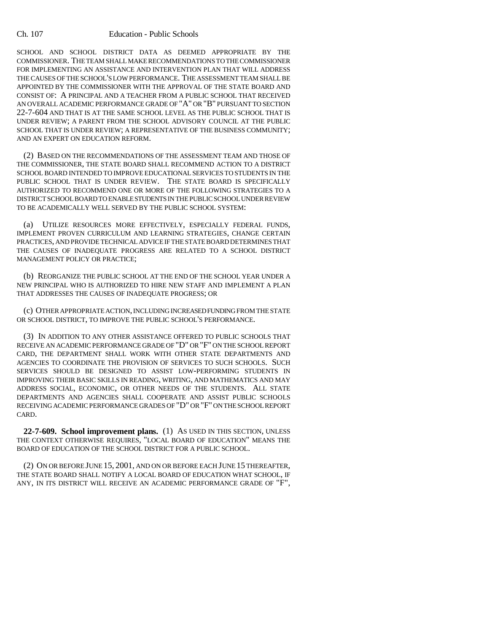#### Ch. 107 Education - Public Schools

SCHOOL AND SCHOOL DISTRICT DATA AS DEEMED APPROPRIATE BY THE COMMISSIONER. THE TEAM SHALL MAKE RECOMMENDATIONS TO THE COMMISSIONER FOR IMPLEMENTING AN ASSISTANCE AND INTERVENTION PLAN THAT WILL ADDRESS THE CAUSES OF THE SCHOOL'S LOW PERFORMANCE. THE ASSESSMENT TEAM SHALL BE APPOINTED BY THE COMMISSIONER WITH THE APPROVAL OF THE STATE BOARD AND CONSIST OF: A PRINCIPAL AND A TEACHER FROM A PUBLIC SCHOOL THAT RECEIVED AN OVERALL ACADEMIC PERFORMANCE GRADE OF "A" OR "B" PURSUANT TO SECTION 22-7-604 AND THAT IS AT THE SAME SCHOOL LEVEL AS THE PUBLIC SCHOOL THAT IS UNDER REVIEW; A PARENT FROM THE SCHOOL ADVISORY COUNCIL AT THE PUBLIC SCHOOL THAT IS UNDER REVIEW; A REPRESENTATIVE OF THE BUSINESS COMMUNITY; AND AN EXPERT ON EDUCATION REFORM.

(2) BASED ON THE RECOMMENDATIONS OF THE ASSESSMENT TEAM AND THOSE OF THE COMMISSIONER, THE STATE BOARD SHALL RECOMMEND ACTION TO A DISTRICT SCHOOL BOARD INTENDED TO IMPROVE EDUCATIONAL SERVICES TO STUDENTS IN THE PUBLIC SCHOOL THAT IS UNDER REVIEW. THE STATE BOARD IS SPECIFICALLY AUTHORIZED TO RECOMMEND ONE OR MORE OF THE FOLLOWING STRATEGIES TO A DISTRICT SCHOOL BOARD TO ENABLE STUDENTS IN THE PUBLIC SCHOOL UNDER REVIEW TO BE ACADEMICALLY WELL SERVED BY THE PUBLIC SCHOOL SYSTEM:

(a) UTILIZE RESOURCES MORE EFFECTIVELY, ESPECIALLY FEDERAL FUNDS, IMPLEMENT PROVEN CURRICULUM AND LEARNING STRATEGIES, CHANGE CERTAIN PRACTICES, AND PROVIDE TECHNICAL ADVICE IF THE STATE BOARD DETERMINES THAT THE CAUSES OF INADEQUATE PROGRESS ARE RELATED TO A SCHOOL DISTRICT MANAGEMENT POLICY OR PRACTICE;

(b) REORGANIZE THE PUBLIC SCHOOL AT THE END OF THE SCHOOL YEAR UNDER A NEW PRINCIPAL WHO IS AUTHORIZED TO HIRE NEW STAFF AND IMPLEMENT A PLAN THAT ADDRESSES THE CAUSES OF INADEQUATE PROGRESS; OR

(c) OTHER APPROPRIATE ACTION, INCLUDING INCREASED FUNDING FROM THE STATE OR SCHOOL DISTRICT, TO IMPROVE THE PUBLIC SCHOOL'S PERFORMANCE.

(3) IN ADDITION TO ANY OTHER ASSISTANCE OFFERED TO PUBLIC SCHOOLS THAT RECEIVE AN ACADEMIC PERFORMANCE GRADE OF "D" OR "F" ON THE SCHOOL REPORT CARD, THE DEPARTMENT SHALL WORK WITH OTHER STATE DEPARTMENTS AND AGENCIES TO COORDINATE THE PROVISION OF SERVICES TO SUCH SCHOOLS. SUCH SERVICES SHOULD BE DESIGNED TO ASSIST LOW-PERFORMING STUDENTS IN IMPROVING THEIR BASIC SKILLS IN READING, WRITING, AND MATHEMATICS AND MAY ADDRESS SOCIAL, ECONOMIC, OR OTHER NEEDS OF THE STUDENTS. ALL STATE DEPARTMENTS AND AGENCIES SHALL COOPERATE AND ASSIST PUBLIC SCHOOLS RECEIVING ACADEMIC PERFORMANCE GRADES OF "D" OR "F" ON THE SCHOOL REPORT CARD.

**22-7-609. School improvement plans.** (1) AS USED IN THIS SECTION, UNLESS THE CONTEXT OTHERWISE REQUIRES, "LOCAL BOARD OF EDUCATION" MEANS THE BOARD OF EDUCATION OF THE SCHOOL DISTRICT FOR A PUBLIC SCHOOL.

(2) ON OR BEFORE JUNE 15, 2001, AND ON OR BEFORE EACH JUNE 15 THEREAFTER, THE STATE BOARD SHALL NOTIFY A LOCAL BOARD OF EDUCATION WHAT SCHOOL, IF ANY, IN ITS DISTRICT WILL RECEIVE AN ACADEMIC PERFORMANCE GRADE OF "F",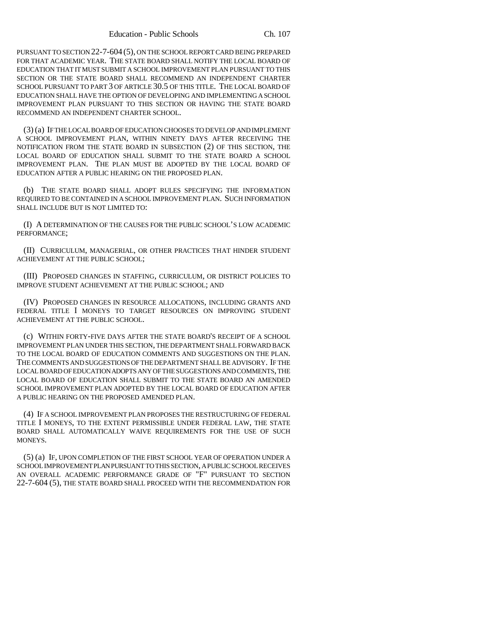PURSUANT TO SECTION 22-7-604 (5), ON THE SCHOOL REPORT CARD BEING PREPARED FOR THAT ACADEMIC YEAR. THE STATE BOARD SHALL NOTIFY THE LOCAL BOARD OF EDUCATION THAT IT MUST SUBMIT A SCHOOL IMPROVEMENT PLAN PURSUANT TO THIS SECTION OR THE STATE BOARD SHALL RECOMMEND AN INDEPENDENT CHARTER SCHOOL PURSUANT TO PART 3 OF ARTICLE 30.5 OF THIS TITLE. THE LOCAL BOARD OF EDUCATION SHALL HAVE THE OPTION OF DEVELOPING AND IMPLEMENTING A SCHOOL IMPROVEMENT PLAN PURSUANT TO THIS SECTION OR HAVING THE STATE BOARD RECOMMEND AN INDEPENDENT CHARTER SCHOOL.

(3) (a) IF THE LOCAL BOARD OF EDUCATION CHOOSES TO DEVELOP AND IMPLEMENT A SCHOOL IMPROVEMENT PLAN, WITHIN NINETY DAYS AFTER RECEIVING THE NOTIFICATION FROM THE STATE BOARD IN SUBSECTION (2) OF THIS SECTION, THE LOCAL BOARD OF EDUCATION SHALL SUBMIT TO THE STATE BOARD A SCHOOL IMPROVEMENT PLAN. THE PLAN MUST BE ADOPTED BY THE LOCAL BOARD OF EDUCATION AFTER A PUBLIC HEARING ON THE PROPOSED PLAN.

(b) THE STATE BOARD SHALL ADOPT RULES SPECIFYING THE INFORMATION REQUIRED TO BE CONTAINED IN A SCHOOL IMPROVEMENT PLAN. SUCH INFORMATION SHALL INCLUDE BUT IS NOT LIMITED TO:

(I) A DETERMINATION OF THE CAUSES FOR THE PUBLIC SCHOOL'S LOW ACADEMIC PERFORMANCE;

(II) CURRICULUM, MANAGERIAL, OR OTHER PRACTICES THAT HINDER STUDENT ACHIEVEMENT AT THE PUBLIC SCHOOL;

(III) PROPOSED CHANGES IN STAFFING, CURRICULUM, OR DISTRICT POLICIES TO IMPROVE STUDENT ACHIEVEMENT AT THE PUBLIC SCHOOL; AND

(IV) PROPOSED CHANGES IN RESOURCE ALLOCATIONS, INCLUDING GRANTS AND FEDERAL TITLE I MONEYS TO TARGET RESOURCES ON IMPROVING STUDENT ACHIEVEMENT AT THE PUBLIC SCHOOL.

(c) WITHIN FORTY-FIVE DAYS AFTER THE STATE BOARD'S RECEIPT OF A SCHOOL IMPROVEMENT PLAN UNDER THIS SECTION, THE DEPARTMENT SHALL FORWARD BACK TO THE LOCAL BOARD OF EDUCATION COMMENTS AND SUGGESTIONS ON THE PLAN. THE COMMENTS AND SUGGESTIONS OF THE DEPARTMENT SHALL BE ADVISORY. IF THE LOCAL BOARD OF EDUCATION ADOPTS ANY OF THE SUGGESTIONS AND COMMENTS, THE LOCAL BOARD OF EDUCATION SHALL SUBMIT TO THE STATE BOARD AN AMENDED SCHOOL IMPROVEMENT PLAN ADOPTED BY THE LOCAL BOARD OF EDUCATION AFTER A PUBLIC HEARING ON THE PROPOSED AMENDED PLAN.

(4) IF A SCHOOL IMPROVEMENT PLAN PROPOSES THE RESTRUCTURING OF FEDERAL TITLE I MONEYS, TO THE EXTENT PERMISSIBLE UNDER FEDERAL LAW, THE STATE BOARD SHALL AUTOMATICALLY WAIVE REQUIREMENTS FOR THE USE OF SUCH MONEYS.

(5) (a) IF, UPON COMPLETION OF THE FIRST SCHOOL YEAR OF OPERATION UNDER A SCHOOL IMPROVEMENT PLAN PURSUANT TO THIS SECTION, A PUBLIC SCHOOL RECEIVES AN OVERALL ACADEMIC PERFORMANCE GRADE OF "F" PURSUANT TO SECTION 22-7-604 (5), THE STATE BOARD SHALL PROCEED WITH THE RECOMMENDATION FOR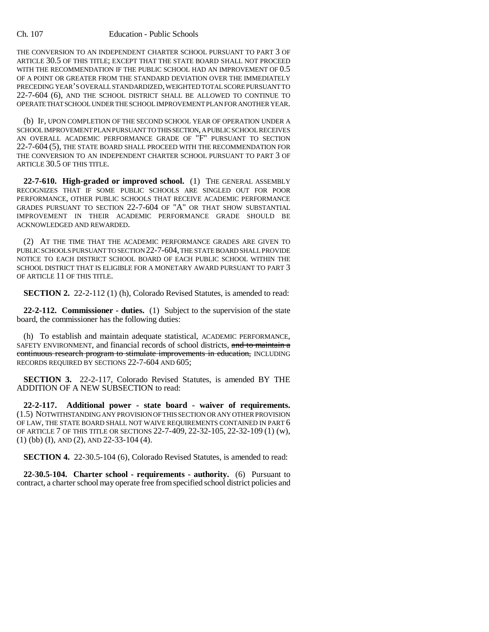#### Ch. 107 Education - Public Schools

THE CONVERSION TO AN INDEPENDENT CHARTER SCHOOL PURSUANT TO PART 3 OF ARTICLE 30.5 OF THIS TITLE; EXCEPT THAT THE STATE BOARD SHALL NOT PROCEED WITH THE RECOMMENDATION IF THE PUBLIC SCHOOL HAD AN IMPROVEMENT OF 0.5 OF A POINT OR GREATER FROM THE STANDARD DEVIATION OVER THE IMMEDIATELY PRECEDING YEAR'S OVERALL STANDARDIZED, WEIGHTED TOTAL SCORE PURSUANT TO 22-7-604 (6), AND THE SCHOOL DISTRICT SHALL BE ALLOWED TO CONTINUE TO OPERATE THAT SCHOOL UNDER THE SCHOOL IMPROVEMENT PLAN FOR ANOTHER YEAR.

(b) IF, UPON COMPLETION OF THE SECOND SCHOOL YEAR OF OPERATION UNDER A SCHOOL IMPROVEMENT PLAN PURSUANT TO THIS SECTION, A PUBLIC SCHOOL RECEIVES AN OVERALL ACADEMIC PERFORMANCE GRADE OF "F" PURSUANT TO SECTION 22-7-604 (5), THE STATE BOARD SHALL PROCEED WITH THE RECOMMENDATION FOR THE CONVERSION TO AN INDEPENDENT CHARTER SCHOOL PURSUANT TO PART 3 OF ARTICLE 30.5 OF THIS TITLE.

**22-7-610. High-graded or improved school.** (1) THE GENERAL ASSEMBLY RECOGNIZES THAT IF SOME PUBLIC SCHOOLS ARE SINGLED OUT FOR POOR PERFORMANCE, OTHER PUBLIC SCHOOLS THAT RECEIVE ACADEMIC PERFORMANCE GRADES PURSUANT TO SECTION 22-7-604 OF "A" OR THAT SHOW SUBSTANTIAL IMPROVEMENT IN THEIR ACADEMIC PERFORMANCE GRADE SHOULD BE ACKNOWLEDGED AND REWARDED.

(2) AT THE TIME THAT THE ACADEMIC PERFORMANCE GRADES ARE GIVEN TO PUBLIC SCHOOLS PURSUANT TO SECTION 22-7-604, THE STATE BOARD SHALL PROVIDE NOTICE TO EACH DISTRICT SCHOOL BOARD OF EACH PUBLIC SCHOOL WITHIN THE SCHOOL DISTRICT THAT IS ELIGIBLE FOR A MONETARY AWARD PURSUANT TO PART 3 OF ARTICLE 11 OF THIS TITLE.

**SECTION 2.** 22-2-112 (1) (h), Colorado Revised Statutes, is amended to read:

**22-2-112. Commissioner - duties.** (1) Subject to the supervision of the state board, the commissioner has the following duties:

(h) To establish and maintain adequate statistical, ACADEMIC PERFORMANCE, SAFETY ENVIRONMENT, and financial records of school districts, and to maintain a continuous research program to stimulate improvements in education, INCLUDING RECORDS REQUIRED BY SECTIONS 22-7-604 AND 605;

**SECTION 3.** 22-2-117, Colorado Revised Statutes, is amended BY THE ADDITION OF A NEW SUBSECTION to read:

**22-2-117. Additional power - state board - waiver of requirements.** (1.5) NOTWITHSTANDING ANY PROVISION OF THIS SECTION OR ANY OTHER PROVISION OF LAW, THE STATE BOARD SHALL NOT WAIVE REQUIREMENTS CONTAINED IN PART 6 OF ARTICLE 7 OF THIS TITLE OR SECTIONS 22-7-409, 22-32-105, 22-32-109 (1) (w), (1) (bb) (I), AND (2), AND 22-33-104 (4).

**SECTION 4.** 22-30.5-104 (6), Colorado Revised Statutes, is amended to read:

**22-30.5-104. Charter school - requirements - authority.** (6) Pursuant to contract, a charter school may operate free from specified school district policies and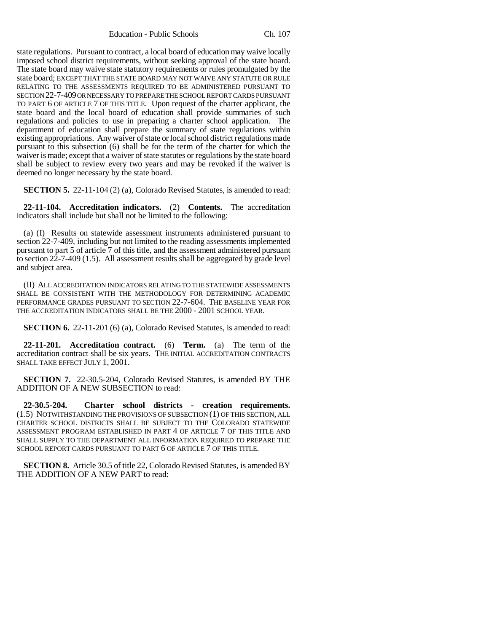Education - Public Schools Ch. 107

state regulations. Pursuant to contract, a local board of education may waive locally imposed school district requirements, without seeking approval of the state board. The state board may waive state statutory requirements or rules promulgated by the state board; EXCEPT THAT THE STATE BOARD MAY NOT WAIVE ANY STATUTE OR RULE RELATING TO THE ASSESSMENTS REQUIRED TO BE ADMINISTERED PURSUANT TO SECTION 22-7-409 OR NECESSARY TO PREPARE THE SCHOOL REPORT CARDS PURSUANT TO PART 6 OF ARTICLE 7 OF THIS TITLE. Upon request of the charter applicant, the state board and the local board of education shall provide summaries of such regulations and policies to use in preparing a charter school application. The department of education shall prepare the summary of state regulations within existing appropriations. Any waiver of state or local school district regulations made pursuant to this subsection (6) shall be for the term of the charter for which the waiver is made; except that a waiver of state statutes or regulations by the state board shall be subject to review every two years and may be revoked if the waiver is deemed no longer necessary by the state board.

**SECTION 5.** 22-11-104 (2) (a), Colorado Revised Statutes, is amended to read:

**22-11-104. Accreditation indicators.** (2) **Contents.** The accreditation indicators shall include but shall not be limited to the following:

(a) (I) Results on statewide assessment instruments administered pursuant to section 22-7-409, including but not limited to the reading assessments implemented pursuant to part 5 of article 7 of this title, and the assessment administered pursuant to section 22-7-409 (1.5). All assessment results shall be aggregated by grade level and subject area.

(II) ALL ACCREDITATION INDICATORS RELATING TO THE STATEWIDE ASSESSMENTS SHALL BE CONSISTENT WITH THE METHODOLOGY FOR DETERMINING ACADEMIC PERFORMANCE GRADES PURSUANT TO SECTION 22-7-604. THE BASELINE YEAR FOR THE ACCREDITATION INDICATORS SHALL BE THE 2000 - 2001 SCHOOL YEAR.

**SECTION 6.** 22-11-201 (6) (a), Colorado Revised Statutes, is amended to read:

**22-11-201. Accreditation contract.** (6) **Term.** (a) The term of the accreditation contract shall be six years. THE INITIAL ACCREDITATION CONTRACTS SHALL TAKE EFFECT JULY 1, 2001.

**SECTION 7.** 22-30.5-204, Colorado Revised Statutes, is amended BY THE ADDITION OF A NEW SUBSECTION to read:

**22-30.5-204. Charter school districts - creation requirements.** (1.5) NOTWITHSTANDING THE PROVISIONS OF SUBSECTION (1) OF THIS SECTION, ALL CHARTER SCHOOL DISTRICTS SHALL BE SUBJECT TO THE COLORADO STATEWIDE ASSESSMENT PROGRAM ESTABLISHED IN PART 4 OF ARTICLE 7 OF THIS TITLE AND SHALL SUPPLY TO THE DEPARTMENT ALL INFORMATION REQUIRED TO PREPARE THE SCHOOL REPORT CARDS PURSUANT TO PART 6 OF ARTICLE 7 OF THIS TITLE.

**SECTION 8.** Article 30.5 of title 22, Colorado Revised Statutes, is amended BY THE ADDITION OF A NEW PART to read: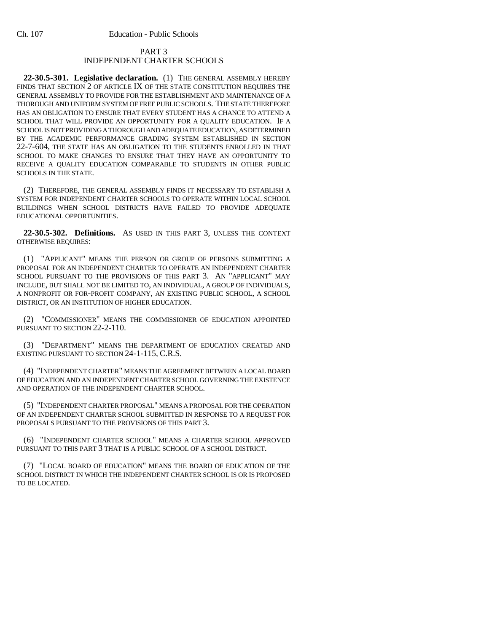## PART 3 INDEPENDENT CHARTER SCHOOLS

**22-30.5-301. Legislative declaration.** (1) THE GENERAL ASSEMBLY HEREBY FINDS THAT SECTION 2 OF ARTICLE IX OF THE STATE CONSTITUTION REQUIRES THE GENERAL ASSEMBLY TO PROVIDE FOR THE ESTABLISHMENT AND MAINTENANCE OF A THOROUGH AND UNIFORM SYSTEM OF FREE PUBLIC SCHOOLS. THE STATE THEREFORE HAS AN OBLIGATION TO ENSURE THAT EVERY STUDENT HAS A CHANCE TO ATTEND A SCHOOL THAT WILL PROVIDE AN OPPORTUNITY FOR A QUALITY EDUCATION. IF A SCHOOL IS NOT PROVIDING A THOROUGH AND ADEQUATE EDUCATION, AS DETERMINED BY THE ACADEMIC PERFORMANCE GRADING SYSTEM ESTABLISHED IN SECTION 22-7-604, THE STATE HAS AN OBLIGATION TO THE STUDENTS ENROLLED IN THAT SCHOOL TO MAKE CHANGES TO ENSURE THAT THEY HAVE AN OPPORTUNITY TO RECEIVE A QUALITY EDUCATION COMPARABLE TO STUDENTS IN OTHER PUBLIC SCHOOLS IN THE STATE.

(2) THEREFORE, THE GENERAL ASSEMBLY FINDS IT NECESSARY TO ESTABLISH A SYSTEM FOR INDEPENDENT CHARTER SCHOOLS TO OPERATE WITHIN LOCAL SCHOOL BUILDINGS WHEN SCHOOL DISTRICTS HAVE FAILED TO PROVIDE ADEQUATE EDUCATIONAL OPPORTUNITIES.

**22-30.5-302. Definitions.** AS USED IN THIS PART 3, UNLESS THE CONTEXT OTHERWISE REQUIRES:

(1) "APPLICANT" MEANS THE PERSON OR GROUP OF PERSONS SUBMITTING A PROPOSAL FOR AN INDEPENDENT CHARTER TO OPERATE AN INDEPENDENT CHARTER SCHOOL PURSUANT TO THE PROVISIONS OF THIS PART 3. AN "APPLICANT" MAY INCLUDE, BUT SHALL NOT BE LIMITED TO, AN INDIVIDUAL, A GROUP OF INDIVIDUALS, A NONPROFIT OR FOR-PROFIT COMPANY, AN EXISTING PUBLIC SCHOOL, A SCHOOL DISTRICT, OR AN INSTITUTION OF HIGHER EDUCATION.

(2) "COMMISSIONER" MEANS THE COMMISSIONER OF EDUCATION APPOINTED PURSUANT TO SECTION 22-2-110.

(3) "DEPARTMENT" MEANS THE DEPARTMENT OF EDUCATION CREATED AND EXISTING PURSUANT TO SECTION 24-1-115, C.R.S.

(4) "INDEPENDENT CHARTER" MEANS THE AGREEMENT BETWEEN A LOCAL BOARD OF EDUCATION AND AN INDEPENDENT CHARTER SCHOOL GOVERNING THE EXISTENCE AND OPERATION OF THE INDEPENDENT CHARTER SCHOOL.

(5) "INDEPENDENT CHARTER PROPOSAL" MEANS A PROPOSAL FOR THE OPERATION OF AN INDEPENDENT CHARTER SCHOOL SUBMITTED IN RESPONSE TO A REQUEST FOR PROPOSALS PURSUANT TO THE PROVISIONS OF THIS PART 3.

(6) "INDEPENDENT CHARTER SCHOOL" MEANS A CHARTER SCHOOL APPROVED PURSUANT TO THIS PART 3 THAT IS A PUBLIC SCHOOL OF A SCHOOL DISTRICT.

(7) "LOCAL BOARD OF EDUCATION" MEANS THE BOARD OF EDUCATION OF THE SCHOOL DISTRICT IN WHICH THE INDEPENDENT CHARTER SCHOOL IS OR IS PROPOSED TO BE LOCATED.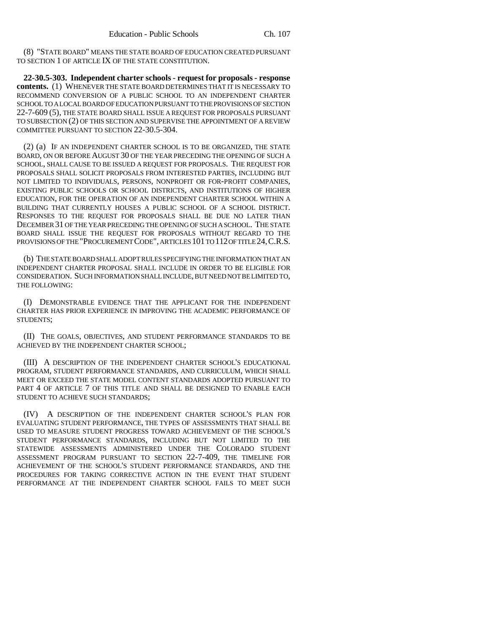(8) "STATE BOARD" MEANS THE STATE BOARD OF EDUCATION CREATED PURSUANT TO SECTION 1 OF ARTICLE IX OF THE STATE CONSTITUTION.

**22-30.5-303. Independent charter schools - request for proposals - response contents.** (1) WHENEVER THE STATE BOARD DETERMINES THAT IT IS NECESSARY TO RECOMMEND CONVERSION OF A PUBLIC SCHOOL TO AN INDEPENDENT CHARTER SCHOOL TO A LOCAL BOARD OF EDUCATION PURSUANT TO THE PROVISIONS OF SECTION 22-7-609 (5), THE STATE BOARD SHALL ISSUE A REQUEST FOR PROPOSALS PURSUANT TO SUBSECTION (2) OF THIS SECTION AND SUPERVISE THE APPOINTMENT OF A REVIEW COMMITTEE PURSUANT TO SECTION 22-30.5-304.

(2) (a) IF AN INDEPENDENT CHARTER SCHOOL IS TO BE ORGANIZED, THE STATE BOARD, ON OR BEFORE AUGUST 30 OF THE YEAR PRECEDING THE OPENING OF SUCH A SCHOOL, SHALL CAUSE TO BE ISSUED A REQUEST FOR PROPOSALS. THE REQUEST FOR PROPOSALS SHALL SOLICIT PROPOSALS FROM INTERESTED PARTIES, INCLUDING BUT NOT LIMITED TO INDIVIDUALS, PERSONS, NONPROFIT OR FOR-PROFIT COMPANIES, EXISTING PUBLIC SCHOOLS OR SCHOOL DISTRICTS, AND INSTITUTIONS OF HIGHER EDUCATION, FOR THE OPERATION OF AN INDEPENDENT CHARTER SCHOOL WITHIN A BUILDING THAT CURRENTLY HOUSES A PUBLIC SCHOOL OF A SCHOOL DISTRICT. RESPONSES TO THE REQUEST FOR PROPOSALS SHALL BE DUE NO LATER THAN DECEMBER 31 OF THE YEAR PRECEDING THE OPENING OF SUCH A SCHOOL. THE STATE BOARD SHALL ISSUE THE REQUEST FOR PROPOSALS WITHOUT REGARD TO THE PROVISIONS OF THE "PROCUREMENT CODE", ARTICLES 101 TO 112 OF TITLE 24, C.R.S.

(b) THE STATE BOARD SHALL ADOPT RULES SPECIFYING THE INFORMATION THAT AN INDEPENDENT CHARTER PROPOSAL SHALL INCLUDE IN ORDER TO BE ELIGIBLE FOR CONSIDERATION. SUCH INFORMATION SHALL INCLUDE, BUT NEED NOT BE LIMITED TO, THE FOLLOWING:

(I) DEMONSTRABLE EVIDENCE THAT THE APPLICANT FOR THE INDEPENDENT CHARTER HAS PRIOR EXPERIENCE IN IMPROVING THE ACADEMIC PERFORMANCE OF STUDENTS;

(II) THE GOALS, OBJECTIVES, AND STUDENT PERFORMANCE STANDARDS TO BE ACHIEVED BY THE INDEPENDENT CHARTER SCHOOL;

(III) A DESCRIPTION OF THE INDEPENDENT CHARTER SCHOOL'S EDUCATIONAL PROGRAM, STUDENT PERFORMANCE STANDARDS, AND CURRICULUM, WHICH SHALL MEET OR EXCEED THE STATE MODEL CONTENT STANDARDS ADOPTED PURSUANT TO PART 4 OF ARTICLE 7 OF THIS TITLE AND SHALL BE DESIGNED TO ENABLE EACH STUDENT TO ACHIEVE SUCH STANDARDS;

(IV) A DESCRIPTION OF THE INDEPENDENT CHARTER SCHOOL'S PLAN FOR EVALUATING STUDENT PERFORMANCE, THE TYPES OF ASSESSMENTS THAT SHALL BE USED TO MEASURE STUDENT PROGRESS TOWARD ACHIEVEMENT OF THE SCHOOL'S STUDENT PERFORMANCE STANDARDS, INCLUDING BUT NOT LIMITED TO THE STATEWIDE ASSESSMENTS ADMINISTERED UNDER THE COLORADO STUDENT ASSESSMENT PROGRAM PURSUANT TO SECTION 22-7-409, THE TIMELINE FOR ACHIEVEMENT OF THE SCHOOL'S STUDENT PERFORMANCE STANDARDS, AND THE PROCEDURES FOR TAKING CORRECTIVE ACTION IN THE EVENT THAT STUDENT PERFORMANCE AT THE INDEPENDENT CHARTER SCHOOL FAILS TO MEET SUCH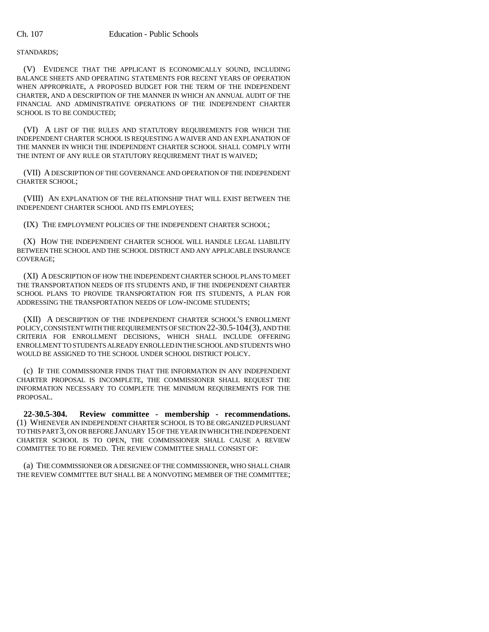STANDARDS;

(V) EVIDENCE THAT THE APPLICANT IS ECONOMICALLY SOUND, INCLUDING BALANCE SHEETS AND OPERATING STATEMENTS FOR RECENT YEARS OF OPERATION WHEN APPROPRIATE, A PROPOSED BUDGET FOR THE TERM OF THE INDEPENDENT CHARTER, AND A DESCRIPTION OF THE MANNER IN WHICH AN ANNUAL AUDIT OF THE FINANCIAL AND ADMINISTRATIVE OPERATIONS OF THE INDEPENDENT CHARTER SCHOOL IS TO BE CONDUCTED;

(VI) A LIST OF THE RULES AND STATUTORY REQUIREMENTS FOR WHICH THE INDEPENDENT CHARTER SCHOOL IS REQUESTING A WAIVER AND AN EXPLANATION OF THE MANNER IN WHICH THE INDEPENDENT CHARTER SCHOOL SHALL COMPLY WITH THE INTENT OF ANY RULE OR STATUTORY REQUIREMENT THAT IS WAIVED;

(VII) A DESCRIPTION OF THE GOVERNANCE AND OPERATION OF THE INDEPENDENT CHARTER SCHOOL;

(VIII) AN EXPLANATION OF THE RELATIONSHIP THAT WILL EXIST BETWEEN THE INDEPENDENT CHARTER SCHOOL AND ITS EMPLOYEES;

(IX) THE EMPLOYMENT POLICIES OF THE INDEPENDENT CHARTER SCHOOL;

(X) HOW THE INDEPENDENT CHARTER SCHOOL WILL HANDLE LEGAL LIABILITY BETWEEN THE SCHOOL AND THE SCHOOL DISTRICT AND ANY APPLICABLE INSURANCE COVERAGE;

(XI) A DESCRIPTION OF HOW THE INDEPENDENT CHARTER SCHOOL PLANS TO MEET THE TRANSPORTATION NEEDS OF ITS STUDENTS AND, IF THE INDEPENDENT CHARTER SCHOOL PLANS TO PROVIDE TRANSPORTATION FOR ITS STUDENTS, A PLAN FOR ADDRESSING THE TRANSPORTATION NEEDS OF LOW-INCOME STUDENTS;

(XII) A DESCRIPTION OF THE INDEPENDENT CHARTER SCHOOL'S ENROLLMENT POLICY, CONSISTENT WITH THE REQUIREMENTS OF SECTION 22-30.5-104(3), AND THE CRITERIA FOR ENROLLMENT DECISIONS, WHICH SHALL INCLUDE OFFERING ENROLLMENT TO STUDENTS ALREADY ENROLLED IN THE SCHOOL AND STUDENTS WHO WOULD BE ASSIGNED TO THE SCHOOL UNDER SCHOOL DISTRICT POLICY.

(c) IF THE COMMISSIONER FINDS THAT THE INFORMATION IN ANY INDEPENDENT CHARTER PROPOSAL IS INCOMPLETE, THE COMMISSIONER SHALL REQUEST THE INFORMATION NECESSARY TO COMPLETE THE MINIMUM REQUIREMENTS FOR THE PROPOSAL.

**22-30.5-304. Review committee - membership - recommendations.** (1) WHENEVER AN INDEPENDENT CHARTER SCHOOL IS TO BE ORGANIZED PURSUANT TO THIS PART 3, ON OR BEFORE JANUARY 15 OF THE YEAR IN WHICH THE INDEPENDENT CHARTER SCHOOL IS TO OPEN, THE COMMISSIONER SHALL CAUSE A REVIEW COMMITTEE TO BE FORMED. THE REVIEW COMMITTEE SHALL CONSIST OF:

(a) THE COMMISSIONER OR A DESIGNEE OF THE COMMISSIONER, WHO SHALL CHAIR THE REVIEW COMMITTEE BUT SHALL BE A NONVOTING MEMBER OF THE COMMITTEE;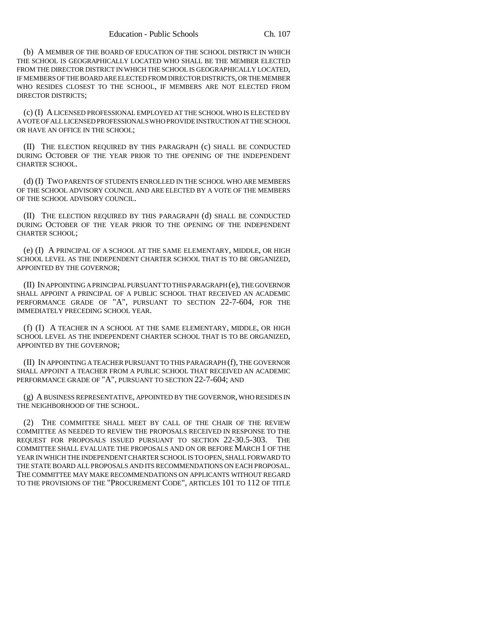(b) A MEMBER OF THE BOARD OF EDUCATION OF THE SCHOOL DISTRICT IN WHICH THE SCHOOL IS GEOGRAPHICALLY LOCATED WHO SHALL BE THE MEMBER ELECTED FROM THE DIRECTOR DISTRICT IN WHICH THE SCHOOL IS GEOGRAPHICALLY LOCATED, IF MEMBERS OF THE BOARD ARE ELECTED FROM DIRECTOR DISTRICTS, OR THE MEMBER WHO RESIDES CLOSEST TO THE SCHOOL, IF MEMBERS ARE NOT ELECTED FROM DIRECTOR DISTRICTS;

(c) (I) A LICENSED PROFESSIONAL EMPLOYED AT THE SCHOOL WHO IS ELECTED BY A VOTE OF ALL LICENSED PROFESSIONALS WHO PROVIDE INSTRUCTION AT THE SCHOOL OR HAVE AN OFFICE IN THE SCHOOL;

(II) THE ELECTION REQUIRED BY THIS PARAGRAPH (c) SHALL BE CONDUCTED DURING OCTOBER OF THE YEAR PRIOR TO THE OPENING OF THE INDEPENDENT CHARTER SCHOOL.

(d) (I) TWO PARENTS OF STUDENTS ENROLLED IN THE SCHOOL WHO ARE MEMBERS OF THE SCHOOL ADVISORY COUNCIL AND ARE ELECTED BY A VOTE OF THE MEMBERS OF THE SCHOOL ADVISORY COUNCIL.

(II) THE ELECTION REQUIRED BY THIS PARAGRAPH (d) SHALL BE CONDUCTED DURING OCTOBER OF THE YEAR PRIOR TO THE OPENING OF THE INDEPENDENT CHARTER SCHOOL;

(e) (I) A PRINCIPAL OF A SCHOOL AT THE SAME ELEMENTARY, MIDDLE, OR HIGH SCHOOL LEVEL AS THE INDEPENDENT CHARTER SCHOOL THAT IS TO BE ORGANIZED, APPOINTED BY THE GOVERNOR;

(II) IN APPOINTING A PRINCIPAL PURSUANT TO THIS PARAGRAPH (e), THE GOVERNOR SHALL APPOINT A PRINCIPAL OF A PUBLIC SCHOOL THAT RECEIVED AN ACADEMIC PERFORMANCE GRADE OF "A", PURSUANT TO SECTION 22-7-604, FOR THE IMMEDIATELY PRECEDING SCHOOL YEAR.

(f) (I) A TEACHER IN A SCHOOL AT THE SAME ELEMENTARY, MIDDLE, OR HIGH SCHOOL LEVEL AS THE INDEPENDENT CHARTER SCHOOL THAT IS TO BE ORGANIZED, APPOINTED BY THE GOVERNOR;

(II) IN APPOINTING A TEACHER PURSUANT TO THIS PARAGRAPH (f), THE GOVERNOR SHALL APPOINT A TEACHER FROM A PUBLIC SCHOOL THAT RECEIVED AN ACADEMIC PERFORMANCE GRADE OF "A", PURSUANT TO SECTION 22-7-604; AND

(g) A BUSINESS REPRESENTATIVE, APPOINTED BY THE GOVERNOR, WHO RESIDES IN THE NEIGHBORHOOD OF THE SCHOOL.

(2) THE COMMITTEE SHALL MEET BY CALL OF THE CHAIR OF THE REVIEW COMMITTEE AS NEEDED TO REVIEW THE PROPOSALS RECEIVED IN RESPONSE TO THE REQUEST FOR PROPOSALS ISSUED PURSUANT TO SECTION 22-30.5-303. THE COMMITTEE SHALL EVALUATE THE PROPOSALS AND ON OR BEFORE MARCH 1 OF THE YEAR IN WHICH THE INDEPENDENT CHARTER SCHOOL IS TO OPEN, SHALL FORWARD TO THE STATE BOARD ALL PROPOSALS AND ITS RECOMMENDATIONS ON EACH PROPOSAL. THE COMMITTEE MAY MAKE RECOMMENDATIONS ON APPLICANTS WITHOUT REGARD TO THE PROVISIONS OF THE "PROCUREMENT CODE", ARTICLES 101 TO 112 OF TITLE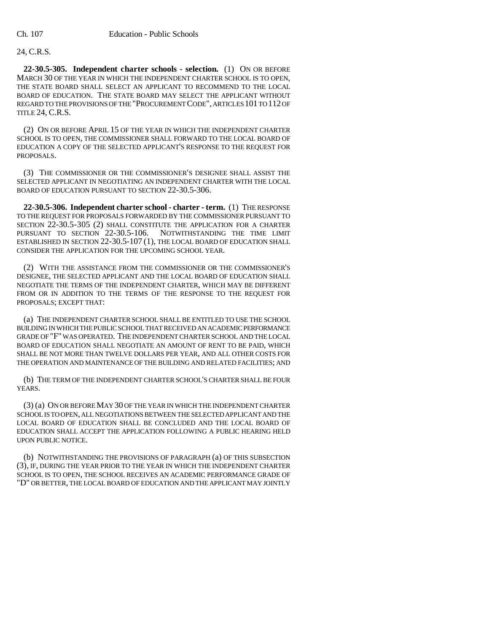## 24, C.R.S.

**22-30.5-305. Independent charter schools - selection.** (1) ON OR BEFORE MARCH 30 OF THE YEAR IN WHICH THE INDEPENDENT CHARTER SCHOOL IS TO OPEN, THE STATE BOARD SHALL SELECT AN APPLICANT TO RECOMMEND TO THE LOCAL BOARD OF EDUCATION. THE STATE BOARD MAY SELECT THE APPLICANT WITHOUT REGARD TO THE PROVISIONS OF THE "PROCUREMENT CODE", ARTICLES 101 TO 112 OF TITLE 24, C.R.S.

(2) ON OR BEFORE APRIL 15 OF THE YEAR IN WHICH THE INDEPENDENT CHARTER SCHOOL IS TO OPEN, THE COMMISSIONER SHALL FORWARD TO THE LOCAL BOARD OF EDUCATION A COPY OF THE SELECTED APPLICANT'S RESPONSE TO THE REQUEST FOR PROPOSALS.

(3) THE COMMISSIONER OR THE COMMISSIONER'S DESIGNEE SHALL ASSIST THE SELECTED APPLICANT IN NEGOTIATING AN INDEPENDENT CHARTER WITH THE LOCAL BOARD OF EDUCATION PURSUANT TO SECTION 22-30.5-306.

**22-30.5-306. Independent charter school - charter - term.** (1) THE RESPONSE TO THE REQUEST FOR PROPOSALS FORWARDED BY THE COMMISSIONER PURSUANT TO SECTION 22-30.5-305 (2) SHALL CONSTITUTE THE APPLICATION FOR A CHARTER PURSUANT TO SECTION 22-30.5-106. NOTWITHSTANDING THE TIME LIMIT ESTABLISHED IN SECTION 22-30.5-107 (1), THE LOCAL BOARD OF EDUCATION SHALL CONSIDER THE APPLICATION FOR THE UPCOMING SCHOOL YEAR.

(2) WITH THE ASSISTANCE FROM THE COMMISSIONER OR THE COMMISSIONER'S DESIGNEE, THE SELECTED APPLICANT AND THE LOCAL BOARD OF EDUCATION SHALL NEGOTIATE THE TERMS OF THE INDEPENDENT CHARTER, WHICH MAY BE DIFFERENT FROM OR IN ADDITION TO THE TERMS OF THE RESPONSE TO THE REQUEST FOR PROPOSALS; EXCEPT THAT:

(a) THE INDEPENDENT CHARTER SCHOOL SHALL BE ENTITLED TO USE THE SCHOOL BUILDING IN WHICH THE PUBLIC SCHOOL THAT RECEIVED AN ACADEMIC PERFORMANCE GRADE OF "F" WAS OPERATED. THE INDEPENDENT CHARTER SCHOOL AND THE LOCAL BOARD OF EDUCATION SHALL NEGOTIATE AN AMOUNT OF RENT TO BE PAID, WHICH SHALL BE NOT MORE THAN TWELVE DOLLARS PER YEAR, AND ALL OTHER COSTS FOR THE OPERATION AND MAINTENANCE OF THE BUILDING AND RELATED FACILITIES; AND

(b) THE TERM OF THE INDEPENDENT CHARTER SCHOOL'S CHARTER SHALL BE FOUR YEARS.

(3) (a) ON OR BEFORE MAY 30 OF THE YEAR IN WHICH THE INDEPENDENT CHARTER SCHOOL IS TO OPEN, ALL NEGOTIATIONS BETWEEN THE SELECTED APPLICANT AND THE LOCAL BOARD OF EDUCATION SHALL BE CONCLUDED AND THE LOCAL BOARD OF EDUCATION SHALL ACCEPT THE APPLICATION FOLLOWING A PUBLIC HEARING HELD UPON PUBLIC NOTICE.

(b) NOTWITHSTANDING THE PROVISIONS OF PARAGRAPH (a) OF THIS SUBSECTION (3), IF, DURING THE YEAR PRIOR TO THE YEAR IN WHICH THE INDEPENDENT CHARTER SCHOOL IS TO OPEN, THE SCHOOL RECEIVES AN ACADEMIC PERFORMANCE GRADE OF "D" OR BETTER, THE LOCAL BOARD OF EDUCATION AND THE APPLICANT MAY JOINTLY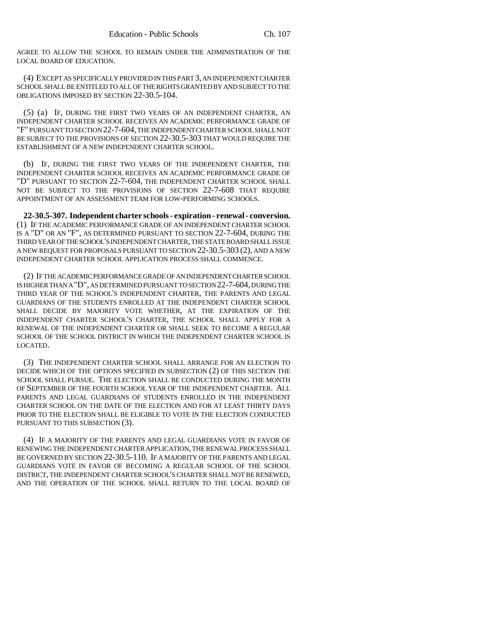AGREE TO ALLOW THE SCHOOL TO REMAIN UNDER THE ADMINISTRATION OF THE LOCAL BOARD OF EDUCATION.

(4) EXCEPT AS SPECIFICALLY PROVIDED IN THIS PART 3, AN INDEPENDENT CHARTER SCHOOL SHALL BE ENTITLED TO ALL OF THE RIGHTS GRANTED BY AND SUBJECT TO THE OBLIGATIONS IMPOSED BY SECTION 22-30.5-104.

(5) (a) IF, DURING THE FIRST TWO YEARS OF AN INDEPENDENT CHARTER, AN INDEPENDENT CHARTER SCHOOL RECEIVES AN ACADEMIC PERFORMANCE GRADE OF "F" PURSUANT TO SECTION 22-7-604, THE INDEPENDENT CHARTER SCHOOL SHALL NOT BE SUBJECT TO THE PROVISIONS OF SECTION 22-30.5-303 THAT WOULD REQUIRE THE ESTABLISHMENT OF A NEW INDEPENDENT CHARTER SCHOOL.

(b) IF, DURING THE FIRST TWO YEARS OF THE INDEPENDENT CHARTER, THE INDEPENDENT CHARTER SCHOOL RECEIVES AN ACADEMIC PERFORMANCE GRADE OF "D" PURSUANT TO SECTION 22-7-604, THE INDEPENDENT CHARTER SCHOOL SHALL NOT BE SUBJECT TO THE PROVISIONS OF SECTION 22-7-608 THAT REQUIRE APPOINTMENT OF AN ASSESSMENT TEAM FOR LOW-PERFORMING SCHOOLS.

**22-30.5-307. Independent charter schools - expiration - renewal - conversion.** (1) IF THE ACADEMIC PERFORMANCE GRADE OF AN INDEPENDENT CHARTER SCHOOL IS A "D" OR AN "F", AS DETERMINED PURSUANT TO SECTION 22-7-604, DURING THE THIRD YEAR OF THE SCHOOL'S INDEPENDENT CHARTER, THE STATE BOARD SHALL ISSUE A NEW REQUEST FOR PROPOSALS PURSUANT TO SECTION 22-30.5-303 (2), AND A NEW INDEPENDENT CHARTER SCHOOL APPLICATION PROCESS SHALL COMMENCE.

(2) IF THE ACADEMIC PERFORMANCE GRADE OF AN INDEPENDENT CHARTER SCHOOL IS HIGHER THAN A "D", AS DETERMINED PURSUANT TO SECTION 22-7-604, DURING THE THIRD YEAR OF THE SCHOOL'S INDEPENDENT CHARTER, THE PARENTS AND LEGAL GUARDIANS OF THE STUDENTS ENROLLED AT THE INDEPENDENT CHARTER SCHOOL SHALL DECIDE BY MAJORITY VOTE WHETHER, AT THE EXPIRATION OF THE INDEPENDENT CHARTER SCHOOL'S CHARTER, THE SCHOOL SHALL APPLY FOR A RENEWAL OF THE INDEPENDENT CHARTER OR SHALL SEEK TO BECOME A REGULAR SCHOOL OF THE SCHOOL DISTRICT IN WHICH THE INDEPENDENT CHARTER SCHOOL IS LOCATED.

(3) THE INDEPENDENT CHARTER SCHOOL SHALL ARRANGE FOR AN ELECTION TO DECIDE WHICH OF THE OPTIONS SPECIFIED IN SUBSECTION (2) OF THIS SECTION THE SCHOOL SHALL PURSUE. THE ELECTION SHALL BE CONDUCTED DURING THE MONTH OF SEPTEMBER OF THE FOURTH SCHOOL YEAR OF THE INDEPENDENT CHARTER. ALL PARENTS AND LEGAL GUARDIANS OF STUDENTS ENROLLED IN THE INDEPENDENT CHARTER SCHOOL ON THE DATE OF THE ELECTION AND FOR AT LEAST THIRTY DAYS PRIOR TO THE ELECTION SHALL BE ELIGIBLE TO VOTE IN THE ELECTION CONDUCTED PURSUANT TO THIS SUBSECTION (3).

(4) IF A MAJORITY OF THE PARENTS AND LEGAL GUARDIANS VOTE IN FAVOR OF RENEWING THE INDEPENDENT CHARTER APPLICATION, THE RENEWAL PROCESS SHALL BE GOVERNED BY SECTION 22-30.5-110. IF A MAJORITY OF THE PARENTS AND LEGAL GUARDIANS VOTE IN FAVOR OF BECOMING A REGULAR SCHOOL OF THE SCHOOL DISTRICT, THE INDEPENDENT CHARTER SCHOOL'S CHARTER SHALL NOT BE RENEWED, AND THE OPERATION OF THE SCHOOL SHALL RETURN TO THE LOCAL BOARD OF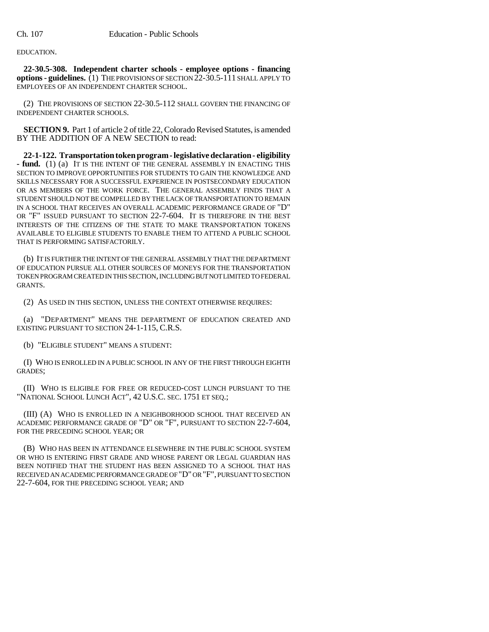EDUCATION.

**22-30.5-308. Independent charter schools - employee options - financing options - guidelines.** (1) THE PROVISIONS OF SECTION 22-30.5-111 SHALL APPLY TO EMPLOYEES OF AN INDEPENDENT CHARTER SCHOOL.

(2) THE PROVISIONS OF SECTION 22-30.5-112 SHALL GOVERN THE FINANCING OF INDEPENDENT CHARTER SCHOOLS.

**SECTION 9.** Part 1 of article 2 of title 22, Colorado Revised Statutes, is amended BY THE ADDITION OF A NEW SECTION to read:

**22-1-122. Transportation token program - legislative declaration - eligibility - fund.** (1) (a) IT IS THE INTENT OF THE GENERAL ASSEMBLY IN ENACTING THIS SECTION TO IMPROVE OPPORTUNITIES FOR STUDENTS TO GAIN THE KNOWLEDGE AND SKILLS NECESSARY FOR A SUCCESSFUL EXPERIENCE IN POSTSECONDARY EDUCATION OR AS MEMBERS OF THE WORK FORCE. THE GENERAL ASSEMBLY FINDS THAT A STUDENT SHOULD NOT BE COMPELLED BY THE LACK OF TRANSPORTATION TO REMAIN IN A SCHOOL THAT RECEIVES AN OVERALL ACADEMIC PERFORMANCE GRADE OF "D" OR "F" ISSUED PURSUANT TO SECTION 22-7-604. IT IS THEREFORE IN THE BEST INTERESTS OF THE CITIZENS OF THE STATE TO MAKE TRANSPORTATION TOKENS AVAILABLE TO ELIGIBLE STUDENTS TO ENABLE THEM TO ATTEND A PUBLIC SCHOOL THAT IS PERFORMING SATISFACTORILY.

(b) IT IS FURTHER THE INTENT OF THE GENERAL ASSEMBLY THAT THE DEPARTMENT OF EDUCATION PURSUE ALL OTHER SOURCES OF MONEYS FOR THE TRANSPORTATION TOKEN PROGRAM CREATED IN THIS SECTION, INCLUDING BUT NOT LIMITED TO FEDERAL GRANTS.

(2) AS USED IN THIS SECTION, UNLESS THE CONTEXT OTHERWISE REQUIRES:

(a) "DEPARTMENT" MEANS THE DEPARTMENT OF EDUCATION CREATED AND EXISTING PURSUANT TO SECTION 24-1-115, C.R.S.

(b) "ELIGIBLE STUDENT" MEANS A STUDENT:

(I) WHO IS ENROLLED IN A PUBLIC SCHOOL IN ANY OF THE FIRST THROUGH EIGHTH GRADES;

(II) WHO IS ELIGIBLE FOR FREE OR REDUCED-COST LUNCH PURSUANT TO THE "NATIONAL SCHOOL LUNCH ACT", 42 U.S.C. SEC. 1751 ET SEQ.;

(III) (A) WHO IS ENROLLED IN A NEIGHBORHOOD SCHOOL THAT RECEIVED AN ACADEMIC PERFORMANCE GRADE OF "D" OR "F", PURSUANT TO SECTION 22-7-604, FOR THE PRECEDING SCHOOL YEAR; OR

(B) WHO HAS BEEN IN ATTENDANCE ELSEWHERE IN THE PUBLIC SCHOOL SYSTEM OR WHO IS ENTERING FIRST GRADE AND WHOSE PARENT OR LEGAL GUARDIAN HAS BEEN NOTIFIED THAT THE STUDENT HAS BEEN ASSIGNED TO A SCHOOL THAT HAS RECEIVED AN ACADEMIC PERFORMANCE GRADE OF "D" OR "F", PURSUANT TO SECTION 22-7-604, FOR THE PRECEDING SCHOOL YEAR; AND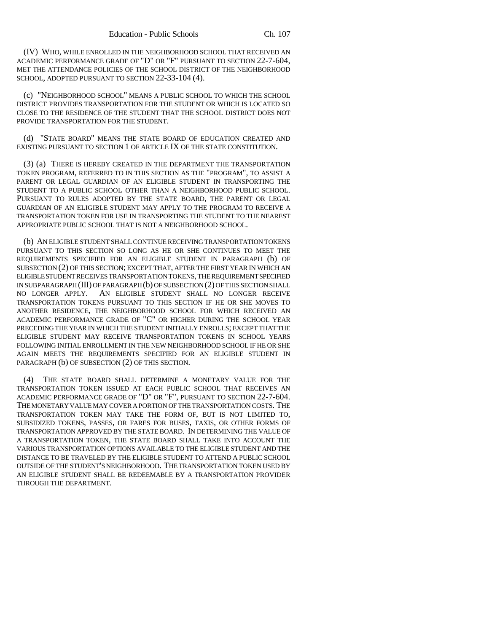(IV) WHO, WHILE ENROLLED IN THE NEIGHBORHOOD SCHOOL THAT RECEIVED AN ACADEMIC PERFORMANCE GRADE OF "D" OR "F" PURSUANT TO SECTION 22-7-604, MET THE ATTENDANCE POLICIES OF THE SCHOOL DISTRICT OF THE NEIGHBORHOOD SCHOOL, ADOPTED PURSUANT TO SECTION 22-33-104 (4).

(c) "NEIGHBORHOOD SCHOOL" MEANS A PUBLIC SCHOOL TO WHICH THE SCHOOL DISTRICT PROVIDES TRANSPORTATION FOR THE STUDENT OR WHICH IS LOCATED SO CLOSE TO THE RESIDENCE OF THE STUDENT THAT THE SCHOOL DISTRICT DOES NOT PROVIDE TRANSPORTATION FOR THE STUDENT.

(d) "STATE BOARD" MEANS THE STATE BOARD OF EDUCATION CREATED AND EXISTING PURSUANT TO SECTION 1 OF ARTICLE IX OF THE STATE CONSTITUTION.

(3) (a) THERE IS HEREBY CREATED IN THE DEPARTMENT THE TRANSPORTATION TOKEN PROGRAM, REFERRED TO IN THIS SECTION AS THE "PROGRAM", TO ASSIST A PARENT OR LEGAL GUARDIAN OF AN ELIGIBLE STUDENT IN TRANSPORTING THE STUDENT TO A PUBLIC SCHOOL OTHER THAN A NEIGHBORHOOD PUBLIC SCHOOL. PURSUANT TO RULES ADOPTED BY THE STATE BOARD, THE PARENT OR LEGAL GUARDIAN OF AN ELIGIBLE STUDENT MAY APPLY TO THE PROGRAM TO RECEIVE A TRANSPORTATION TOKEN FOR USE IN TRANSPORTING THE STUDENT TO THE NEAREST APPROPRIATE PUBLIC SCHOOL THAT IS NOT A NEIGHBORHOOD SCHOOL.

(b) AN ELIGIBLE STUDENT SHALL CONTINUE RECEIVING TRANSPORTATION TOKENS PURSUANT TO THIS SECTION SO LONG AS HE OR SHE CONTINUES TO MEET THE REQUIREMENTS SPECIFIED FOR AN ELIGIBLE STUDENT IN PARAGRAPH (b) OF SUBSECTION (2) OF THIS SECTION; EXCEPT THAT, AFTER THE FIRST YEAR IN WHICH AN ELIGIBLE STUDENT RECEIVES TRANSPORTATION TOKENS, THE REQUIREMENT SPECIFIED IN SUBPARAGRAPH (III) OF PARAGRAPH (b) OF SUBSECTION (2) OF THIS SECTION SHALL NO LONGER APPLY. AN ELIGIBLE STUDENT SHALL NO LONGER RECEIVE TRANSPORTATION TOKENS PURSUANT TO THIS SECTION IF HE OR SHE MOVES TO ANOTHER RESIDENCE, THE NEIGHBORHOOD SCHOOL FOR WHICH RECEIVED AN ACADEMIC PERFORMANCE GRADE OF "C" OR HIGHER DURING THE SCHOOL YEAR PRECEDING THE YEAR IN WHICH THE STUDENT INITIALLY ENROLLS; EXCEPT THAT THE ELIGIBLE STUDENT MAY RECEIVE TRANSPORTATION TOKENS IN SCHOOL YEARS FOLLOWING INITIAL ENROLLMENT IN THE NEW NEIGHBORHOOD SCHOOL IF HE OR SHE AGAIN MEETS THE REQUIREMENTS SPECIFIED FOR AN ELIGIBLE STUDENT IN PARAGRAPH (b) OF SUBSECTION (2) OF THIS SECTION.

(4) THE STATE BOARD SHALL DETERMINE A MONETARY VALUE FOR THE TRANSPORTATION TOKEN ISSUED AT EACH PUBLIC SCHOOL THAT RECEIVES AN ACADEMIC PERFORMANCE GRADE OF "D" OR "F", PURSUANT TO SECTION 22-7-604. THE MONETARY VALUE MAY COVER A PORTION OF THE TRANSPORTATION COSTS. THE TRANSPORTATION TOKEN MAY TAKE THE FORM OF, BUT IS NOT LIMITED TO, SUBSIDIZED TOKENS, PASSES, OR FARES FOR BUSES, TAXIS, OR OTHER FORMS OF TRANSPORTATION APPROVED BY THE STATE BOARD. IN DETERMINING THE VALUE OF A TRANSPORTATION TOKEN, THE STATE BOARD SHALL TAKE INTO ACCOUNT THE VARIOUS TRANSPORTATION OPTIONS AVAILABLE TO THE ELIGIBLE STUDENT AND THE DISTANCE TO BE TRAVELED BY THE ELIGIBLE STUDENT TO ATTEND A PUBLIC SCHOOL OUTSIDE OF THE STUDENT'S NEIGHBORHOOD. THE TRANSPORTATION TOKEN USED BY AN ELIGIBLE STUDENT SHALL BE REDEEMABLE BY A TRANSPORTATION PROVIDER THROUGH THE DEPARTMENT.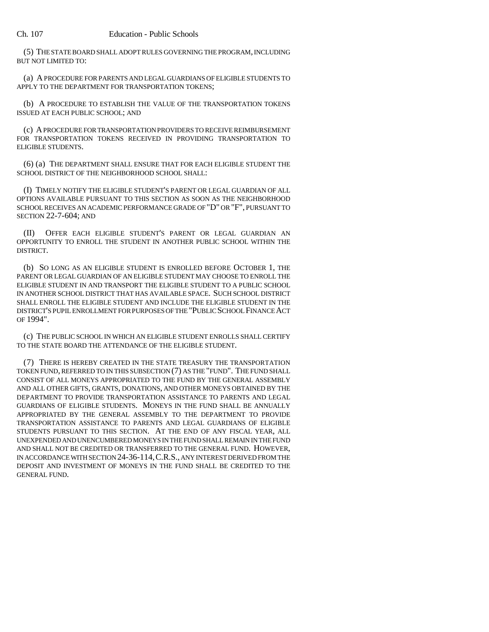(5) THE STATE BOARD SHALL ADOPT RULES GOVERNING THE PROGRAM, INCLUDING BUT NOT LIMITED TO:

(a) A PROCEDURE FOR PARENTS AND LEGAL GUARDIANS OF ELIGIBLE STUDENTS TO APPLY TO THE DEPARTMENT FOR TRANSPORTATION TOKENS;

(b) A PROCEDURE TO ESTABLISH THE VALUE OF THE TRANSPORTATION TOKENS ISSUED AT EACH PUBLIC SCHOOL; AND

(c) A PROCEDURE FOR TRANSPORTATION PROVIDERS TO RECEIVE REIMBURSEMENT FOR TRANSPORTATION TOKENS RECEIVED IN PROVIDING TRANSPORTATION TO ELIGIBLE STUDENTS.

(6) (a) THE DEPARTMENT SHALL ENSURE THAT FOR EACH ELIGIBLE STUDENT THE SCHOOL DISTRICT OF THE NEIGHBORHOOD SCHOOL SHALL:

(I) TIMELY NOTIFY THE ELIGIBLE STUDENT'S PARENT OR LEGAL GUARDIAN OF ALL OPTIONS AVAILABLE PURSUANT TO THIS SECTION AS SOON AS THE NEIGHBORHOOD SCHOOL RECEIVES AN ACADEMIC PERFORMANCE GRADE OF "D" OR "F", PURSUANT TO SECTION 22-7-604; AND

(II) OFFER EACH ELIGIBLE STUDENT'S PARENT OR LEGAL GUARDIAN AN OPPORTUNITY TO ENROLL THE STUDENT IN ANOTHER PUBLIC SCHOOL WITHIN THE DISTRICT.

(b) SO LONG AS AN ELIGIBLE STUDENT IS ENROLLED BEFORE OCTOBER 1, THE PARENT OR LEGAL GUARDIAN OF AN ELIGIBLE STUDENT MAY CHOOSE TO ENROLL THE ELIGIBLE STUDENT IN AND TRANSPORT THE ELIGIBLE STUDENT TO A PUBLIC SCHOOL IN ANOTHER SCHOOL DISTRICT THAT HAS AVAILABLE SPACE. SUCH SCHOOL DISTRICT SHALL ENROLL THE ELIGIBLE STUDENT AND INCLUDE THE ELIGIBLE STUDENT IN THE DISTRICT'S PUPIL ENROLLMENT FOR PURPOSES OF THE "PUBLIC SCHOOL FINANCE ACT OF 1994".

(c) THE PUBLIC SCHOOL IN WHICH AN ELIGIBLE STUDENT ENROLLS SHALL CERTIFY TO THE STATE BOARD THE ATTENDANCE OF THE ELIGIBLE STUDENT.

(7) THERE IS HEREBY CREATED IN THE STATE TREASURY THE TRANSPORTATION TOKEN FUND, REFERRED TO IN THIS SUBSECTION (7) AS THE "FUND". THE FUND SHALL CONSIST OF ALL MONEYS APPROPRIATED TO THE FUND BY THE GENERAL ASSEMBLY AND ALL OTHER GIFTS, GRANTS, DONATIONS, AND OTHER MONEYS OBTAINED BY THE DEPARTMENT TO PROVIDE TRANSPORTATION ASSISTANCE TO PARENTS AND LEGAL GUARDIANS OF ELIGIBLE STUDENTS. MONEYS IN THE FUND SHALL BE ANNUALLY APPROPRIATED BY THE GENERAL ASSEMBLY TO THE DEPARTMENT TO PROVIDE TRANSPORTATION ASSISTANCE TO PARENTS AND LEGAL GUARDIANS OF ELIGIBLE STUDENTS PURSUANT TO THIS SECTION. AT THE END OF ANY FISCAL YEAR, ALL UNEXPENDED AND UNENCUMBERED MONEYS IN THE FUND SHALL REMAIN IN THE FUND AND SHALL NOT BE CREDITED OR TRANSFERRED TO THE GENERAL FUND. HOWEVER, IN ACCORDANCE WITH SECTION 24-36-114,C.R.S., ANY INTEREST DERIVED FROM THE DEPOSIT AND INVESTMENT OF MONEYS IN THE FUND SHALL BE CREDITED TO THE GENERAL FUND.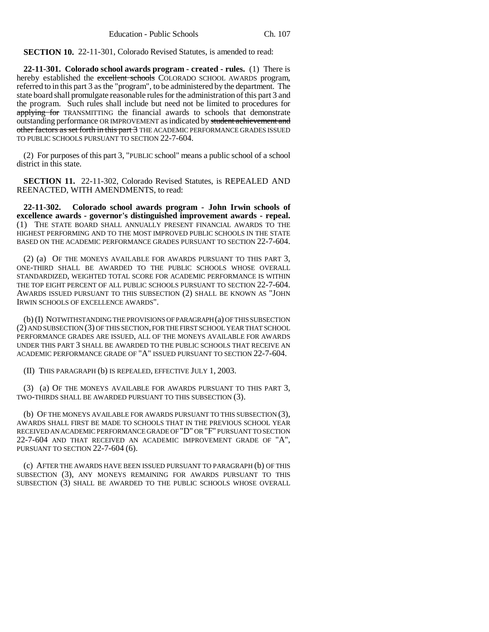**SECTION 10.** 22-11-301, Colorado Revised Statutes, is amended to read:

**22-11-301. Colorado school awards program - created - rules.** (1) There is hereby established the excellent schools COLORADO SCHOOL AWARDS program, referred to in this part 3 as the "program", to be administered by the department. The state board shall promulgate reasonable rules for the administration of this part 3 and the program. Such rules shall include but need not be limited to procedures for applying for TRANSMITTING the financial awards to schools that demonstrate outstanding performance OR IMPROVEMENT as indicated by student achievement and other factors as set forth in this part 3 THE ACADEMIC PERFORMANCE GRADES ISSUED TO PUBLIC SCHOOLS PURSUANT TO SECTION 22-7-604.

(2) For purposes of this part 3, "PUBLIC school" means a public school of a school district in this state.

**SECTION 11.** 22-11-302, Colorado Revised Statutes, is REPEALED AND REENACTED, WITH AMENDMENTS, to read:

**22-11-302. Colorado school awards program - John Irwin schools of excellence awards - governor's distinguished improvement awards - repeal.** (1) THE STATE BOARD SHALL ANNUALLY PRESENT FINANCIAL AWARDS TO THE HIGHEST PERFORMING AND TO THE MOST IMPROVED PUBLIC SCHOOLS IN THE STATE BASED ON THE ACADEMIC PERFORMANCE GRADES PURSUANT TO SECTION 22-7-604.

(2) (a) OF THE MONEYS AVAILABLE FOR AWARDS PURSUANT TO THIS PART 3, ONE-THIRD SHALL BE AWARDED TO THE PUBLIC SCHOOLS WHOSE OVERALL STANDARDIZED, WEIGHTED TOTAL SCORE FOR ACADEMIC PERFORMANCE IS WITHIN THE TOP EIGHT PERCENT OF ALL PUBLIC SCHOOLS PURSUANT TO SECTION 22-7-604. AWARDS ISSUED PURSUANT TO THIS SUBSECTION (2) SHALL BE KNOWN AS "JOHN IRWIN SCHOOLS OF EXCELLENCE AWARDS".

(b) (I) NOTWITHSTANDING THE PROVISIONS OF PARAGRAPH (a) OF THIS SUBSECTION (2) AND SUBSECTION (3) OF THIS SECTION, FOR THE FIRST SCHOOL YEAR THAT SCHOOL PERFORMANCE GRADES ARE ISSUED, ALL OF THE MONEYS AVAILABLE FOR AWARDS UNDER THIS PART 3 SHALL BE AWARDED TO THE PUBLIC SCHOOLS THAT RECEIVE AN ACADEMIC PERFORMANCE GRADE OF "A" ISSUED PURSUANT TO SECTION 22-7-604.

(II) THIS PARAGRAPH (b) IS REPEALED, EFFECTIVE JULY 1, 2003.

(3) (a) OF THE MONEYS AVAILABLE FOR AWARDS PURSUANT TO THIS PART 3, TWO-THIRDS SHALL BE AWARDED PURSUANT TO THIS SUBSECTION (3).

(b) OF THE MONEYS AVAILABLE FOR AWARDS PURSUANT TO THIS SUBSECTION (3), AWARDS SHALL FIRST BE MADE TO SCHOOLS THAT IN THE PREVIOUS SCHOOL YEAR RECEIVED AN ACADEMIC PERFORMANCE GRADE OF "D" OR "F" PURSUANT TO SECTION 22-7-604 AND THAT RECEIVED AN ACADEMIC IMPROVEMENT GRADE OF "A", PURSUANT TO SECTION 22-7-604 (6).

(c) AFTER THE AWARDS HAVE BEEN ISSUED PURSUANT TO PARAGRAPH (b) OF THIS SUBSECTION (3), ANY MONEYS REMAINING FOR AWARDS PURSUANT TO THIS SUBSECTION (3) SHALL BE AWARDED TO THE PUBLIC SCHOOLS WHOSE OVERALL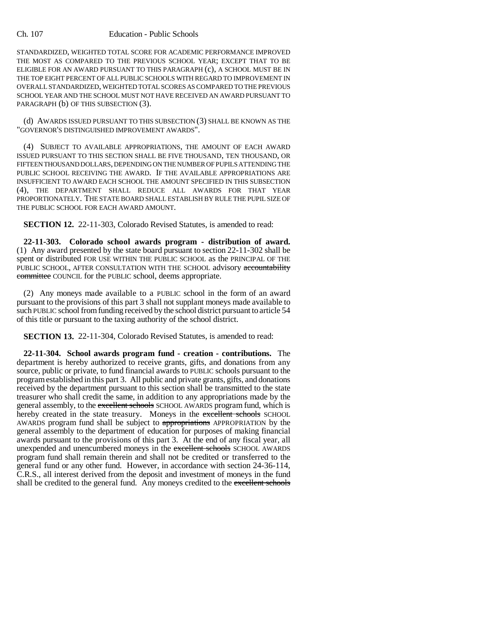#### Ch. 107 Education - Public Schools

STANDARDIZED, WEIGHTED TOTAL SCORE FOR ACADEMIC PERFORMANCE IMPROVED THE MOST AS COMPARED TO THE PREVIOUS SCHOOL YEAR; EXCEPT THAT TO BE ELIGIBLE FOR AN AWARD PURSUANT TO THIS PARAGRAPH (c), A SCHOOL MUST BE IN THE TOP EIGHT PERCENT OF ALL PUBLIC SCHOOLS WITH REGARD TO IMPROVEMENT IN OVERALL STANDARDIZED, WEIGHTED TOTAL SCORES AS COMPARED TO THE PREVIOUS SCHOOL YEAR AND THE SCHOOL MUST NOT HAVE RECEIVED AN AWARD PURSUANT TO PARAGRAPH (b) OF THIS SUBSECTION (3).

(d) AWARDS ISSUED PURSUANT TO THIS SUBSECTION (3) SHALL BE KNOWN AS THE "GOVERNOR'S DISTINGUISHED IMPROVEMENT AWARDS".

(4) SUBJECT TO AVAILABLE APPROPRIATIONS, THE AMOUNT OF EACH AWARD ISSUED PURSUANT TO THIS SECTION SHALL BE FIVE THOUSAND, TEN THOUSAND, OR FIFTEEN THOUSAND DOLLARS, DEPENDING ON THE NUMBER OF PUPILS ATTENDING THE PUBLIC SCHOOL RECEIVING THE AWARD. IF THE AVAILABLE APPROPRIATIONS ARE INSUFFICIENT TO AWARD EACH SCHOOL THE AMOUNT SPECIFIED IN THIS SUBSECTION (4), THE DEPARTMENT SHALL REDUCE ALL AWARDS FOR THAT YEAR PROPORTIONATELY. THE STATE BOARD SHALL ESTABLISH BY RULE THE PUPIL SIZE OF THE PUBLIC SCHOOL FOR EACH AWARD AMOUNT.

**SECTION 12.** 22-11-303, Colorado Revised Statutes, is amended to read:

**22-11-303. Colorado school awards program - distribution of award.** (1) Any award presented by the state board pursuant to section 22-11-302 shall be spent or distributed FOR USE WITHIN THE PUBLIC SCHOOL as the PRINCIPAL OF THE PUBLIC SCHOOL, AFTER CONSULTATION WITH THE SCHOOL advisory accountability committee COUNCIL for the PUBLIC school, deems appropriate.

(2) Any moneys made available to a PUBLIC school in the form of an award pursuant to the provisions of this part 3 shall not supplant moneys made available to such PUBLIC school from funding received by the school district pursuant to article 54 of this title or pursuant to the taxing authority of the school district.

**SECTION 13.** 22-11-304, Colorado Revised Statutes, is amended to read:

**22-11-304. School awards program fund - creation - contributions.** The department is hereby authorized to receive grants, gifts, and donations from any source, public or private, to fund financial awards to PUBLIC schools pursuant to the program established in this part 3. All public and private grants, gifts, and donations received by the department pursuant to this section shall be transmitted to the state treasurer who shall credit the same, in addition to any appropriations made by the general assembly, to the excellent schools SCHOOL AWARDS program fund, which is hereby created in the state treasury. Moneys in the excellent schools SCHOOL AWARDS program fund shall be subject to appropriations APPROPRIATION by the general assembly to the department of education for purposes of making financial awards pursuant to the provisions of this part 3. At the end of any fiscal year, all unexpended and unencumbered moneys in the excellent schools SCHOOL AWARDS program fund shall remain therein and shall not be credited or transferred to the general fund or any other fund. However, in accordance with section 24-36-114, C.R.S., all interest derived from the deposit and investment of moneys in the fund shall be credited to the general fund. Any moneys credited to the excellent schools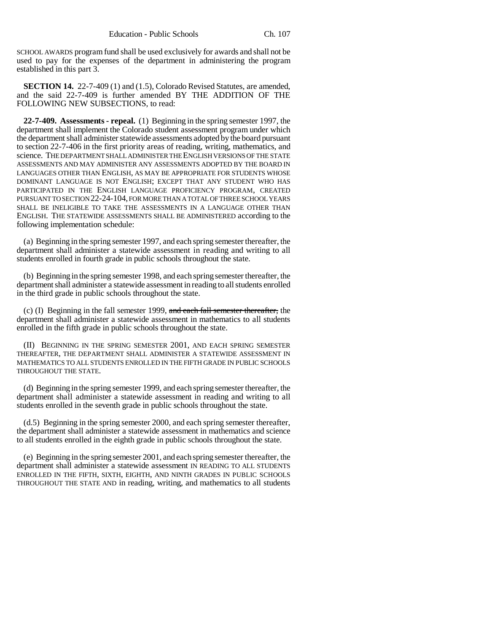SCHOOL AWARDS program fund shall be used exclusively for awards and shall not be used to pay for the expenses of the department in administering the program established in this part 3.

**SECTION 14.** 22-7-409 (1) and (1.5), Colorado Revised Statutes, are amended, and the said 22-7-409 is further amended BY THE ADDITION OF THE FOLLOWING NEW SUBSECTIONS, to read:

**22-7-409. Assessments - repeal.** (1) Beginning in the spring semester 1997, the department shall implement the Colorado student assessment program under which the department shall administer statewide assessments adopted by the board pursuant to section 22-7-406 in the first priority areas of reading, writing, mathematics, and science. THE DEPARTMENT SHALL ADMINISTER THE ENGLISH VERSIONS OF THE STATE ASSESSMENTS AND MAY ADMINISTER ANY ASSESSMENTS ADOPTED BY THE BOARD IN LANGUAGES OTHER THAN ENGLISH, AS MAY BE APPROPRIATE FOR STUDENTS WHOSE DOMINANT LANGUAGE IS NOT ENGLISH; EXCEPT THAT ANY STUDENT WHO HAS PARTICIPATED IN THE ENGLISH LANGUAGE PROFICIENCY PROGRAM, CREATED PURSUANT TO SECTION 22-24-104, FOR MORE THAN A TOTAL OF THREE SCHOOL YEARS SHALL BE INELIGIBLE TO TAKE THE ASSESSMENTS IN A LANGUAGE OTHER THAN ENGLISH. THE STATEWIDE ASSESSMENTS SHALL BE ADMINISTERED according to the following implementation schedule:

(a) Beginning in the spring semester 1997, and each spring semester thereafter, the department shall administer a statewide assessment in reading and writing to all students enrolled in fourth grade in public schools throughout the state.

(b) Beginning in the spring semester 1998, and each spring semester thereafter, the department shall administer a statewide assessment in reading to all students enrolled in the third grade in public schools throughout the state.

(c) (I) Beginning in the fall semester 1999, and each fall semester thereafter, the department shall administer a statewide assessment in mathematics to all students enrolled in the fifth grade in public schools throughout the state.

(II) BEGINNING IN THE SPRING SEMESTER 2001, AND EACH SPRING SEMESTER THEREAFTER, THE DEPARTMENT SHALL ADMINISTER A STATEWIDE ASSESSMENT IN MATHEMATICS TO ALL STUDENTS ENROLLED IN THE FIFTH GRADE IN PUBLIC SCHOOLS THROUGHOUT THE STATE.

(d) Beginning in the spring semester 1999, and each spring semester thereafter, the department shall administer a statewide assessment in reading and writing to all students enrolled in the seventh grade in public schools throughout the state.

(d.5) Beginning in the spring semester 2000, and each spring semester thereafter, the department shall administer a statewide assessment in mathematics and science to all students enrolled in the eighth grade in public schools throughout the state.

(e) Beginning in the spring semester 2001, and each spring semester thereafter, the department shall administer a statewide assessment IN READING TO ALL STUDENTS ENROLLED IN THE FIFTH, SIXTH, EIGHTH, AND NINTH GRADES IN PUBLIC SCHOOLS THROUGHOUT THE STATE AND in reading, writing, and mathematics to all students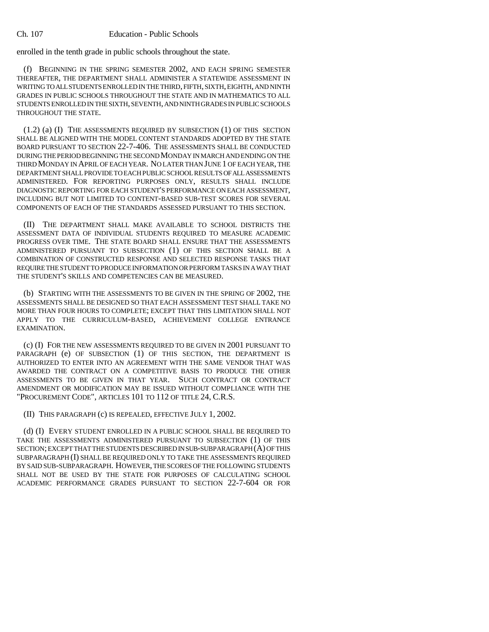enrolled in the tenth grade in public schools throughout the state.

(f) BEGINNING IN THE SPRING SEMESTER 2002, AND EACH SPRING SEMESTER THEREAFTER, THE DEPARTMENT SHALL ADMINISTER A STATEWIDE ASSESSMENT IN WRITING TO ALL STUDENTS ENROLLED IN THE THIRD, FIFTH, SIXTH, EIGHTH, AND NINTH GRADES IN PUBLIC SCHOOLS THROUGHOUT THE STATE AND IN MATHEMATICS TO ALL STUDENTS ENROLLED IN THE SIXTH, SEVENTH, AND NINTH GRADES IN PUBLIC SCHOOLS THROUGHOUT THE STATE.

(1.2) (a) (I) THE ASSESSMENTS REQUIRED BY SUBSECTION (1) OF THIS SECTION SHALL BE ALIGNED WITH THE MODEL CONTENT STANDARDS ADOPTED BY THE STATE BOARD PURSUANT TO SECTION 22-7-406. THE ASSESSMENTS SHALL BE CONDUCTED DURING THE PERIOD BEGINNING THE SECOND MONDAY IN MARCH AND ENDING ON THE THIRD MONDAY IN APRIL OF EACH YEAR. NO LATER THAN JUNE 1 OF EACH YEAR, THE DEPARTMENT SHALL PROVIDE TO EACH PUBLIC SCHOOL RESULTS OF ALL ASSESSMENTS ADMINISTERED. FOR REPORTING PURPOSES ONLY, RESULTS SHALL INCLUDE DIAGNOSTIC REPORTING FOR EACH STUDENT'S PERFORMANCE ON EACH ASSESSMENT, INCLUDING BUT NOT LIMITED TO CONTENT-BASED SUB-TEST SCORES FOR SEVERAL COMPONENTS OF EACH OF THE STANDARDS ASSESSED PURSUANT TO THIS SECTION.

(II) THE DEPARTMENT SHALL MAKE AVAILABLE TO SCHOOL DISTRICTS THE ASSESSMENT DATA OF INDIVIDUAL STUDENTS REQUIRED TO MEASURE ACADEMIC PROGRESS OVER TIME. THE STATE BOARD SHALL ENSURE THAT THE ASSESSMENTS ADMINISTERED PURSUANT TO SUBSECTION (1) OF THIS SECTION SHALL BE A COMBINATION OF CONSTRUCTED RESPONSE AND SELECTED RESPONSE TASKS THAT REQUIRE THE STUDENT TO PRODUCE INFORMATION OR PERFORM TASKS IN A WAY THAT THE STUDENT'S SKILLS AND COMPETENCIES CAN BE MEASURED.

(b) STARTING WITH THE ASSESSMENTS TO BE GIVEN IN THE SPRING OF 2002, THE ASSESSMENTS SHALL BE DESIGNED SO THAT EACH ASSESSMENT TEST SHALL TAKE NO MORE THAN FOUR HOURS TO COMPLETE; EXCEPT THAT THIS LIMITATION SHALL NOT APPLY TO THE CURRICULUM-BASED, ACHIEVEMENT COLLEGE ENTRANCE EXAMINATION.

(c) (I) FOR THE NEW ASSESSMENTS REQUIRED TO BE GIVEN IN 2001 PURSUANT TO PARAGRAPH (e) OF SUBSECTION (1) OF THIS SECTION, THE DEPARTMENT IS AUTHORIZED TO ENTER INTO AN AGREEMENT WITH THE SAME VENDOR THAT WAS AWARDED THE CONTRACT ON A COMPETITIVE BASIS TO PRODUCE THE OTHER ASSESSMENTS TO BE GIVEN IN THAT YEAR. SUCH CONTRACT OR CONTRACT AMENDMENT OR MODIFICATION MAY BE ISSUED WITHOUT COMPLIANCE WITH THE "PROCUREMENT CODE", ARTICLES 101 TO 112 OF TITLE 24, C.R.S.

(II) THIS PARAGRAPH (c) IS REPEALED, EFFECTIVE JULY 1, 2002.

(d) (I) EVERY STUDENT ENROLLED IN A PUBLIC SCHOOL SHALL BE REQUIRED TO TAKE THE ASSESSMENTS ADMINISTERED PURSUANT TO SUBSECTION (1) OF THIS SECTION; EXCEPT THAT THE STUDENTS DESCRIBED IN SUB-SUBPARAGRAPH (A) OF THIS SUBPARAGRAPH (I) SHALL BE REQUIRED ONLY TO TAKE THE ASSESSMENTS REQUIRED BY SAID SUB-SUBPARAGRAPH. HOWEVER, THE SCORES OF THE FOLLOWING STUDENTS SHALL NOT BE USED BY THE STATE FOR PURPOSES OF CALCULATING SCHOOL ACADEMIC PERFORMANCE GRADES PURSUANT TO SECTION 22-7-604 OR FOR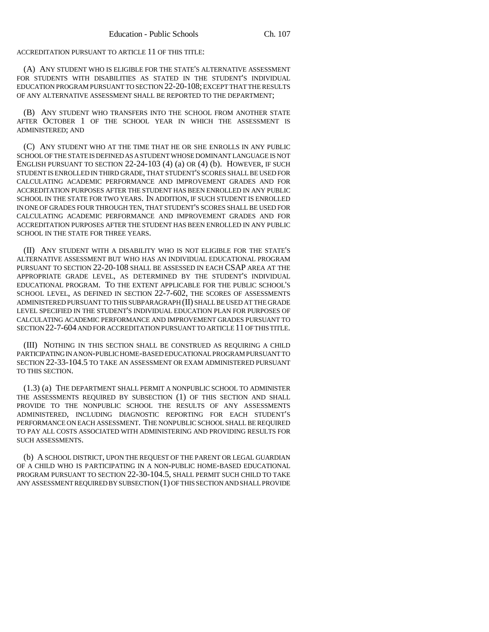ACCREDITATION PURSUANT TO ARTICLE 11 OF THIS TITLE:

(A) ANY STUDENT WHO IS ELIGIBLE FOR THE STATE'S ALTERNATIVE ASSESSMENT FOR STUDENTS WITH DISABILITIES AS STATED IN THE STUDENT'S INDIVIDUAL EDUCATION PROGRAM PURSUANT TO SECTION 22-20-108; EXCEPT THAT THE RESULTS OF ANY ALTERNATIVE ASSESSMENT SHALL BE REPORTED TO THE DEPARTMENT;

(B) ANY STUDENT WHO TRANSFERS INTO THE SCHOOL FROM ANOTHER STATE AFTER OCTOBER 1 OF THE SCHOOL YEAR IN WHICH THE ASSESSMENT IS ADMINISTERED; AND

(C) ANY STUDENT WHO AT THE TIME THAT HE OR SHE ENROLLS IN ANY PUBLIC SCHOOL OF THE STATE IS DEFINED AS A STUDENT WHOSE DOMINANT LANGUAGE IS NOT ENGLISH PURSUANT TO SECTION 22-24-103 (4) (a) OR (4) (b). HOWEVER, IF SUCH STUDENT IS ENROLLED IN THIRD GRADE, THAT STUDENT'S SCORES SHALL BE USED FOR CALCULATING ACADEMIC PERFORMANCE AND IMPROVEMENT GRADES AND FOR ACCREDITATION PURPOSES AFTER THE STUDENT HAS BEEN ENROLLED IN ANY PUBLIC SCHOOL IN THE STATE FOR TWO YEARS. IN ADDITION, IF SUCH STUDENT IS ENROLLED IN ONE OF GRADES FOUR THROUGH TEN, THAT STUDENT'S SCORES SHALL BE USED FOR CALCULATING ACADEMIC PERFORMANCE AND IMPROVEMENT GRADES AND FOR ACCREDITATION PURPOSES AFTER THE STUDENT HAS BEEN ENROLLED IN ANY PUBLIC SCHOOL IN THE STATE FOR THREE YEARS.

(II) ANY STUDENT WITH A DISABILITY WHO IS NOT ELIGIBLE FOR THE STATE'S ALTERNATIVE ASSESSMENT BUT WHO HAS AN INDIVIDUAL EDUCATIONAL PROGRAM PURSUANT TO SECTION 22-20-108 SHALL BE ASSESSED IN EACH CSAP AREA AT THE APPROPRIATE GRADE LEVEL, AS DETERMINED BY THE STUDENT'S INDIVIDUAL EDUCATIONAL PROGRAM. TO THE EXTENT APPLICABLE FOR THE PUBLIC SCHOOL'S SCHOOL LEVEL, AS DEFINED IN SECTION 22-7-602, THE SCORES OF ASSESSMENTS ADMINISTERED PURSUANT TO THIS SUBPARAGRAPH (II) SHALL BE USED AT THE GRADE LEVEL SPECIFIED IN THE STUDENT'S INDIVIDUAL EDUCATION PLAN FOR PURPOSES OF CALCULATING ACADEMIC PERFORMANCE AND IMPROVEMENT GRADES PURSUANT TO SECTION 22-7-604 AND FOR ACCREDITATION PURSUANT TO ARTICLE 11 OF THIS TITLE.

(III) NOTHING IN THIS SECTION SHALL BE CONSTRUED AS REQUIRING A CHILD PARTICIPATING IN A NON-PUBLIC HOME-BASED EDUCATIONAL PROGRAM PURSUANT TO SECTION 22-33-104.5 TO TAKE AN ASSESSMENT OR EXAM ADMINISTERED PURSUANT TO THIS SECTION.

(1.3) (a) THE DEPARTMENT SHALL PERMIT A NONPUBLIC SCHOOL TO ADMINISTER THE ASSESSMENTS REQUIRED BY SUBSECTION (1) OF THIS SECTION AND SHALL PROVIDE TO THE NONPUBLIC SCHOOL THE RESULTS OF ANY ASSESSMENTS ADMINISTERED, INCLUDING DIAGNOSTIC REPORTING FOR EACH STUDENT'S PERFORMANCE ON EACH ASSESSMENT. THE NONPUBLIC SCHOOL SHALL BE REQUIRED TO PAY ALL COSTS ASSOCIATED WITH ADMINISTERING AND PROVIDING RESULTS FOR SUCH ASSESSMENTS.

(b) A SCHOOL DISTRICT, UPON THE REQUEST OF THE PARENT OR LEGAL GUARDIAN OF A CHILD WHO IS PARTICIPATING IN A NON-PUBLIC HOME-BASED EDUCATIONAL PROGRAM PURSUANT TO SECTION 22-30-104.5, SHALL PERMIT SUCH CHILD TO TAKE ANY ASSESSMENT REQUIRED BY SUBSECTION (1) OF THIS SECTION AND SHALL PROVIDE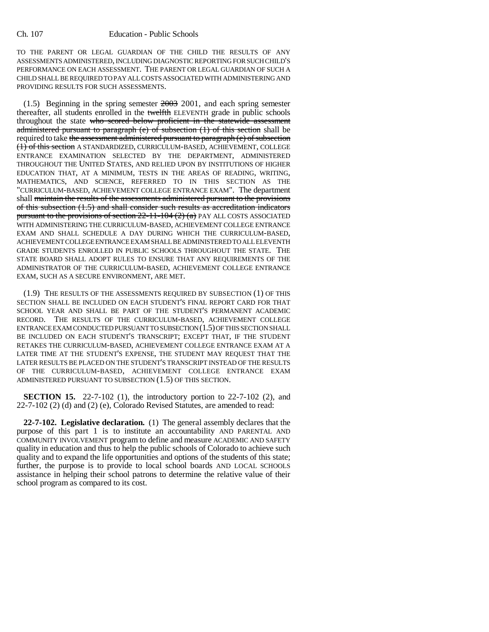TO THE PARENT OR LEGAL GUARDIAN OF THE CHILD THE RESULTS OF ANY ASSESSMENTS ADMINISTERED, INCLUDING DIAGNOSTIC REPORTING FOR SUCH CHILD'S PERFORMANCE ON EACH ASSESSMENT. THE PARENT OR LEGAL GUARDIAN OF SUCH A CHILD SHALL BE REQUIRED TO PAY ALL COSTS ASSOCIATED WITH ADMINISTERING AND PROVIDING RESULTS FOR SUCH ASSESSMENTS.

 $(1.5)$  Beginning in the spring semester  $2003$  2001, and each spring semester thereafter, all students enrolled in the twelfth ELEVENTH grade in public schools throughout the state who scored below proficient in the statewide assessment administered pursuant to paragraph (e) of subsection  $(1)$  of this section shall be required to take the assessment administered pursuant to paragraph (e) of subsection (1) of this section A STANDARDIZED, CURRICULUM-BASED, ACHIEVEMENT, COLLEGE ENTRANCE EXAMINATION SELECTED BY THE DEPARTMENT, ADMINISTERED THROUGHOUT THE UNITED STATES, AND RELIED UPON BY INSTITUTIONS OF HIGHER EDUCATION THAT, AT A MINIMUM, TESTS IN THE AREAS OF READING, WRITING, MATHEMATICS, AND SCIENCE, REFERRED TO IN THIS SECTION AS THE "CURRICULUM-BASED, ACHIEVEMENT COLLEGE ENTRANCE EXAM". The department shall maintain the results of the assessments administered pursuant to the provisions of this subsection (1.5) and shall consider such results as accreditation indicators pursuant to the provisions of section  $22-11-104$   $(2)$   $(a)$  PAY ALL COSTS ASSOCIATED WITH ADMINISTERING THE CURRICULUM-BASED, ACHIEVEMENT COLLEGE ENTRANCE EXAM AND SHALL SCHEDULE A DAY DURING WHICH THE CURRICULUM-BASED, ACHIEVEMENT COLLEGE ENTRANCE EXAM SHALL BE ADMINISTERED TO ALL ELEVENTH GRADE STUDENTS ENROLLED IN PUBLIC SCHOOLS THROUGHOUT THE STATE. THE STATE BOARD SHALL ADOPT RULES TO ENSURE THAT ANY REQUIREMENTS OF THE ADMINISTRATOR OF THE CURRICULUM-BASED, ACHIEVEMENT COLLEGE ENTRANCE EXAM, SUCH AS A SECURE ENVIRONMENT, ARE MET.

(1.9) THE RESULTS OF THE ASSESSMENTS REQUIRED BY SUBSECTION (1) OF THIS SECTION SHALL BE INCLUDED ON EACH STUDENT'S FINAL REPORT CARD FOR THAT SCHOOL YEAR AND SHALL BE PART OF THE STUDENT'S PERMANENT ACADEMIC RECORD. THE RESULTS OF THE CURRICULUM-BASED, ACHIEVEMENT COLLEGE ENTRANCE EXAM CONDUCTED PURSUANT TO SUBSECTION (1.5) OF THIS SECTION SHALL BE INCLUDED ON EACH STUDENT'S TRANSCRIPT; EXCEPT THAT, IF THE STUDENT RETAKES THE CURRICULUM-BASED, ACHIEVEMENT COLLEGE ENTRANCE EXAM AT A LATER TIME AT THE STUDENT'S EXPENSE, THE STUDENT MAY REQUEST THAT THE LATER RESULTS BE PLACED ON THE STUDENT'S TRANSCRIPT INSTEAD OF THE RESULTS OF THE CURRICULUM-BASED, ACHIEVEMENT COLLEGE ENTRANCE EXAM ADMINISTERED PURSUANT TO SUBSECTION (1.5) OF THIS SECTION.

**SECTION 15.** 22-7-102 (1), the introductory portion to 22-7-102 (2), and 22-7-102 (2) (d) and (2) (e), Colorado Revised Statutes, are amended to read:

**22-7-102. Legislative declaration.** (1) The general assembly declares that the purpose of this part 1 is to institute an accountability AND PARENTAL AND COMMUNITY INVOLVEMENT program to define and measure ACADEMIC AND SAFETY quality in education and thus to help the public schools of Colorado to achieve such quality and to expand the life opportunities and options of the students of this state; further, the purpose is to provide to local school boards AND LOCAL SCHOOLS assistance in helping their school patrons to determine the relative value of their school program as compared to its cost.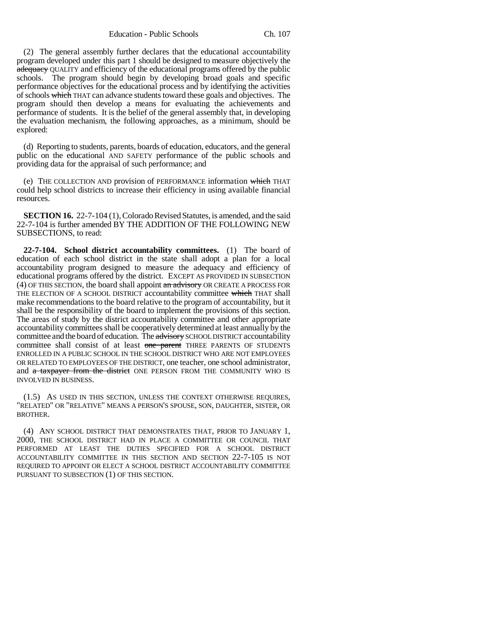Education - Public Schools Ch. 107

(2) The general assembly further declares that the educational accountability program developed under this part 1 should be designed to measure objectively the adequacy QUALITY and efficiency of the educational programs offered by the public schools. The program should begin by developing broad goals and specific performance objectives for the educational process and by identifying the activities of schools which THAT can advance students toward these goals and objectives. The program should then develop a means for evaluating the achievements and performance of students. It is the belief of the general assembly that, in developing the evaluation mechanism, the following approaches, as a minimum, should be explored:

(d) Reporting to students, parents, boards of education, educators, and the general public on the educational AND SAFETY performance of the public schools and providing data for the appraisal of such performance; and

(e) THE COLLECTION AND provision of PERFORMANCE information which THAT could help school districts to increase their efficiency in using available financial resources.

**SECTION 16.** 22-7-104 (1), Colorado Revised Statutes, is amended, and the said 22-7-104 is further amended BY THE ADDITION OF THE FOLLOWING NEW SUBSECTIONS, to read:

**22-7-104. School district accountability committees.** (1) The board of education of each school district in the state shall adopt a plan for a local accountability program designed to measure the adequacy and efficiency of educational programs offered by the district. EXCEPT AS PROVIDED IN SUBSECTION (4) OF THIS SECTION, the board shall appoint an advisory OR CREATE A PROCESS FOR THE ELECTION OF A SCHOOL DISTRICT accountability committee which THAT shall make recommendations to the board relative to the program of accountability, but it shall be the responsibility of the board to implement the provisions of this section. The areas of study by the district accountability committee and other appropriate accountability committees shall be cooperatively determined at least annually by the committee and the board of education. The advisory SCHOOL DISTRICT accountability committee shall consist of at least one parent THREE PARENTS OF STUDENTS ENROLLED IN A PUBLIC SCHOOL IN THE SCHOOL DISTRICT WHO ARE NOT EMPLOYEES OR RELATED TO EMPLOYEES OF THE DISTRICT, one teacher, one school administrator, and a taxpayer from the district ONE PERSON FROM THE COMMUNITY WHO IS INVOLVED IN BUSINESS.

(1.5) AS USED IN THIS SECTION, UNLESS THE CONTEXT OTHERWISE REQUIRES, "RELATED" OR "RELATIVE" MEANS A PERSON'S SPOUSE, SON, DAUGHTER, SISTER, OR BROTHER.

(4) ANY SCHOOL DISTRICT THAT DEMONSTRATES THAT, PRIOR TO JANUARY 1, 2000, THE SCHOOL DISTRICT HAD IN PLACE A COMMITTEE OR COUNCIL THAT PERFORMED AT LEAST THE DUTIES SPECIFIED FOR A SCHOOL DISTRICT ACCOUNTABILITY COMMITTEE IN THIS SECTION AND SECTION 22-7-105 IS NOT REQUIRED TO APPOINT OR ELECT A SCHOOL DISTRICT ACCOUNTABILITY COMMITTEE PURSUANT TO SUBSECTION (1) OF THIS SECTION.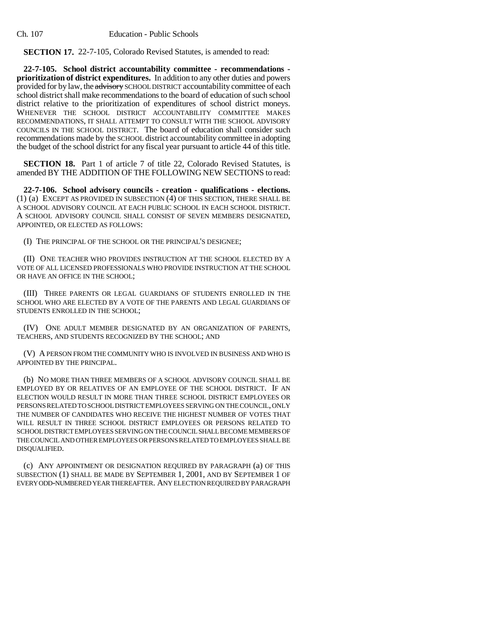Ch. 107 Education - Public Schools

**SECTION 17.** 22-7-105, Colorado Revised Statutes, is amended to read:

**22-7-105. School district accountability committee - recommendations prioritization of district expenditures.** In addition to any other duties and powers provided for by law, the advisory SCHOOL DISTRICT accountability committee of each school district shall make recommendations to the board of education of such school district relative to the prioritization of expenditures of school district moneys. WHENEVER THE SCHOOL DISTRICT ACCOUNTABILITY COMMITTEE MAKES RECOMMENDATIONS, IT SHALL ATTEMPT TO CONSULT WITH THE SCHOOL ADVISORY COUNCILS IN THE SCHOOL DISTRICT. The board of education shall consider such recommendations made by the SCHOOL district accountability committee in adopting the budget of the school district for any fiscal year pursuant to article 44 of this title.

**SECTION 18.** Part 1 of article 7 of title 22, Colorado Revised Statutes, is amended BY THE ADDITION OF THE FOLLOWING NEW SECTIONS to read:

**22-7-106. School advisory councils - creation - qualifications - elections.** (1) (a) EXCEPT AS PROVIDED IN SUBSECTION (4) OF THIS SECTION, THERE SHALL BE A SCHOOL ADVISORY COUNCIL AT EACH PUBLIC SCHOOL IN EACH SCHOOL DISTRICT. A SCHOOL ADVISORY COUNCIL SHALL CONSIST OF SEVEN MEMBERS DESIGNATED, APPOINTED, OR ELECTED AS FOLLOWS:

(I) THE PRINCIPAL OF THE SCHOOL OR THE PRINCIPAL'S DESIGNEE;

(II) ONE TEACHER WHO PROVIDES INSTRUCTION AT THE SCHOOL ELECTED BY A VOTE OF ALL LICENSED PROFESSIONALS WHO PROVIDE INSTRUCTION AT THE SCHOOL OR HAVE AN OFFICE IN THE SCHOOL;

(III) THREE PARENTS OR LEGAL GUARDIANS OF STUDENTS ENROLLED IN THE SCHOOL WHO ARE ELECTED BY A VOTE OF THE PARENTS AND LEGAL GUARDIANS OF STUDENTS ENROLLED IN THE SCHOOL;

(IV) ONE ADULT MEMBER DESIGNATED BY AN ORGANIZATION OF PARENTS, TEACHERS, AND STUDENTS RECOGNIZED BY THE SCHOOL; AND

(V) A PERSON FROM THE COMMUNITY WHO IS INVOLVED IN BUSINESS AND WHO IS APPOINTED BY THE PRINCIPAL.

(b) NO MORE THAN THREE MEMBERS OF A SCHOOL ADVISORY COUNCIL SHALL BE EMPLOYED BY OR RELATIVES OF AN EMPLOYEE OF THE SCHOOL DISTRICT. IF AN ELECTION WOULD RESULT IN MORE THAN THREE SCHOOL DISTRICT EMPLOYEES OR PERSONS RELATED TO SCHOOL DISTRICT EMPLOYEES SERVING ON THE COUNCIL, ONLY THE NUMBER OF CANDIDATES WHO RECEIVE THE HIGHEST NUMBER OF VOTES THAT WILL RESULT IN THREE SCHOOL DISTRICT EMPLOYEES OR PERSONS RELATED TO SCHOOL DISTRICT EMPLOYEES SERVING ON THE COUNCIL SHALL BECOME MEMBERS OF THE COUNCIL AND OTHER EMPLOYEES OR PERSONS RELATED TO EMPLOYEES SHALL BE DISQUALIFIED.

(c) ANY APPOINTMENT OR DESIGNATION REQUIRED BY PARAGRAPH (a) OF THIS SUBSECTION (1) SHALL BE MADE BY SEPTEMBER 1, 2001, AND BY SEPTEMBER 1 OF EVERY ODD-NUMBERED YEAR THEREAFTER. ANY ELECTION REQUIRED BY PARAGRAPH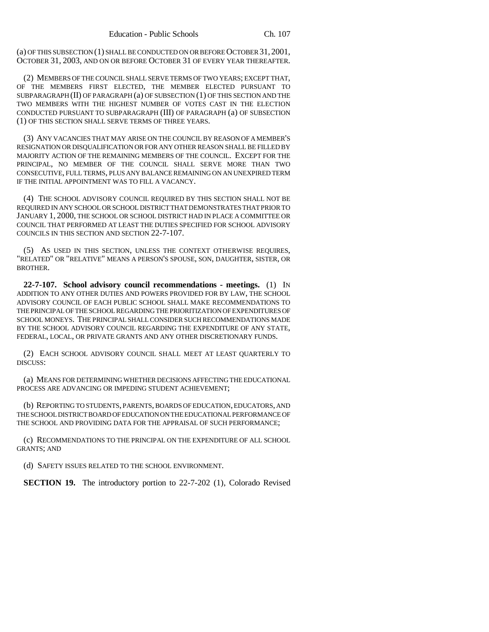(a) OF THIS SUBSECTION (1) SHALL BE CONDUCTED ON OR BEFORE OCTOBER 31, 2001, OCTOBER 31, 2003, AND ON OR BEFORE OCTOBER 31 OF EVERY YEAR THEREAFTER.

(2) MEMBERS OF THE COUNCIL SHALL SERVE TERMS OF TWO YEARS; EXCEPT THAT, OF THE MEMBERS FIRST ELECTED, THE MEMBER ELECTED PURSUANT TO SUBPARAGRAPH (II) OF PARAGRAPH (a) OF SUBSECTION (1) OF THIS SECTION AND THE TWO MEMBERS WITH THE HIGHEST NUMBER OF VOTES CAST IN THE ELECTION CONDUCTED PURSUANT TO SUBPARAGRAPH (III) OF PARAGRAPH (a) OF SUBSECTION (1) OF THIS SECTION SHALL SERVE TERMS OF THREE YEARS.

(3) ANY VACANCIES THAT MAY ARISE ON THE COUNCIL BY REASON OF A MEMBER'S RESIGNATION OR DISQUALIFICATION OR FOR ANY OTHER REASON SHALL BE FILLED BY MAJORITY ACTION OF THE REMAINING MEMBERS OF THE COUNCIL. EXCEPT FOR THE PRINCIPAL, NO MEMBER OF THE COUNCIL SHALL SERVE MORE THAN TWO CONSECUTIVE, FULL TERMS, PLUS ANY BALANCE REMAINING ON AN UNEXPIRED TERM IF THE INITIAL APPOINTMENT WAS TO FILL A VACANCY.

(4) THE SCHOOL ADVISORY COUNCIL REQUIRED BY THIS SECTION SHALL NOT BE REQUIRED IN ANY SCHOOL OR SCHOOL DISTRICT THAT DEMONSTRATES THAT PRIOR TO JANUARY 1, 2000, THE SCHOOL OR SCHOOL DISTRICT HAD IN PLACE A COMMITTEE OR COUNCIL THAT PERFORMED AT LEAST THE DUTIES SPECIFIED FOR SCHOOL ADVISORY COUNCILS IN THIS SECTION AND SECTION 22-7-107.

(5) AS USED IN THIS SECTION, UNLESS THE CONTEXT OTHERWISE REQUIRES, "RELATED" OR "RELATIVE" MEANS A PERSON'S SPOUSE, SON, DAUGHTER, SISTER, OR BROTHER.

**22-7-107. School advisory council recommendations - meetings.** (1) IN ADDITION TO ANY OTHER DUTIES AND POWERS PROVIDED FOR BY LAW, THE SCHOOL ADVISORY COUNCIL OF EACH PUBLIC SCHOOL SHALL MAKE RECOMMENDATIONS TO THE PRINCIPAL OF THE SCHOOL REGARDING THE PRIORITIZATION OF EXPENDITURES OF SCHOOL MONEYS. THE PRINCIPAL SHALL CONSIDER SUCH RECOMMENDATIONS MADE BY THE SCHOOL ADVISORY COUNCIL REGARDING THE EXPENDITURE OF ANY STATE, FEDERAL, LOCAL, OR PRIVATE GRANTS AND ANY OTHER DISCRETIONARY FUNDS.

(2) EACH SCHOOL ADVISORY COUNCIL SHALL MEET AT LEAST QUARTERLY TO DISCUSS:

(a) MEANS FOR DETERMINING WHETHER DECISIONS AFFECTING THE EDUCATIONAL PROCESS ARE ADVANCING OR IMPEDING STUDENT ACHIEVEMENT;

(b) REPORTING TO STUDENTS, PARENTS, BOARDS OF EDUCATION, EDUCATORS, AND THE SCHOOL DISTRICT BOARD OF EDUCATION ON THE EDUCATIONAL PERFORMANCE OF THE SCHOOL AND PROVIDING DATA FOR THE APPRAISAL OF SUCH PERFORMANCE;

(c) RECOMMENDATIONS TO THE PRINCIPAL ON THE EXPENDITURE OF ALL SCHOOL GRANTS; AND

(d) SAFETY ISSUES RELATED TO THE SCHOOL ENVIRONMENT.

**SECTION 19.** The introductory portion to 22-7-202 (1), Colorado Revised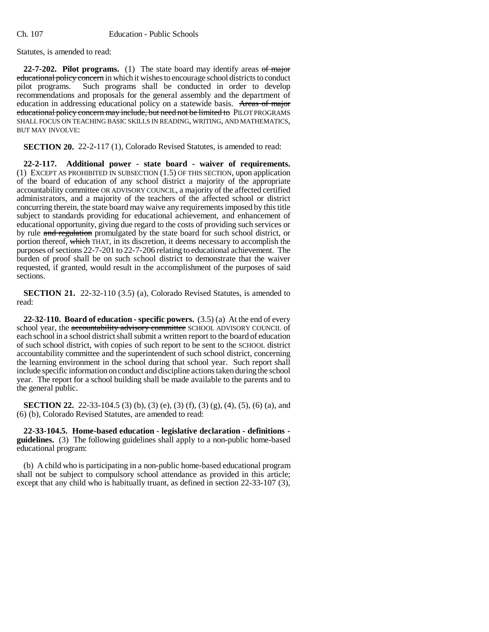Statutes, is amended to read:

**22-7-202. Pilot programs.** (1) The state board may identify areas of major educational policy concern in which it wishes to encourage school districts to conduct pilot programs. Such programs shall be conducted in order to develop recommendations and proposals for the general assembly and the department of education in addressing educational policy on a statewide basis. Areas of major educational policy concern may include, but need not be limited to PILOT PROGRAMS SHALL FOCUS ON TEACHING BASIC SKILLS IN READING, WRITING, AND MATHEMATICS, BUT MAY INVOLVE:

**SECTION 20.** 22-2-117 (1), Colorado Revised Statutes, is amended to read:

**22-2-117. Additional power - state board - waiver of requirements.** (1) EXCEPT AS PROHIBITED IN SUBSECTION  $(1.5)$  OF THIS SECTION, upon application of the board of education of any school district a majority of the appropriate accountability committee OR ADVISORY COUNCIL, a majority of the affected certified administrators, and a majority of the teachers of the affected school or district concurring therein, the state board may waive any requirements imposed by this title subject to standards providing for educational achievement, and enhancement of educational opportunity, giving due regard to the costs of providing such services or by rule and regulation promulgated by the state board for such school district, or portion thereof, which THAT, in its discretion, it deems necessary to accomplish the purposes of sections 22-7-201 to 22-7-206 relating to educational achievement. The burden of proof shall be on such school district to demonstrate that the waiver requested, if granted, would result in the accomplishment of the purposes of said sections.

**SECTION 21.** 22-32-110 (3.5) (a), Colorado Revised Statutes, is amended to read:

**22-32-110. Board of education - specific powers.** (3.5) (a) At the end of every school year, the accountability advisory committee SCHOOL ADVISORY COUNCIL of each school in a school district shall submit a written report to the board of education of such school district, with copies of such report to be sent to the SCHOOL district accountability committee and the superintendent of such school district, concerning the learning environment in the school during that school year. Such report shall include specific information on conduct and discipline actions taken during the school year. The report for a school building shall be made available to the parents and to the general public.

**SECTION 22.** 22-33-104.5 (3) (b), (3) (e), (3) (f), (3) (g), (4), (5), (6) (a), and (6) (b), Colorado Revised Statutes, are amended to read:

**22-33-104.5. Home-based education - legislative declaration - definitions guidelines.** (3) The following guidelines shall apply to a non-public home-based educational program:

(b) A child who is participating in a non-public home-based educational program shall not be subject to compulsory school attendance as provided in this article; except that any child who is habitually truant, as defined in section 22-33-107 (3),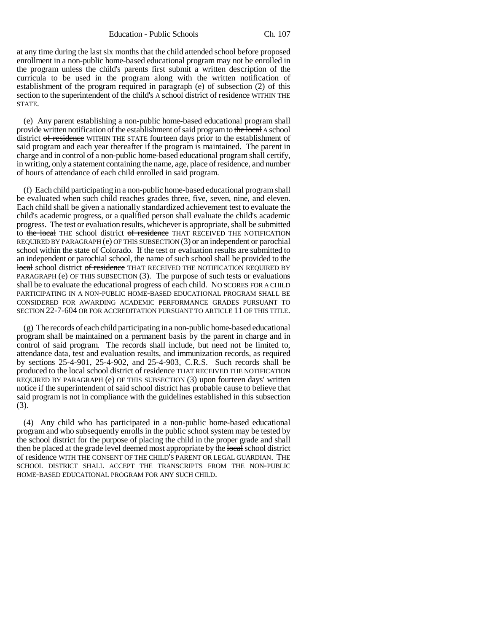Education - Public Schools Ch. 107

at any time during the last six months that the child attended school before proposed enrollment in a non-public home-based educational program may not be enrolled in the program unless the child's parents first submit a written description of the curricula to be used in the program along with the written notification of establishment of the program required in paragraph (e) of subsection (2) of this section to the superintendent of the child's A school district of residence WITHIN THE STATE.

(e) Any parent establishing a non-public home-based educational program shall provide written notification of the establishment of said program to the local A school district of residence WITHIN THE STATE fourteen days prior to the establishment of said program and each year thereafter if the program is maintained. The parent in charge and in control of a non-public home-based educational program shall certify, in writing, only a statement containing the name, age, place of residence, and number of hours of attendance of each child enrolled in said program.

(f) Each child participating in a non-public home-based educational program shall be evaluated when such child reaches grades three, five, seven, nine, and eleven. Each child shall be given a nationally standardized achievement test to evaluate the child's academic progress, or a qualified person shall evaluate the child's academic progress. The test or evaluation results, whichever is appropriate, shall be submitted to the local THE school district of residence THAT RECEIVED THE NOTIFICATION REQUIRED BY PARAGRAPH (e) OF THIS SUBSECTION (3) or an independent or parochial school within the state of Colorado. If the test or evaluation results are submitted to an independent or parochial school, the name of such school shall be provided to the local school district of residence THAT RECEIVED THE NOTIFICATION REQUIRED BY PARAGRAPH (e) OF THIS SUBSECTION (3). The purpose of such tests or evaluations shall be to evaluate the educational progress of each child. NO SCORES FOR A CHILD PARTICIPATING IN A NON-PUBLIC HOME-BASED EDUCATIONAL PROGRAM SHALL BE CONSIDERED FOR AWARDING ACADEMIC PERFORMANCE GRADES PURSUANT TO SECTION 22-7-604 OR FOR ACCREDITATION PURSUANT TO ARTICLE 11 OF THIS TITLE.

(g) The records of each child participating in a non-public home-based educational program shall be maintained on a permanent basis by the parent in charge and in control of said program. The records shall include, but need not be limited to, attendance data, test and evaluation results, and immunization records, as required by sections 25-4-901, 25-4-902, and 25-4-903, C.R.S. Such records shall be produced to the local school district of residence THAT RECEIVED THE NOTIFICATION REQUIRED BY PARAGRAPH (e) OF THIS SUBSECTION (3) upon fourteen days' written notice if the superintendent of said school district has probable cause to believe that said program is not in compliance with the guidelines established in this subsection (3).

(4) Any child who has participated in a non-public home-based educational program and who subsequently enrolls in the public school system may be tested by the school district for the purpose of placing the child in the proper grade and shall then be placed at the grade level deemed most appropriate by the local school district of residence WITH THE CONSENT OF THE CHILD'S PARENT OR LEGAL GUARDIAN. THE SCHOOL DISTRICT SHALL ACCEPT THE TRANSCRIPTS FROM THE NON-PUBLIC HOME-BASED EDUCATIONAL PROGRAM FOR ANY SUCH CHILD.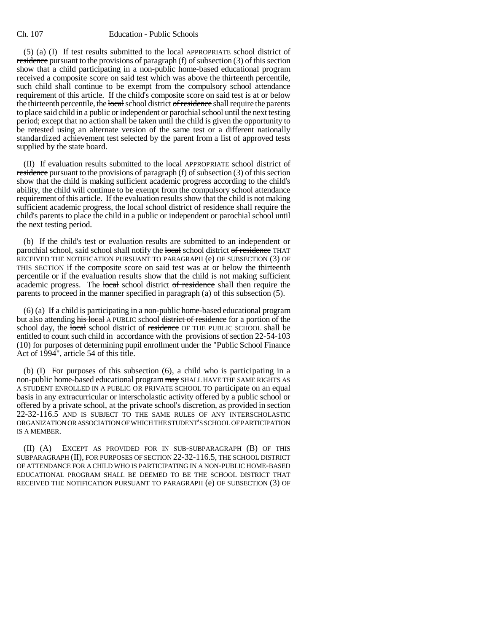#### Ch. 107 Education - Public Schools

(5) (a) (I) If test results submitted to the local APPROPRIATE school district of residence pursuant to the provisions of paragraph (f) of subsection (3) of this section show that a child participating in a non-public home-based educational program received a composite score on said test which was above the thirteenth percentile, such child shall continue to be exempt from the compulsory school attendance requirement of this article. If the child's composite score on said test is at or below the thirteenth percentile, the local school district of residence shall require the parents to place said child in a public or independent or parochial school until the next testing period; except that no action shall be taken until the child is given the opportunity to be retested using an alternate version of the same test or a different nationally standardized achievement test selected by the parent from a list of approved tests supplied by the state board.

(II) If evaluation results submitted to the local APPROPRIATE school district of residence pursuant to the provisions of paragraph (f) of subsection (3) of this section show that the child is making sufficient academic progress according to the child's ability, the child will continue to be exempt from the compulsory school attendance requirement of this article. If the evaluation results show that the child is not making sufficient academic progress, the local school district of residence shall require the child's parents to place the child in a public or independent or parochial school until the next testing period.

(b) If the child's test or evaluation results are submitted to an independent or parochial school, said school shall notify the local school district of residence THAT RECEIVED THE NOTIFICATION PURSUANT TO PARAGRAPH (e) OF SUBSECTION (3) OF THIS SECTION if the composite score on said test was at or below the thirteenth percentile or if the evaluation results show that the child is not making sufficient academic progress. The local school district of residence shall then require the parents to proceed in the manner specified in paragraph (a) of this subsection (5).

(6) (a) If a child is participating in a non-public home-based educational program but also attending his local A PUBLIC school district of residence for a portion of the school day, the local school district of residence OF THE PUBLIC SCHOOL shall be entitled to count such child in accordance with the provisions of section 22-54-103 (10) for purposes of determining pupil enrollment under the "Public School Finance Act of 1994", article 54 of this title.

(b) (I) For purposes of this subsection (6), a child who is participating in a non-public home-based educational program may SHALL HAVE THE SAME RIGHTS AS A STUDENT ENROLLED IN A PUBLIC OR PRIVATE SCHOOL TO participate on an equal basis in any extracurricular or interscholastic activity offered by a public school or offered by a private school, at the private school's discretion, as provided in section 22-32-116.5 AND IS SUBJECT TO THE SAME RULES OF ANY INTERSCHOLASTIC ORGANIZATION OR ASSOCIATION OF WHICH THE STUDENT'S SCHOOL OF PARTICIPATION IS A MEMBER.

(II) (A) EXCEPT AS PROVIDED FOR IN SUB-SUBPARAGRAPH (B) OF THIS SUBPARAGRAPH (II), FOR PURPOSES OF SECTION 22-32-116.5, THE SCHOOL DISTRICT OF ATTENDANCE FOR A CHILD WHO IS PARTICIPATING IN A NON-PUBLIC HOME-BASED EDUCATIONAL PROGRAM SHALL BE DEEMED TO BE THE SCHOOL DISTRICT THAT RECEIVED THE NOTIFICATION PURSUANT TO PARAGRAPH (e) OF SUBSECTION (3) OF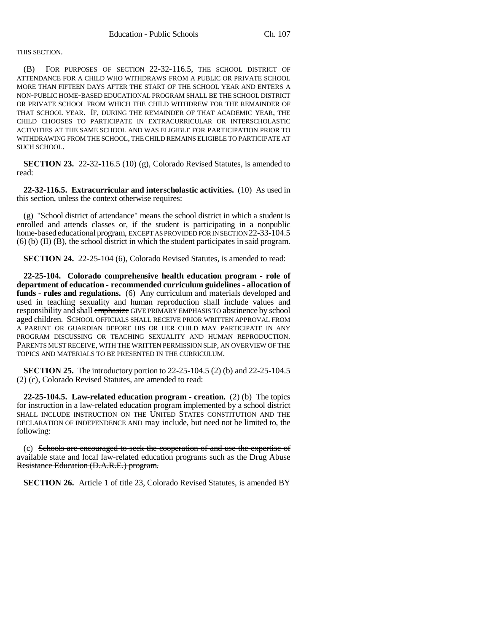### THIS SECTION.

(B) FOR PURPOSES OF SECTION 22-32-116.5, THE SCHOOL DISTRICT OF ATTENDANCE FOR A CHILD WHO WITHDRAWS FROM A PUBLIC OR PRIVATE SCHOOL MORE THAN FIFTEEN DAYS AFTER THE START OF THE SCHOOL YEAR AND ENTERS A NON-PUBLIC HOME-BASED EDUCATIONAL PROGRAM SHALL BE THE SCHOOL DISTRICT OR PRIVATE SCHOOL FROM WHICH THE CHILD WITHDREW FOR THE REMAINDER OF THAT SCHOOL YEAR. IF, DURING THE REMAINDER OF THAT ACADEMIC YEAR, THE CHILD CHOOSES TO PARTICIPATE IN EXTRACURRICULAR OR INTERSCHOLASTIC ACTIVITIES AT THE SAME SCHOOL AND WAS ELIGIBLE FOR PARTICIPATION PRIOR TO WITHDRAWING FROM THE SCHOOL, THE CHILD REMAINS ELIGIBLE TO PARTICIPATE AT SUCH SCHOOL.

**SECTION 23.** 22-32-116.5 (10) (g), Colorado Revised Statutes, is amended to read:

**22-32-116.5. Extracurricular and interscholastic activities.** (10) As used in this section, unless the context otherwise requires:

(g) "School district of attendance" means the school district in which a student is enrolled and attends classes or, if the student is participating in a nonpublic home-based educational program, EXCEPT AS PROVIDED FOR IN SECTION 22-33-104.5 (6) (b) (II) (B), the school district in which the student participates in said program.

**SECTION 24.** 22-25-104 (6), Colorado Revised Statutes, is amended to read:

**22-25-104. Colorado comprehensive health education program - role of department of education - recommended curriculum guidelines - allocation of funds - rules and regulations.** (6) Any curriculum and materials developed and used in teaching sexuality and human reproduction shall include values and responsibility and shall emphasize GIVE PRIMARY EMPHASIS TO abstinence by school aged children. SCHOOL OFFICIALS SHALL RECEIVE PRIOR WRITTEN APPROVAL FROM A PARENT OR GUARDIAN BEFORE HIS OR HER CHILD MAY PARTICIPATE IN ANY PROGRAM DISCUSSING OR TEACHING SEXUALITY AND HUMAN REPRODUCTION. PARENTS MUST RECEIVE, WITH THE WRITTEN PERMISSION SLIP, AN OVERVIEW OF THE TOPICS AND MATERIALS TO BE PRESENTED IN THE CURRICULUM.

**SECTION 25.** The introductory portion to 22-25-104.5 (2) (b) and 22-25-104.5 (2) (c), Colorado Revised Statutes, are amended to read:

**22-25-104.5. Law-related education program - creation.** (2) (b) The topics for instruction in a law-related education program implemented by a school district SHALL INCLUDE INSTRUCTION ON THE UNITED STATES CONSTITUTION AND THE DECLARATION OF INDEPENDENCE AND may include, but need not be limited to, the following:

(c) Schools are encouraged to seek the cooperation of and use the expertise of available state and local law-related education programs such as the Drug Abuse Resistance Education (D.A.R.E.) program.

**SECTION 26.** Article 1 of title 23, Colorado Revised Statutes, is amended BY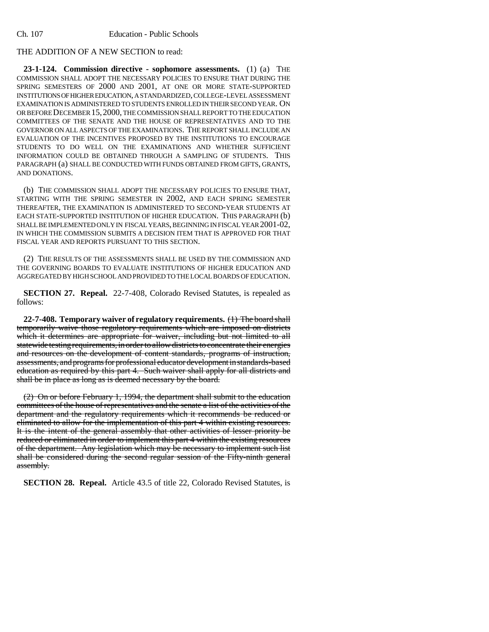## THE ADDITION OF A NEW SECTION to read:

**23-1-124. Commission directive - sophomore assessments.** (1) (a) THE COMMISSION SHALL ADOPT THE NECESSARY POLICIES TO ENSURE THAT DURING THE SPRING SEMESTERS OF 2000 AND 2001, AT ONE OR MORE STATE-SUPPORTED INSTITUTIONS OF HIGHER EDUCATION, A STANDARDIZED, COLLEGE-LEVEL ASSESSMENT EXAMINATION IS ADMINISTERED TO STUDENTS ENROLLED IN THEIR SECOND YEAR. ON OR BEFORE DECEMBER 15,2000, THE COMMISSION SHALL REPORT TO THE EDUCATION COMMITTEES OF THE SENATE AND THE HOUSE OF REPRESENTATIVES AND TO THE GOVERNOR ON ALL ASPECTS OF THE EXAMINATIONS. THE REPORT SHALL INCLUDE AN EVALUATION OF THE INCENTIVES PROPOSED BY THE INSTITUTIONS TO ENCOURAGE STUDENTS TO DO WELL ON THE EXAMINATIONS AND WHETHER SUFFICIENT INFORMATION COULD BE OBTAINED THROUGH A SAMPLING OF STUDENTS. THIS PARAGRAPH (a) SHALL BE CONDUCTED WITH FUNDS OBTAINED FROM GIFTS, GRANTS, AND DONATIONS.

(b) THE COMMISSION SHALL ADOPT THE NECESSARY POLICIES TO ENSURE THAT, STARTING WITH THE SPRING SEMESTER IN 2002, AND EACH SPRING SEMESTER THEREAFTER, THE EXAMINATION IS ADMINISTERED TO SECOND-YEAR STUDENTS AT EACH STATE-SUPPORTED INSTITUTION OF HIGHER EDUCATION. THIS PARAGRAPH (b) SHALL BE IMPLEMENTED ONLY IN FISCAL YEARS, BEGINNING IN FISCAL YEAR 2001-02, IN WHICH THE COMMISSION SUBMITS A DECISION ITEM THAT IS APPROVED FOR THAT FISCAL YEAR AND REPORTS PURSUANT TO THIS SECTION.

(2) THE RESULTS OF THE ASSESSMENTS SHALL BE USED BY THE COMMISSION AND THE GOVERNING BOARDS TO EVALUATE INSTITUTIONS OF HIGHER EDUCATION AND AGGREGATED BY HIGH SCHOOL AND PROVIDED TO THE LOCAL BOARDS OF EDUCATION.

**SECTION 27. Repeal.** 22-7-408, Colorado Revised Statutes, is repealed as follows:

**22-7-408. Temporary waiver of regulatory requirements.** (1) The board shall temporarily waive those regulatory requirements which are imposed on districts which it determines are appropriate for waiver, including but not limited to all statewide testing requirements, in order to allow districts to concentrate their energies and resources on the development of content standards, programs of instruction, assessments, and programs for professional educator development in standards-based education as required by this part 4. Such waiver shall apply for all districts and shall be in place as long as is deemed necessary by the board.

(2) On or before February 1, 1994, the department shall submit to the education committees of the house of representatives and the senate a list of the activities of the department and the regulatory requirements which it recommends be reduced or eliminated to allow for the implementation of this part 4 within existing resources. It is the intent of the general assembly that other activities of lesser priority be reduced or eliminated in order to implement this part 4 within the existing resources of the department. Any legislation which may be necessary to implement such list shall be considered during the second regular session of the Fifty-ninth general assembly.

**SECTION 28. Repeal.** Article 43.5 of title 22, Colorado Revised Statutes, is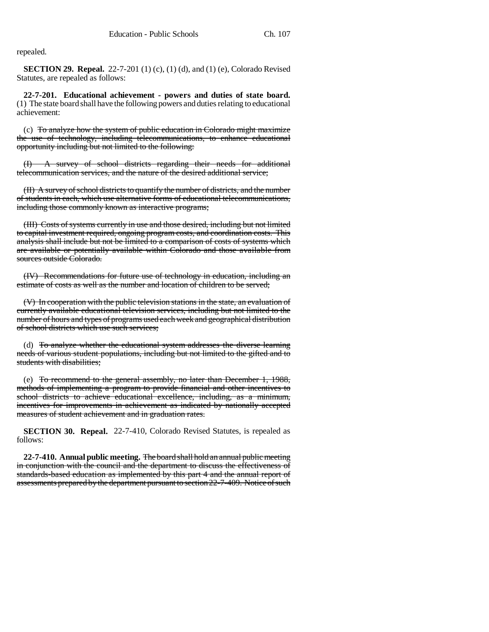repealed.

**SECTION 29. Repeal.** 22-7-201 (1) (c), (1) (d), and (1) (e), Colorado Revised Statutes, are repealed as follows:

**22-7-201. Educational achievement - powers and duties of state board.** (1) The state board shall have the following powers and duties relating to educational achievement:

(c) To analyze how the system of public education in Colorado might maximize the use of technology, including telecommunications, to enhance educational opportunity including but not limited to the following:

(I) A survey of school districts regarding their needs for additional telecommunication services, and the nature of the desired additional service;

(II) A survey of school districts to quantify the number of districts, and the number of students in each, which use alternative forms of educational telecommunications, including those commonly known as interactive programs;

(III) Costs of systems currently in use and those desired, including but not limited to capital investment required, ongoing program costs, and coordination costs. This analysis shall include but not be limited to a comparison of costs of systems which are available or potentially available within Colorado and those available from sources outside Colorado.

(IV) Recommendations for future use of technology in education, including an estimate of costs as well as the number and location of children to be served;

(V) In cooperation with the public television stations in the state, an evaluation of currently available educational television services, including but not limited to the number of hours and types of programs used each week and geographical distribution of school districts which use such services;

(d) To analyze whether the educational system addresses the diverse learning needs of various student populations, including but not limited to the gifted and to students with disabilities;

(e) To recommend to the general assembly, no later than December 1, 1988, methods of implementing a program to provide financial and other incentives to school districts to achieve educational excellence, including, as a minimum, incentives for improvements in achievement as indicated by nationally accepted measures of student achievement and in graduation rates.

**SECTION 30. Repeal.** 22-7-410, Colorado Revised Statutes, is repealed as follows:

**22-7-410. Annual public meeting.** The board shall hold an annual public meeting in conjunction with the council and the department to discuss the effectiveness of standards-based education as implemented by this part 4 and the annual report of assessments prepared by the department pursuant to section 22-7-409. Notice of such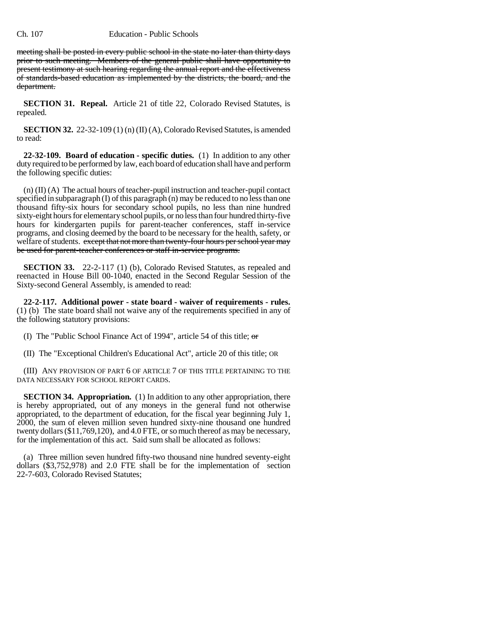#### Ch. 107 Education - Public Schools

meeting shall be posted in every public school in the state no later than thirty days prior to such meeting. Members of the general public shall have opportunity to present testimony at such hearing regarding the annual report and the effectiveness of standards-based education as implemented by the districts, the board, and the department.

**SECTION 31. Repeal.** Article 21 of title 22, Colorado Revised Statutes, is repealed.

**SECTION 32.** 22-32-109 (1) (n) (II) (A), Colorado Revised Statutes, is amended to read:

**22-32-109. Board of education - specific duties.** (1) In addition to any other duty required to be performed by law, each board of education shall have and perform the following specific duties:

(n) (II) (A) The actual hours of teacher-pupil instruction and teacher-pupil contact specified in subparagraph (I) of this paragraph (n) may be reduced to no less than one thousand fifty-six hours for secondary school pupils, no less than nine hundred sixty-eight hours for elementary school pupils, or no less than four hundred thirty-five hours for kindergarten pupils for parent-teacher conferences, staff in-service programs, and closing deemed by the board to be necessary for the health, safety, or welfare of students. except that not more than twenty-four hours per school year may be used for parent-teacher conferences or staff in-service programs.

**SECTION 33.** 22-2-117 (1) (b), Colorado Revised Statutes, as repealed and reenacted in House Bill 00-1040, enacted in the Second Regular Session of the Sixty-second General Assembly, is amended to read:

**22-2-117. Additional power - state board - waiver of requirements - rules.** (1) (b) The state board shall not waive any of the requirements specified in any of the following statutory provisions:

(I) The "Public School Finance Act of 1994", article 54 of this title;  $\sigma$ 

(II) The "Exceptional Children's Educational Act", article 20 of this title; OR

(III) ANY PROVISION OF PART 6 OF ARTICLE 7 OF THIS TITLE PERTAINING TO THE DATA NECESSARY FOR SCHOOL REPORT CARDS.

**SECTION 34. Appropriation.** (1) In addition to any other appropriation, there is hereby appropriated, out of any moneys in the general fund not otherwise appropriated, to the department of education, for the fiscal year beginning July 1, 2000, the sum of eleven million seven hundred sixty-nine thousand one hundred twenty dollars (\$11,769,120), and 4.0 FTE, or so much thereof as may be necessary, for the implementation of this act. Said sum shall be allocated as follows:

(a) Three million seven hundred fifty-two thousand nine hundred seventy-eight dollars (\$3,752,978) and 2.0 FTE shall be for the implementation of section 22-7-603, Colorado Revised Statutes;